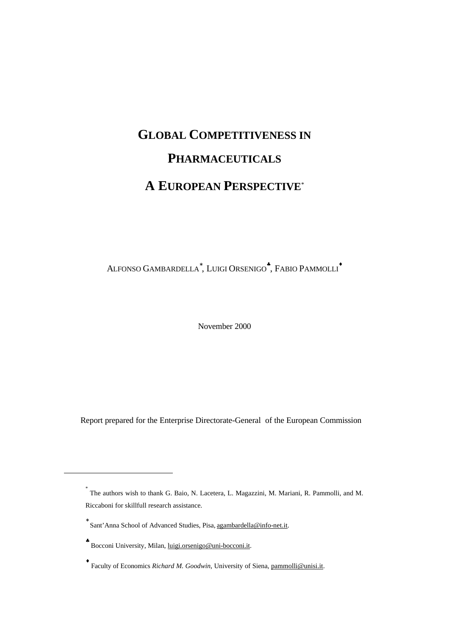# **GLOBAL COMPETITIVENESS IN PHARMACEUTICALS A EUROPEAN PERSPECTIVE**\*

ALFONSO GAMBARDELLA<sup>\*</sup>, LUIGI ORSENIGO<sup>\*</sup>, FABIO PAMMOLLI<sup>\*</sup>

November 2000

Report prepared for the Enterprise Directorate-General of the European Commission

 $\overline{a}$ 

<sup>\*</sup> The authors wish to thank G. Baio, N. Lacetera, L. Magazzini, M. Mariani, R. Pammolli, and M. Riccaboni for skillfull research assistance.

<sup>∗</sup> Sant'Anna School of Advanced Studies, Pisa, agambardella@info-net.it.

<sup>\*</sup> Bocconi University, Milan, luigi.orsenigo@uni-bocconi.it.

<sup>♦</sup> Faculty of Economics *Richard M. Goodwin*, University of Siena, pammolli@unisi.it.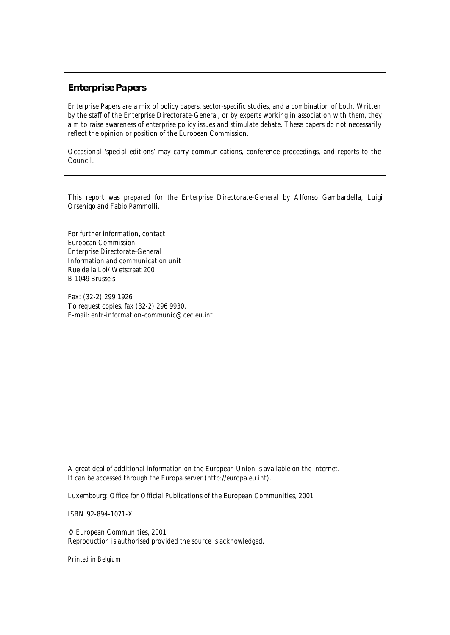### **Enterprise Papers**

Enterprise Papers are a mix of policy papers, sector-specific studies, and a combination of both. Written by the staff of the Enterprise Directorate-General, or by experts working in association with them, they aim to raise awareness of enterprise policy issues and stimulate debate. These papers do not necessarily reflect the opinion or position of the European Commission.

Occasional 'special editions' may carry communications, conference proceedings, and reports to the Council.

This report was prepared for the Enterprise Directorate-General by Alfonso Gambardella, Luigi Orsenigo and Fabio Pammolli.

For further information, contact European Commission Enterprise Directorate-General Information and communication unit Rue de la Loi/ Wetstraat 200 B-1049 Brussels

Fax: (32-2) 299 1926 To request copies, fax (32-2) 296 9930. E-mail: entr-information-communic@cec.eu.int

A great deal of additional information on the European Union is available on the internet. It can be accessed through the Europa server (http://europa.eu.int).

Luxembourg: Office for Official Publications of the European Communities, 2001

ISBN 92-894-1071-X

© European Communities, 2001 Reproduction is authorised provided the source is acknowledged.

*Printed in Belgium*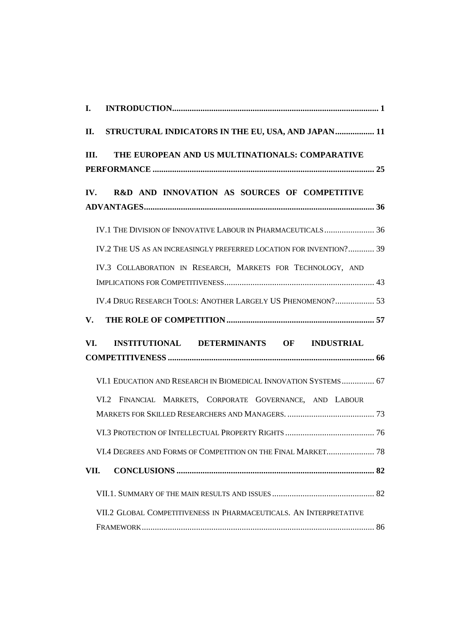| I.                                                                  |
|---------------------------------------------------------------------|
| STRUCTURAL INDICATORS IN THE EU, USA, AND JAPAN 11<br>П.            |
| THE EUROPEAN AND US MULTINATIONALS: COMPARATIVE<br>Ш.               |
| R&D AND INNOVATION AS SOURCES OF COMPETITIVE<br>IV.                 |
| IV.1 THE DIVISION OF INNOVATIVE LABOUR IN PHARMACEUTICALS 36        |
| IV.2 THE US AS AN INCREASINGLY PREFERRED LOCATION FOR INVENTION? 39 |
| IV.3 COLLABORATION IN RESEARCH, MARKETS FOR TECHNOLOGY, AND         |
| IV.4 DRUG RESEARCH TOOLS: ANOTHER LARGELY US PHENOMENON? 53         |
| V.                                                                  |
| INSTITUTIONAL DETERMINANTS OF INDUSTRIAL<br>VI.                     |
|                                                                     |
| VI.1 EDUCATION AND RESEARCH IN BIOMEDICAL INNOVATION SYSTEMS 67     |
| VI.2 FINANCIAL MARKETS, CORPORATE GOVERNANCE, AND LABOUR            |
|                                                                     |
|                                                                     |
| VI.4 DEGREES AND FORMS OF COMPETITION ON THE FINAL MARKET 78        |
| VII.                                                                |
|                                                                     |
| VII.2 GLOBAL COMPETITIVENESS IN PHARMACEUTICALS. AN INTERPRETATIVE  |
|                                                                     |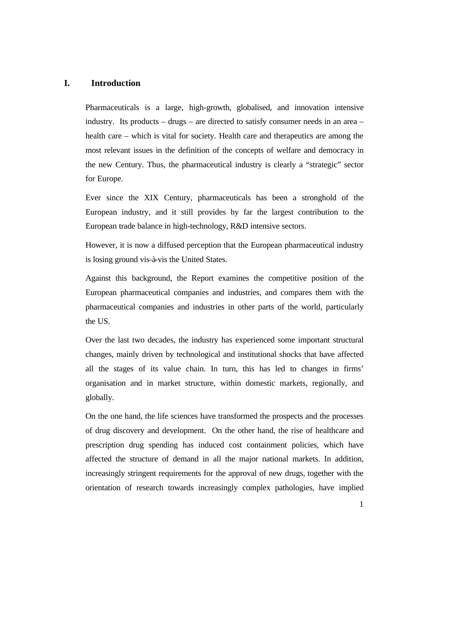#### **I. Introduction**

Pharmaceuticals is a large, high-growth, globalised, and innovation intensive industry. Its products – drugs – are directed to satisfy consumer needs in an area – health care – which is vital for society. Health care and therapeutics are among the most relevant issues in the definition of the concepts of welfare and democracy in the new Century. Thus, the pharmaceutical industry is clearly a "strategic" sector for Europe.

Ever since the XIX Century, pharmaceuticals has been a stronghold of the European industry, and it still provides by far the largest contribution to the European trade balance in high-technology, R&D intensive sectors.

However, it is now a diffused perception that the European pharmaceutical industry is losing ground vis-à-vis the United States.

Against this background, the Report examines the competitive position of the European pharmaceutical companies and industries, and compares them with the pharmaceutical companies and industries in other parts of the world, particularly the US.

Over the last two decades, the industry has experienced some important structural changes, mainly driven by technological and institutional shocks that have affected all the stages of its value chain. In turn, this has led to changes in firms' organisation and in market structure, within domestic markets, regionally, and globally.

On the one hand, the life sciences have transformed the prospects and the processes of drug discovery and development. On the other hand, the rise of healthcare and prescription drug spending has induced cost containment policies, which have affected the structure of demand in all the major national markets. In addition, increasingly stringent requirements for the approval of new drugs, together with the orientation of research towards increasingly complex pathologies, have implied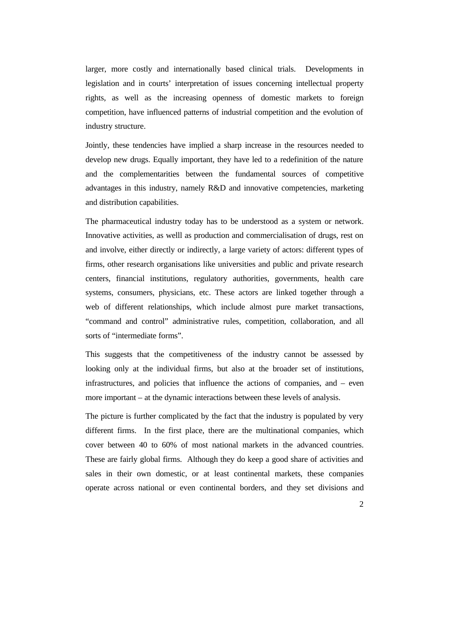larger, more costly and internationally based clinical trials. Developments in legislation and in courts' interpretation of issues concerning intellectual property rights, as well as the increasing openness of domestic markets to foreign competition, have influenced patterns of industrial competition and the evolution of industry structure.

Jointly, these tendencies have implied a sharp increase in the resources needed to develop new drugs. Equally important, they have led to a redefinition of the nature and the complementarities between the fundamental sources of competitive advantages in this industry, namely R&D and innovative competencies, marketing and distribution capabilities.

The pharmaceutical industry today has to be understood as a system or network. Innovative activities, as welll as production and commercialisation of drugs, rest on and involve, either directly or indirectly, a large variety of actors: different types of firms, other research organisations like universities and public and private research centers, financial institutions, regulatory authorities, governments, health care systems, consumers, physicians, etc. These actors are linked together through a web of different relationships, which include almost pure market transactions, "command and control" administrative rules, competition, collaboration, and all sorts of "intermediate forms".

This suggests that the competitiveness of the industry cannot be assessed by looking only at the individual firms, but also at the broader set of institutions, infrastructures, and policies that influence the actions of companies, and – even more important – at the dynamic interactions between these levels of analysis.

The picture is further complicated by the fact that the industry is populated by very different firms. In the first place, there are the multinational companies, which cover between 40 to 60% of most national markets in the advanced countries. These are fairly global firms. Although they do keep a good share of activities and sales in their own domestic, or at least continental markets, these companies operate across national or even continental borders, and they set divisions and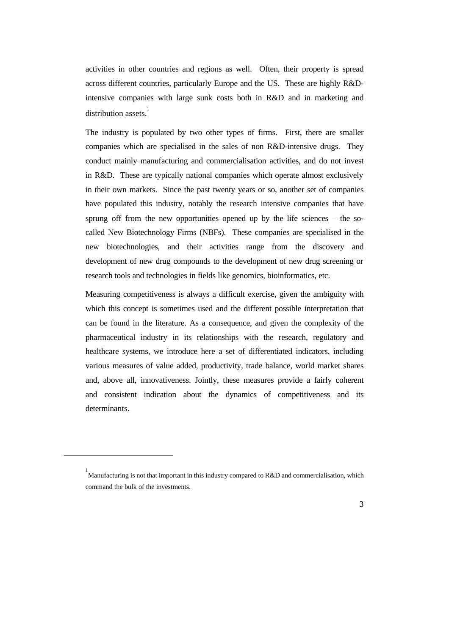activities in other countries and regions as well. Often, their property is spread across different countries, particularly Europe and the US. These are highly R&Dintensive companies with large sunk costs both in R&D and in marketing and distribution assets.<sup>1</sup>

The industry is populated by two other types of firms. First, there are smaller companies which are specialised in the sales of non R&D-intensive drugs. They conduct mainly manufacturing and commercialisation activities, and do not invest in R&D. These are typically national companies which operate almost exclusively in their own markets. Since the past twenty years or so, another set of companies have populated this industry, notably the research intensive companies that have sprung off from the new opportunities opened up by the life sciences – the socalled New Biotechnology Firms (NBFs). These companies are specialised in the new biotechnologies, and their activities range from the discovery and development of new drug compounds to the development of new drug screening or research tools and technologies in fields like genomics, bioinformatics, etc.

Measuring competitiveness is always a difficult exercise, given the ambiguity with which this concept is sometimes used and the different possible interpretation that can be found in the literature. As a consequence, and given the complexity of the pharmaceutical industry in its relationships with the research, regulatory and healthcare systems, we introduce here a set of differentiated indicators, including various measures of value added, productivity, trade balance, world market shares and, above all, innovativeness. Jointly, these measures provide a fairly coherent and consistent indication about the dynamics of competitiveness and its determinants.

 $\overline{a}$ 



<sup>&</sup>lt;sup>1</sup><br>Manufacturing is not that important in this industry compared to R&D and commercialisation, which command the bulk of the investments.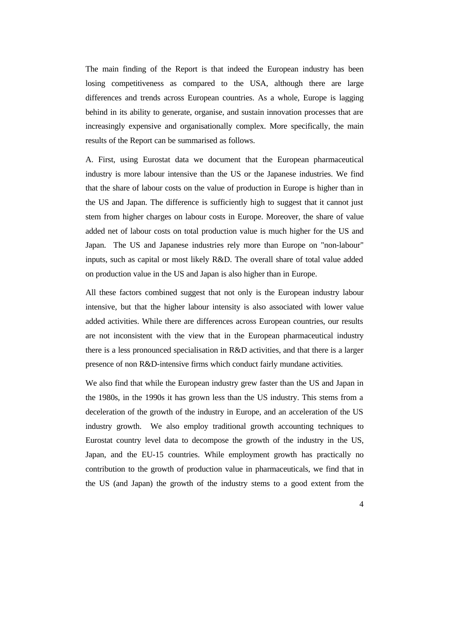The main finding of the Report is that indeed the European industry has been losing competitiveness as compared to the USA, although there are large differences and trends across European countries. As a whole, Europe is lagging behind in its ability to generate, organise, and sustain innovation processes that are increasingly expensive and organisationally complex. More specifically, the main results of the Report can be summarised as follows.

A. First, using Eurostat data we document that the European pharmaceutical industry is more labour intensive than the US or the Japanese industries. We find that the share of labour costs on the value of production in Europe is higher than in the US and Japan. The difference is sufficiently high to suggest that it cannot just stem from higher charges on labour costs in Europe. Moreover, the share of value added net of labour costs on total production value is much higher for the US and Japan. The US and Japanese industries rely more than Europe on "non-labour" inputs, such as capital or most likely R&D. The overall share of total value added on production value in the US and Japan is also higher than in Europe.

All these factors combined suggest that not only is the European industry labour intensive, but that the higher labour intensity is also associated with lower value added activities. While there are differences across European countries, our results are not inconsistent with the view that in the European pharmaceutical industry there is a less pronounced specialisation in R&D activities, and that there is a larger presence of non R&D-intensive firms which conduct fairly mundane activities.

We also find that while the European industry grew faster than the US and Japan in the 1980s, in the 1990s it has grown less than the US industry. This stems from a deceleration of the growth of the industry in Europe, and an acceleration of the US industry growth. We also employ traditional growth accounting techniques to Eurostat country level data to decompose the growth of the industry in the US, Japan, and the EU-15 countries. While employment growth has practically no contribution to the growth of production value in pharmaceuticals, we find that in the US (and Japan) the growth of the industry stems to a good extent from the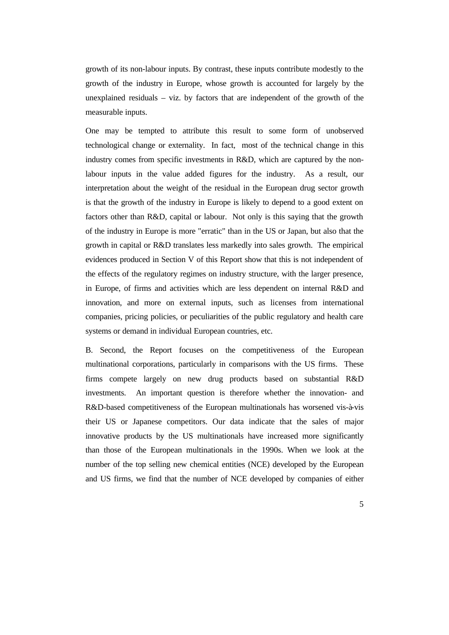growth of its non-labour inputs. By contrast, these inputs contribute modestly to the growth of the industry in Europe, whose growth is accounted for largely by the unexplained residuals – viz. by factors that are independent of the growth of the measurable inputs.

One may be tempted to attribute this result to some form of unobserved technological change or externality. In fact, most of the technical change in this industry comes from specific investments in R&D, which are captured by the nonlabour inputs in the value added figures for the industry. As a result, our interpretation about the weight of the residual in the European drug sector growth is that the growth of the industry in Europe is likely to depend to a good extent on factors other than R&D, capital or labour. Not only is this saying that the growth of the industry in Europe is more "erratic" than in the US or Japan, but also that the growth in capital or R&D translates less markedly into sales growth. The empirical evidences produced in Section V of this Report show that this is not independent of the effects of the regulatory regimes on industry structure, with the larger presence, in Europe, of firms and activities which are less dependent on internal R&D and innovation, and more on external inputs, such as licenses from international companies, pricing policies, or peculiarities of the public regulatory and health care systems or demand in individual European countries, etc.

B. Second, the Report focuses on the competitiveness of the European multinational corporations, particularly in comparisons with the US firms. These firms compete largely on new drug products based on substantial R&D investments. An important question is therefore whether the innovation- and R&D-based competitiveness of the European multinationals has worsened vis-à-vis their US or Japanese competitors. Our data indicate that the sales of major innovative products by the US multinationals have increased more significantly than those of the European multinationals in the 1990s. When we look at the number of the top selling new chemical entities (NCE) developed by the European and US firms, we find that the number of NCE developed by companies of either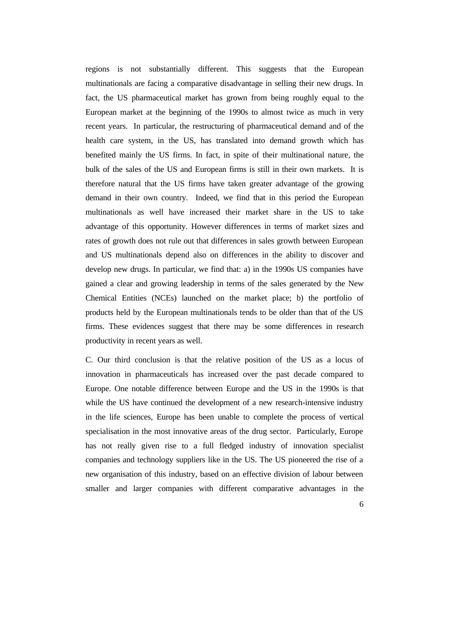regions is not substantially different. This suggests that the European multinationals are facing a comparative disadvantage in selling their new drugs. In fact, the US pharmaceutical market has grown from being roughly equal to the European market at the beginning of the 1990s to almost twice as much in very recent years. In particular, the restructuring of pharmaceutical demand and of the health care system, in the US, has translated into demand growth which has benefited mainly the US firms. In fact, in spite of their multinational nature, the bulk of the sales of the US and European firms is still in their own markets. It is therefore natural that the US firms have taken greater advantage of the growing demand in their own country. Indeed, we find that in this period the European multinationals as well have increased their market share in the US to take advantage of this opportunity. However differences in terms of market sizes and rates of growth does not rule out that differences in sales growth between European and US multinationals depend also on differences in the ability to discover and develop new drugs. In particular, we find that: a) in the 1990s US companies have gained a clear and growing leadership in terms of the sales generated by the New Chemical Entities (NCEs) launched on the market place; b) the portfolio of products held by the European multinationals tends to be older than that of the US firms. These evidences suggest that there may be some differences in research productivity in recent years as well.

C. Our third conclusion is that the relative position of the US as a locus of innovation in pharmaceuticals has increased over the past decade compared to Europe. One notable difference between Europe and the US in the 1990s is that while the US have continued the development of a new research-intensive industry in the life sciences, Europe has been unable to complete the process of vertical specialisation in the most innovative areas of the drug sector. Particularly, Europe has not really given rise to a full fledged industry of innovation specialist companies and technology suppliers like in the US. The US pioneered the rise of a new organisation of this industry, based on an effective division of labour between smaller and larger companies with different comparative advantages in the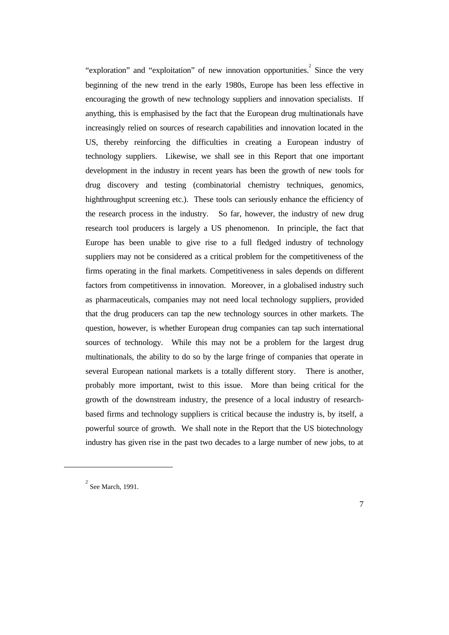"exploration" and "exploitation" of new innovation opportunities.<sup>2</sup> Since the very beginning of the new trend in the early 1980s, Europe has been less effective in encouraging the growth of new technology suppliers and innovation specialists. If anything, this is emphasised by the fact that the European drug multinationals have increasingly relied on sources of research capabilities and innovation located in the US, thereby reinforcing the difficulties in creating a European industry of technology suppliers. Likewise, we shall see in this Report that one important development in the industry in recent years has been the growth of new tools for drug discovery and testing (combinatorial chemistry techniques, genomics, highthroughput screening etc.). These tools can seriously enhance the efficiency of the research process in the industry. So far, however, the industry of new drug research tool producers is largely a US phenomenon. In principle, the fact that Europe has been unable to give rise to a full fledged industry of technology suppliers may not be considered as a critical problem for the competitiveness of the firms operating in the final markets. Competitiveness in sales depends on different factors from competitivenss in innovation. Moreover, in a globalised industry such as pharmaceuticals, companies may not need local technology suppliers, provided that the drug producers can tap the new technology sources in other markets. The question, however, is whether European drug companies can tap such international sources of technology. While this may not be a problem for the largest drug multinationals, the ability to do so by the large fringe of companies that operate in several European national markets is a totally different story. There is another, probably more important, twist to this issue. More than being critical for the growth of the downstream industry, the presence of a local industry of researchbased firms and technology suppliers is critical because the industry is, by itself, a powerful source of growth. We shall note in the Report that the US biotechnology industry has given rise in the past two decades to a large number of new jobs, to at

 $\overline{a}$ 

 $2^{2}$  See March, 1991.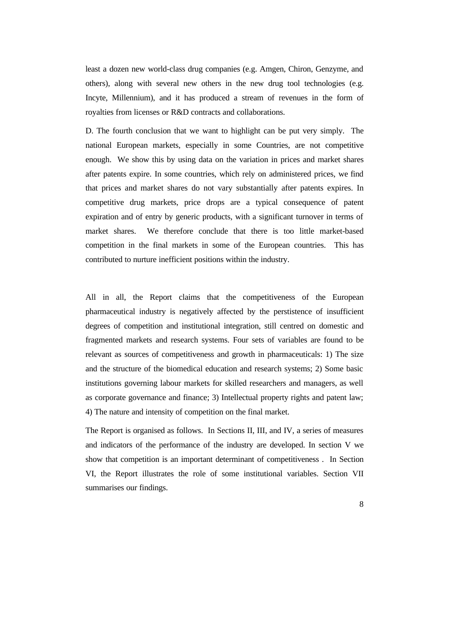least a dozen new world-class drug companies (e.g. Amgen, Chiron, Genzyme, and others), along with several new others in the new drug tool technologies (e.g. Incyte, Millennium), and it has produced a stream of revenues in the form of royalties from licenses or R&D contracts and collaborations.

D. The fourth conclusion that we want to highlight can be put very simply. The national European markets, especially in some Countries, are not competitive enough. We show this by using data on the variation in prices and market shares after patents expire. In some countries, which rely on administered prices, we find that prices and market shares do not vary substantially after patents expires. In competitive drug markets, price drops are a typical consequence of patent expiration and of entry by generic products, with a significant turnover in terms of market shares. We therefore conclude that there is too little market-based competition in the final markets in some of the European countries. This has contributed to nurture inefficient positions within the industry.

All in all, the Report claims that the competitiveness of the European pharmaceutical industry is negatively affected by the perstistence of insufficient degrees of competition and institutional integration, still centred on domestic and fragmented markets and research systems. Four sets of variables are found to be relevant as sources of competitiveness and growth in pharmaceuticals: 1) The size and the structure of the biomedical education and research systems; 2) Some basic institutions governing labour markets for skilled researchers and managers, as well as corporate governance and finance; 3) Intellectual property rights and patent law; 4) The nature and intensity of competition on the final market.

The Report is organised as follows. In Sections II, III, and IV, a series of measures and indicators of the performance of the industry are developed. In section V we show that competition is an important determinant of competitiveness . In Section VI, the Report illustrates the role of some institutional variables. Section VII summarises our findings.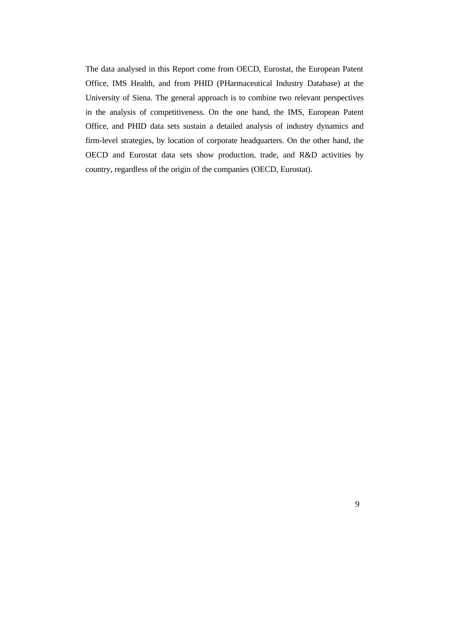The data analysed in this Report come from OECD, Eurostat, the European Patent Office, IMS Health, and from PHID (PHarmaceutical Industry Database) at the University of Siena. The general approach is to combine two relevant perspectives in the analysis of competitiveness. On the one hand, the IMS, European Patent Office, and PHID data sets sustain a detailed analysis of industry dynamics and firm-level strategies, by location of corporate headquarters. On the other hand, the OECD and Eurostat data sets show production, trade, and R&D activities by country, regardless of the origin of the companies (OECD, Eurostat).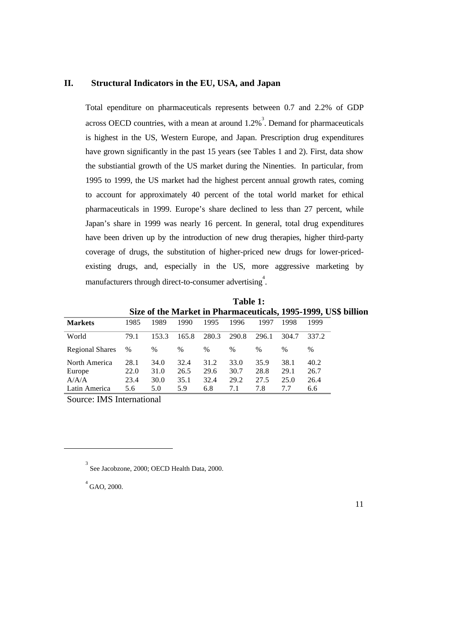### **II. Structural Indicators in the EU, USA, and Japan**

Total ependiture on pharmaceuticals represents between 0.7 and 2.2% of GDP across OECD countries, with a mean at around  $1.2\%$ <sup>3</sup>. Demand for pharmaceuticals is highest in the US, Western Europe, and Japan. Prescription drug expenditures have grown significantly in the past 15 years (see Tables 1 and 2). First, data show the substiantial growth of the US market during the Ninenties. In particular, from 1995 to 1999, the US market had the highest percent annual growth rates, coming to account for approximately 40 percent of the total world market for ethical pharmaceuticals in 1999. Europe's share declined to less than 27 percent, while Japan's share in 1999 was nearly 16 percent. In general, total drug expenditures have been driven up by the introduction of new drug therapies, higher third-party coverage of drugs, the substitution of higher-priced new drugs for lower-pricedexisting drugs, and, especially in the US, more aggressive marketing by manufacturers through direct-to-consumer advertising<sup>4</sup>.

**Table 1: Size of the Market in Pharmaceuticals, 1995-1999, US\$ billion**

| <b>Markets</b>          | 1985         | 1989         | 1990          | 1995         | 1996         | 1997         | 1998         | 1999         |
|-------------------------|--------------|--------------|---------------|--------------|--------------|--------------|--------------|--------------|
| World                   | 79.1         | 153.3        | 165.8         | 280.3        | 290.8        | 296.1        | 304.7        | 337.2        |
| <b>Regional Shares</b>  | %            | $\%$         | $\frac{0}{0}$ | $\%$         | %            | $\%$         | $\%$         | $\%$         |
| North America<br>Europe | 28.1<br>22.0 | 34.0<br>31.0 | 32.4<br>26.5  | 31.2<br>29.6 | 33.0<br>30.7 | 35.9<br>28.8 | 38.1<br>29.1 | 40.2<br>26.7 |
| A/A/A<br>Latin America  | 23.4<br>5.6  | 30.0<br>5.0  | 35.1<br>5.9   | 32.4<br>6.8  | 29.2<br>7.1  | 27.5<br>7.8  | 25.0<br>7.7  | 26.4<br>6.6  |

Source: IMS International

 $^{4}$  GAO, 2000.

 $\overline{a}$ 

<sup>3</sup> See Jacobzone, 2000; OECD Health Data, 2000.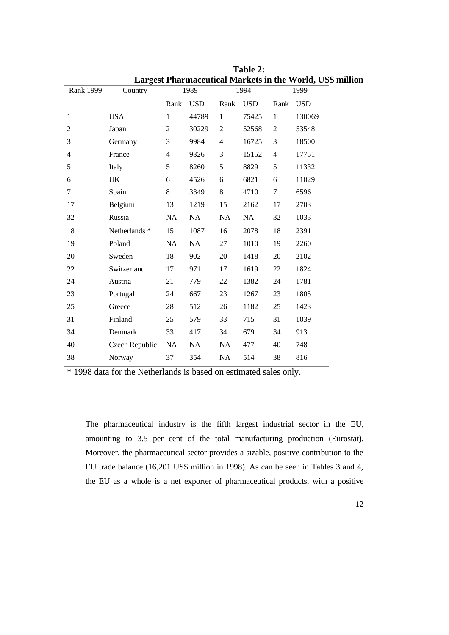|                  |                |                |            |                |            |                | Largest Pharmaceutical Markets in the World, US\$ mill |
|------------------|----------------|----------------|------------|----------------|------------|----------------|--------------------------------------------------------|
| <b>Rank 1999</b> | Country        |                | 1989       |                | 1994       |                | 1999                                                   |
|                  |                | Rank           | <b>USD</b> | Rank           | <b>USD</b> | Rank           | <b>USD</b>                                             |
| $\mathbf{1}$     | <b>USA</b>     | $\mathbf{1}$   | 44789      | $\mathbf{1}$   | 75425      | $\mathbf{1}$   | 130069                                                 |
| $\overline{2}$   | Japan          | $\overline{2}$ | 30229      | $\overline{2}$ | 52568      | $\overline{2}$ | 53548                                                  |
| 3                | Germany        | 3              | 9984       | $\overline{4}$ | 16725      | 3              | 18500                                                  |
| $\overline{4}$   | France         | $\overline{4}$ | 9326       | 3              | 15152      | $\overline{4}$ | 17751                                                  |
| 5                | Italy          | 5              | 8260       | 5              | 8829       | 5              | 11332                                                  |
| 6                | UK             | 6              | 4526       | 6              | 6821       | 6              | 11029                                                  |
| $\overline{7}$   | Spain          | 8              | 3349       | 8              | 4710       | $\tau$         | 6596                                                   |
| 17               | Belgium        | 13             | 1219       | 15             | 2162       | 17             | 2703                                                   |
| 32               | Russia         | NA             | NA         | NA             | NA         | 32             | 1033                                                   |
| 18               | Netherlands *  | 15             | 1087       | 16             | 2078       | 18             | 2391                                                   |
| 19               | Poland         | NA             | NA         | 27             | 1010       | 19             | 2260                                                   |
| 20               | Sweden         | 18             | 902        | 20             | 1418       | $20\,$         | 2102                                                   |
| 22               | Switzerland    | 17             | 971        | 17             | 1619       | 22             | 1824                                                   |
| 24               | Austria        | 21             | 779        | 22             | 1382       | 24             | 1781                                                   |
| 23               | Portugal       | 24             | 667        | 23             | 1267       | 23             | 1805                                                   |
| 25               | Greece         | 28             | 512        | 26             | 1182       | 25             | 1423                                                   |
| 31               | Finland        | 25             | 579        | 33             | 715        | 31             | 1039                                                   |
| 34               | Denmark        | 33             | 417        | 34             | 679        | 34             | 913                                                    |
| 40               | Czech Republic | NA             | NA         | NA             | 477        | 40             | 748                                                    |
| 38               | Norway         | 37             | 354        | NA             | 514        | 38             | 816                                                    |

**Table 2: Largest Pharmaceutical Markets in the World, US\$ million**

\* 1998 data for the Netherlands is based on estimated sales only.

The pharmaceutical industry is the fifth largest industrial sector in the EU, amounting to 3.5 per cent of the total manufacturing production (Eurostat). Moreover, the pharmaceutical sector provides a sizable, positive contribution to the EU trade balance (16,201 US\$ million in 1998). As can be seen in Tables 3 and 4, the EU as a whole is a net exporter of pharmaceutical products, with a positive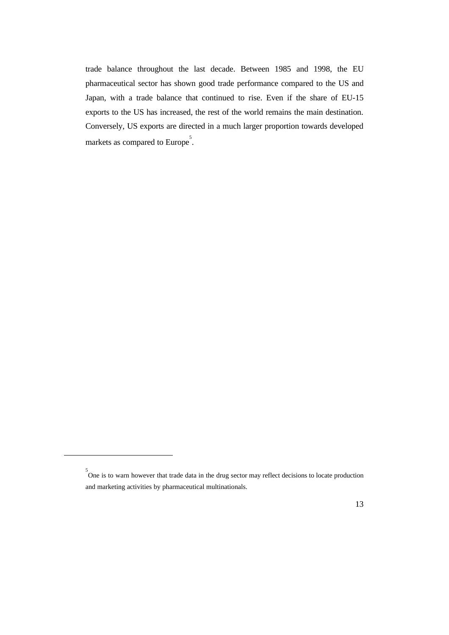trade balance throughout the last decade. Between 1985 and 1998, the EU pharmaceutical sector has shown good trade performance compared to the US and Japan, with a trade balance that continued to rise. Even if the share of EU-15 exports to the US has increased, the rest of the world remains the main destination. Conversely, US exports are directed in a much larger proportion towards developed markets as compared to Europe<sup>5</sup>.

 $\overline{a}$ 



<sup>5</sup> One is to warn however that trade data in the drug sector may reflect decisions to locate production and marketing activities by pharmaceutical multinationals.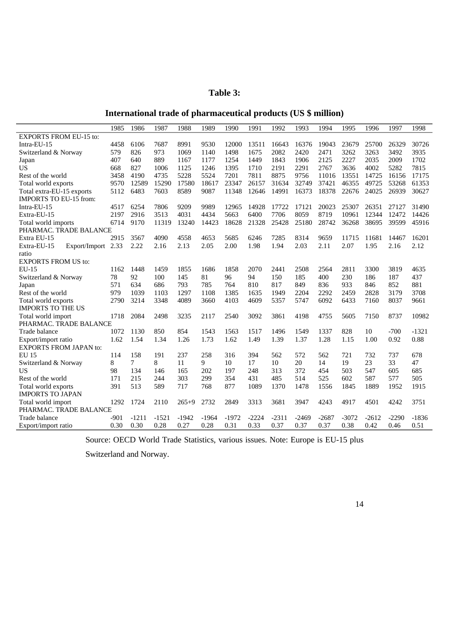### **Table 3:**

## **International trade of pharmaceutical products (US \$ million)**

|                                   | 1985   | 1986    | 1987    | 1988    | 1989    | 1990    | 1991    | 1992    | 1993    | 1994    | 1995    | 1996    | 1997    | 1998    |
|-----------------------------------|--------|---------|---------|---------|---------|---------|---------|---------|---------|---------|---------|---------|---------|---------|
| <b>EXPORTS FROM EU-15 to:</b>     |        |         |         |         |         |         |         |         |         |         |         |         |         |         |
| Intra-EU-15                       | 4458   | 6106    | 7687    | 8991    | 9530    | 12000   | 13511   | 16643   | 16376   | 19043   | 23679   | 25700   | 26329   | 30726   |
| Switzerland & Norway              | 579    | 826     | 973     | 1069    | 1140    | 1498    | 1675    | 2082    | 2420    | 2471    | 3262    | 3263    | 3492    | 3935    |
| Japan                             | 407    | 640     | 889     | 1167    | 1177    | 1254    | 1449    | 1843    | 1906    | 2125    | 2227    | 2035    | 2009    | 1702    |
| <b>US</b>                         | 668    | 827     | 1006    | 1125    | 1246    | 1395    | 1710    | 2191    | 2291    | 2767    | 3636    | 4002    | 5282    | 7815    |
| Rest of the world                 | 3458   | 4190    | 4735    | 5228    | 5524    | 7201    | 7811    | 8875    | 9756    | 11016   | 13551   | 14725   | 16156   | 17175   |
| Total world exports               | 9570   | 12589   | 15290   | 17580   | 18617   | 23347   | 26157   | 31634   | 32749   | 37421   | 46355   | 49725   | 53268   | 61353   |
| Total extra-EU-15 exports         | 5112   | 6483    | 7603    | 8589    | 9087    | 11348   | 12646   | 14991   | 16373   | 18378   | 22676   | 24025   | 26939   | 30627   |
| <b>IMPORTS TO EU-15 from:</b>     |        |         |         |         |         |         |         |         |         |         |         |         |         |         |
| Intra-EU-15                       | 4517   | 6254    | 7806    | 9209    | 9989    | 12965   | 14928   | 17722   | 17121   | 20023   | 25307   | 26351   | 27127   | 31490   |
| Extra-EU-15                       | 2197   | 2916    | 3513    | 4031    | 4434    | 5663    | 6400    | 7706    | 8059    | 8719    | 10961   | 12344   | 12472   | 14426   |
| Total world imports               | 6714   | 9170    | 11319   | 13240   | 14423   | 18628   | 21328   | 25428   | 25180   | 28742   | 36268   | 38695   | 39599   | 45916   |
| PHARMAC. TRADE BALANCE            |        |         |         |         |         |         |         |         |         |         |         |         |         |         |
| Extra EU-15                       | 2915   | 3567    | 4090    | 4558    | 4653    | 5685    | 6246    | 7285    | 8314    | 9659    | 11715   | 11681   | 14467   | 16201   |
| Export/Import 2.33<br>Extra-EU-15 |        | 2.22    | 2.16    | 2.13    | 2.05    | 2.00    | 1.98    | 1.94    | 2.03    | 2.11    | 2.07    | 1.95    | 2.16    | 2.12    |
| ratio                             |        |         |         |         |         |         |         |         |         |         |         |         |         |         |
| <b>EXPORTS FROM US to:</b>        |        |         |         |         |         |         |         |         |         |         |         |         |         |         |
| <b>EU-15</b>                      | 1162   | 1448    | 1459    | 1855    | 1686    | 1858    | 2070    | 2441    | 2508    | 2564    | 2811    | 3300    | 3819    | 4635    |
| Switzerland & Norway              | 78     | 92      | 100     | 145     | 81      | 96      | 94      | 150     | 185     | 400     | 230     | 186     | 187     | 437     |
| Japan                             | 571    | 634     | 686     | 793     | 785     | 764     | 810     | 817     | 849     | 836     | 933     | 846     | 852     | 881     |
| Rest of the world                 | 979    | 1039    | 1103    | 1297    | 1108    | 1385    | 1635    | 1949    | 2204    | 2292    | 2459    | 2828    | 3179    | 3708    |
| Total world exports               | 2790   | 3214    | 3348    | 4089    | 3660    | 4103    | 4609    | 5357    | 5747    | 6092    | 6433    | 7160    | 8037    | 9661    |
| <b>IMPORTS TO THE US</b>          |        |         |         |         |         |         |         |         |         |         |         |         |         |         |
| Total world import                | 1718   | 2084    | 2498    | 3235    | 2117    | 2540    | 3092    | 3861    | 4198    | 4755    | 5605    | 7150    | 8737    | 10982   |
| PHARMAC. TRADE BALANCE            |        |         |         |         |         |         |         |         |         |         |         |         |         |         |
| Trade balance                     | 1072   | 1130    | 850     | 854     | 1543    | 1563    | 1517    | 1496    | 1549    | 1337    | 828     | 10      | $-700$  | $-1321$ |
| Export/import ratio               | 1.62   | 1.54    | 1.34    | 1.26    | 1.73    | 1.62    | 1.49    | 1.39    | 1.37    | 1.28    | 1.15    | 1.00    | 0.92    | 0.88    |
| <b>EXPORTS FROM JAPAN to:</b>     |        |         |         |         |         |         |         |         |         |         |         |         |         |         |
| <b>EU 15</b>                      | 114    | 158     | 191     | 237     | 258     | 316     | 394     | 562     | 572     | 562     | 721     | 732     | 737     | 678     |
| Switzerland & Norway              | 8      | 7       | 8       | 11      | 9       | 10      | 17      | 10      | 20      | 14      | 19      | 23      | 33      | 47      |
| US                                | 98     | 134     | 146     | 165     | 202     | 197     | 248     | 313     | 372     | 454     | 503     | 547     | 605     | 685     |
| Rest of the world                 | 171    | 215     | 244     | 303     | 299     | 354     | 431     | 485     | 514     | 525     | 602     | 587     | 577     | 505     |
| Total world exports               | 391    | 513     | 589     | 717     | 768     | 877     | 1089    | 1370    | 1478    | 1556    | 1845    | 1889    | 1952    | 1915    |
| <b>IMPORTS TO JAPAN</b>           |        |         |         |         |         |         |         |         |         |         |         |         |         |         |
| Total world import                | 1292   | 1724    | 2110    | $265+9$ | 2732    | 2849    | 3313    | 3681    | 3947    | 4243    | 4917    | 4501    | 4242    | 3751    |
| PHARMAC. TRADE BALANCE            |        |         |         |         |         |         |         |         |         |         |         |         |         |         |
| Trade balance                     | $-901$ | $-1211$ | $-1521$ | $-1942$ | $-1964$ | $-1972$ | $-2224$ | $-2311$ | $-2469$ | $-2687$ | $-3072$ | $-2612$ | $-2290$ | $-1836$ |
| Export/import ratio               | 0.30   | 0.30    | 0.28    | 0.27    | 0.28    | 0.31    | 0.33    | 0.37    | 0.37    | 0.37    | 0.38    | 0.42    | 0.46    | 0.51    |

Source: OECD World Trade Statistics, various issues. Note: Europe is EU-15 plus

Switzerland and Norway.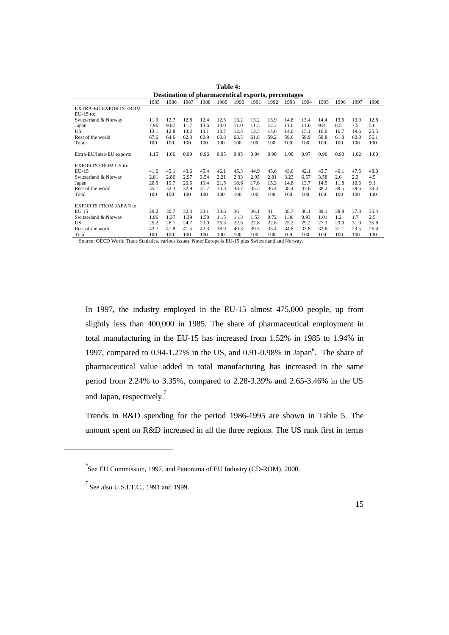|                               |      | Destination of pharmaceutical exports, percentages |      |      |      |      |      |      |      |      |      |      |      |      |
|-------------------------------|------|----------------------------------------------------|------|------|------|------|------|------|------|------|------|------|------|------|
|                               | 1985 | 1986                                               | 1987 | 1988 | 1989 | 1990 | 1991 | 1992 | 1993 | 1994 | 1995 | 1996 | 1997 | 1998 |
| <b>EXTRA-EU EXPORTS FROM</b>  |      |                                                    |      |      |      |      |      |      |      |      |      |      |      |      |
| $EU-15$ to:                   |      |                                                    |      |      |      |      |      |      |      |      |      |      |      |      |
| Switzerland & Norway          | 11.3 | 12.7                                               | 12.8 | 12.4 | 12.5 | 13.2 | 13.2 | 13.9 | 14.8 | 13.4 | 14.4 | 13.6 | 13.0 | 12.8 |
| Japan                         | 7.96 | 9.87                                               | 11.7 | 13.6 | 13.0 | 11.0 | 11.5 | 12.3 | 11.6 | 11.6 | 9.8  | 8.5  | 7.5  | 5.6  |
| US                            | 13.1 | 12.8                                               | 13.2 | 13.1 | 13.7 | 12.3 | 13.5 | 14.6 | 14.0 | 15.1 | 16.0 | 16.7 | 19.6 | 25.5 |
| Rest of the world             | 67.6 | 64.6                                               | 62.3 | 60.9 | 60.8 | 63.5 | 61.8 | 59.2 | 59.6 | 59.9 | 59.8 | 61.3 | 60.0 | 56.1 |
| Total                         | 100  | 100                                                | 100  | 100  | 100  | 100  | 100  | 100  | 100  | 100  | 100  | 100  | 100  | 100  |
|                               |      |                                                    |      |      |      |      |      |      |      |      |      |      |      |      |
| Extra-EU/Intra-EU exports     | 1.15 | 1.06                                               | 0.99 | 0.96 | 0.95 | 0.95 | 0.94 | 0.90 | 1.00 | 0.97 | 0.96 | 0.93 | 1.02 | 1.00 |
|                               |      |                                                    |      |      |      |      |      |      |      |      |      |      |      |      |
| <b>EXPORTS FROM US to:</b>    |      |                                                    |      |      |      |      |      |      |      |      |      |      |      |      |
| $EU-15$                       | 41.6 | 45.1                                               | 43.6 | 45.4 | 46.1 | 45.3 | 44.9 | 45.6 | 43.6 | 42.1 | 43.7 | 46.1 | 47.5 | 48.0 |
| Switzerland & Norway          | 2.81 | 2.86                                               | 2.97 | 3.54 | 2.21 | 2.33 | 2.05 | 2.81 | 3.23 | 6.57 | 3.58 | 2.6  | 2.3  | 4.5  |
| Japan                         | 20.5 | 19.7                                               | 20.5 | 19.4 | 21.5 | 18.6 | 17.6 | 15.3 | 14.8 | 13.7 | 14.5 | 11.8 | 10.6 | 9.1  |
| Rest of the world             | 35.1 | 32.3                                               | 32.9 | 31.7 | 30.3 | 33.7 | 35.5 | 36.4 | 38.4 | 37.6 | 38.2 | 39.5 | 39.6 | 38.4 |
| Total                         | 100  | 100                                                | 100  | 100  | 100  | 100  | 100  | 100  | 100  | 100  | 100  | 100  | 100  | 100  |
|                               |      |                                                    |      |      |      |      |      |      |      |      |      |      |      |      |
| <b>EXPORTS FROM JAPAN to:</b> |      |                                                    |      |      |      |      |      |      |      |      |      |      |      |      |
| EU 15                         | 29.2 | 30.7                                               | 32.4 | 33.1 | 33.6 | 36   | 36.1 | 41   | 38.7 | 36.1 | 39.1 | 38.8 | 37.8 | 35.4 |
| Switzerland & Norway          | 1.96 | 1.37                                               | 1.39 | 1.58 | 1.15 | 1.13 | 1.53 | 0.72 | 1.36 | 0.93 | 1.01 | 1.2  | 1.7  | 2.5  |
| US                            | 25.2 | 26.1                                               | 24.7 | 23.0 | 26.3 | 22.5 | 22.8 | 22.8 | 25.2 | 29.2 | 27.3 | 29.0 | 31.0 | 35.8 |
| Rest of the world             | 43.7 | 41.8                                               | 41.5 | 42.3 | 38.9 | 40.3 | 39.5 | 35.4 | 34.8 | 33.8 | 32.6 | 31.1 | 29.5 | 26.4 |
| Total                         | 100  | 100                                                | 100  | 100  | 100  | 100  | 100  | 100  | 100  | 100  | 100  | 100  | 100  | 100  |

**Table 4: Destination of pha** 

Source: OECD World Trade Statistics, various issues. Note: Europe is EU-15 plus Switzerland and Norway.

In 1997, the industry employed in the EU-15 almost 475,000 people, up from slightly less than 400,000 in 1985. The share of pharmaceutical employment in total manufacturing in the EU-15 has increased from 1.52% in 1985 to 1.94% in 1997, compared to  $0.94$ -1.27% in the US, and  $0.91$ -0.98% in Japan<sup>6</sup>. The share of pharmaceutical value added in total manufacturing has increased in the same period from 2.24% to 3.35%, compared to 2.28-3.39% and 2.65-3.46% in the US and Japan, respectively.<sup>7</sup>

Trends in R&D spending for the period 1986-1995 are shown in Table 5. The amount spent on R&D increased in all the three regions. The US rank first in terms

 $\overline{a}$ 

<sup>6</sup> See EU Commission, 1997, and Panorama of EU Industry (CD-ROM), 2000.

 $<sup>7</sup>$  See also U.S.I.T.C., 1991 and 1999.</sup>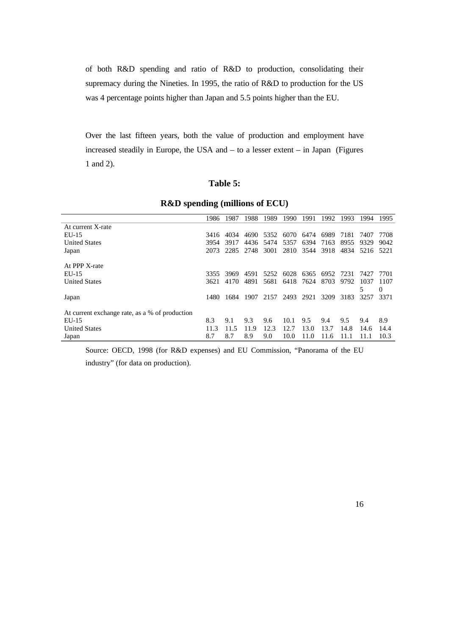of both R&D spending and ratio of R&D to production, consolidating their supremacy during the Nineties. In 1995, the ratio of R&D to production for the US was 4 percentage points higher than Japan and 5.5 points higher than the EU.

Over the last fifteen years, both the value of production and employment have increased steadily in Europe, the USA and – to a lesser extent – in Japan (Figures 1 and 2).

### **Table 5:**

|                                                | 1986 | 1987 | 1988 | 1989 | 1990      | 1991 | 1992      | 1993 | 1994      | 1995     |
|------------------------------------------------|------|------|------|------|-----------|------|-----------|------|-----------|----------|
| At current X-rate                              |      |      |      |      |           |      |           |      |           |          |
| $EU-15$                                        | 3416 | 4034 | 4690 | 5352 | 6070      | 6474 | 6989      | 7181 | 7407      | 7708     |
| <b>United States</b>                           | 3954 | 3917 | 4436 | 5474 | 5357      | 6394 | 7163      | 8955 | 9329      | 9042     |
| Japan                                          | 2073 | 2285 | 2748 | 3001 | 2810 3544 |      | 3918      | 4834 | 5216 5221 |          |
| At PPP X-rate                                  |      |      |      |      |           |      |           |      |           |          |
| EU-15                                          | 3355 | 3969 | 4591 | 5252 | 6028      |      | 6365 6952 | 7231 | 7427      | 7701     |
| <b>United States</b>                           | 3621 | 4170 | 4891 | 5681 | 6418      | 7624 | 8703      | 9792 | 1037      | 1107     |
|                                                |      |      |      |      |           |      |           |      |           | $\theta$ |
| Japan                                          | 1480 | 1684 | 1907 | 2157 | 2493      | 2921 | 3209      | 3183 | 3257      | 3371     |
| At current exchange rate, as a % of production |      |      |      |      |           |      |           |      |           |          |
| EU-15                                          | 8.3  | 9.1  | 9.3  | 9.6  | 10.1      | 9.5  | 9.4       | 9.5  | 9.4       | 8.9      |
| <b>United States</b>                           | 11.3 | 11.5 | 11.9 | 12.3 | 12.7      | 13.0 | 13.7      | 14.8 | 14.6      | 14.4     |
| Japan                                          | 8.7  | 8.7  | 8.9  | 9.0  | 10.0      | 11.0 | 11.6      |      | 11.1      | 10.3     |

### **R&D spending (millions of ECU)**

Source: OECD, 1998 (for R&D expenses) and EU Commission, "Panorama of the EU

industry" (for data on production).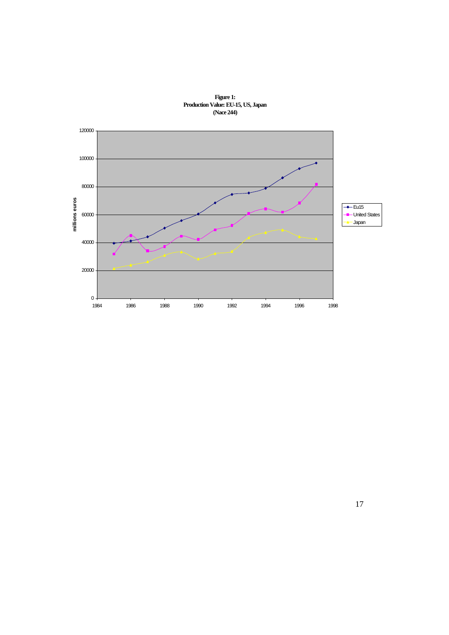

**Figure 1: Production Value: EU-15, US, Japan (Nace 244)**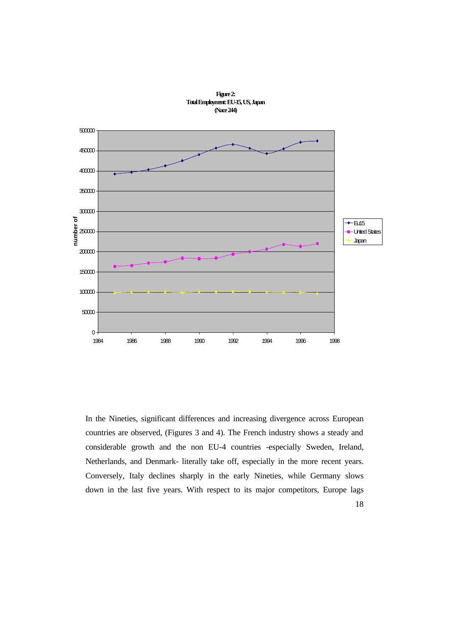

**Figure 2:**

In the Nineties, significant differences and increasing divergence across European countries are observed, (Figures 3 and 4). The French industry shows a steady and considerable growth and the non EU-4 countries -especially Sweden, Ireland, Netherlands, and Denmark- literally take off, especially in the more recent years. Conversely, Italy declines sharply in the early Nineties, while Germany slows down in the last five years. With respect to its major competitors, Europe lags

18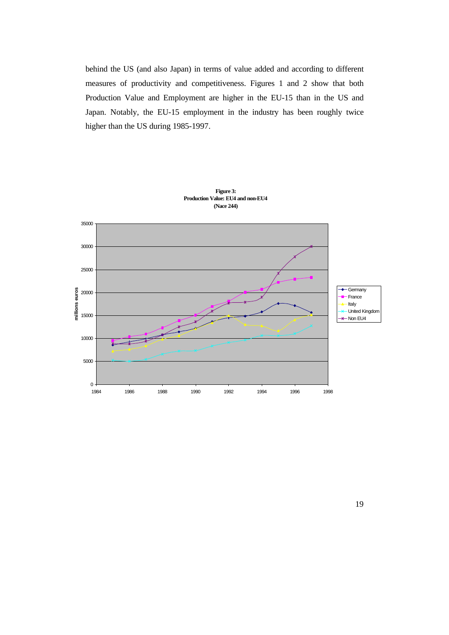behind the US (and also Japan) in terms of value added and according to different measures of productivity and competitiveness. Figures 1 and 2 show that both Production Value and Employment are higher in the EU-15 than in the US and Japan. Notably, the EU-15 employment in the industry has been roughly twice higher than the US during 1985-1997.



**Figure 3: Production Value: EU4 and non-EU4**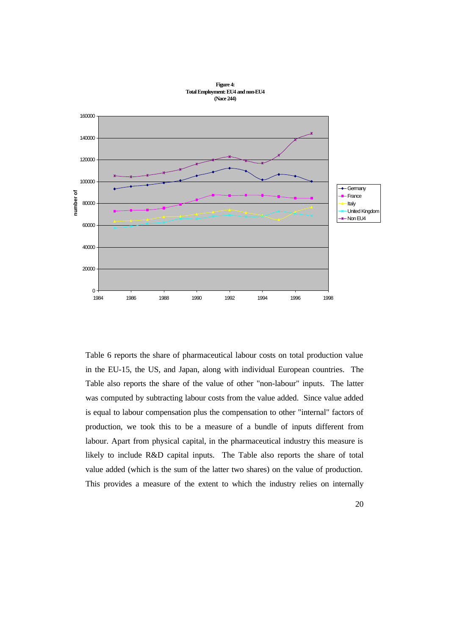

**Figure 4: Total Employment: EU4 and non-EU4 (Nace 244)**

Table 6 reports the share of pharmaceutical labour costs on total production value in the EU-15, the US, and Japan, along with individual European countries. The Table also reports the share of the value of other "non-labour" inputs. The latter was computed by subtracting labour costs from the value added. Since value added is equal to labour compensation plus the compensation to other "internal" factors of production, we took this to be a measure of a bundle of inputs different from labour. Apart from physical capital, in the pharmaceutical industry this measure is likely to include R&D capital inputs. The Table also reports the share of total value added (which is the sum of the latter two shares) on the value of production. This provides a measure of the extent to which the industry relies on internally

20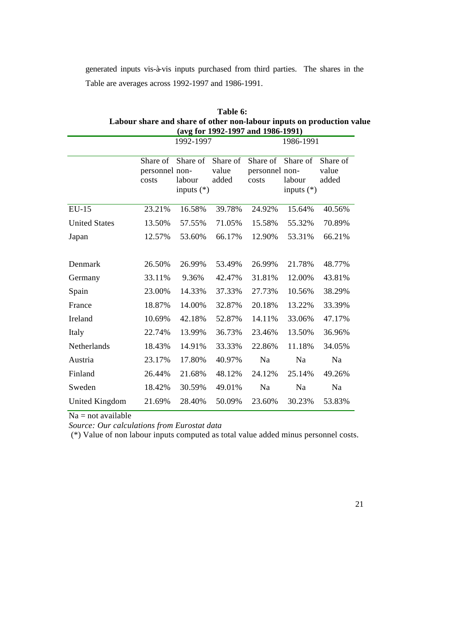generated inputs vis-à-vis inputs purchased from third parties. The shares in the Table are averages across 1992-1997 and 1986-1991.

**Table 6:**

|                      |                                     |                                    |                            |                                     |                                  | Labour share and share of other non-labour inputs on production value |  |
|----------------------|-------------------------------------|------------------------------------|----------------------------|-------------------------------------|----------------------------------|-----------------------------------------------------------------------|--|
|                      |                                     |                                    |                            | (avg for 1992-1997 and 1986-1991)   |                                  |                                                                       |  |
|                      |                                     | 1992-1997                          |                            | 1986-1991                           |                                  |                                                                       |  |
|                      | Share of<br>personnel non-<br>costs | Share of<br>labour<br>inputs $(*)$ | Share of<br>value<br>added | Share of<br>personnel non-<br>costs | Share of<br>labour<br>inputs (*) | Share of<br>value<br>added                                            |  |
| <b>EU-15</b>         | 23.21%                              | 16.58%                             | 39.78%                     | 24.92%                              | 15.64%                           | 40.56%                                                                |  |
| <b>United States</b> | 13.50%                              | 57.55%                             | 71.05%                     | 15.58%                              | 55.32%                           | 70.89%                                                                |  |
| Japan                | 12.57%                              | 53.60%                             | 66.17%                     | 12.90%                              | 53.31%                           | 66.21%                                                                |  |
| Denmark              | 26.50%                              | 26.99%                             | 53.49%                     | 26.99%                              | 21.78%                           | 48.77%                                                                |  |
| Germany              | 33.11%                              | 9.36%                              | 42.47%                     | 31.81%                              | 12.00%                           | 43.81%                                                                |  |
| Spain                | 23.00%                              | 14.33%                             | 37.33%                     | 27.73%                              | 10.56%                           | 38.29%                                                                |  |
| France               | 18.87%                              | 14.00%                             | 32.87%                     | 20.18%                              | 13.22%                           | 33.39%                                                                |  |
| Ireland              | 10.69%                              | 42.18%                             | 52.87%                     | 14.11%                              | 33.06%                           | 47.17%                                                                |  |
| Italy                | 22.74%                              | 13.99%                             | 36.73%                     | 23.46%                              | 13.50%                           | 36.96%                                                                |  |
| Netherlands          | 18.43%                              | 14.91%                             | 33.33%                     | 22.86%                              | 11.18%                           | 34.05%                                                                |  |
| Austria              | 23.17%                              | 17.80%                             | 40.97%                     | Na                                  | Na                               | Na                                                                    |  |
| Finland              | 26.44%                              | 21.68%                             | 48.12%                     | 24.12%                              | 25.14%                           | 49.26%                                                                |  |
| Sweden               | 18.42%                              | 30.59%                             | 49.01%                     | Na                                  | Na                               | Na                                                                    |  |
| United Kingdom       | 21.69%                              | 28.40%                             | 50.09%                     | 23.60%                              | 30.23%                           | 53.83%                                                                |  |

*Source: Our calculations from Eurostat data*

 $Na = not available$ 

(\*) Value of non labour inputs computed as total value added minus personnel costs.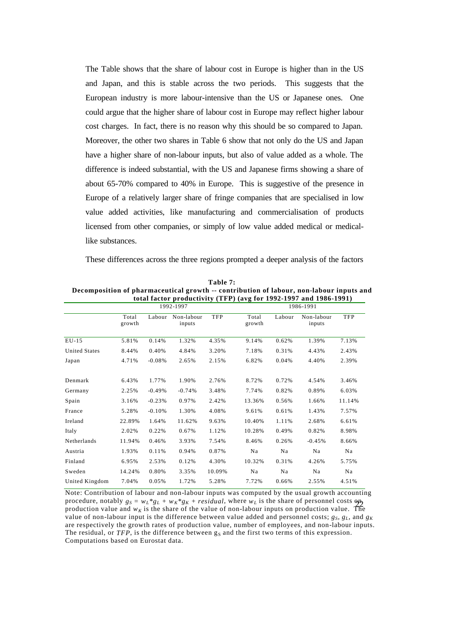The Table shows that the share of labour cost in Europe is higher than in the US and Japan, and this is stable across the two periods. This suggests that the European industry is more labour-intensive than the US or Japanese ones. One could argue that the higher share of labour cost in Europe may reflect higher labour cost charges. In fact, there is no reason why this should be so compared to Japan. Moreover, the other two shares in Table 6 show that not only do the US and Japan have a higher share of non-labour inputs, but also of value added as a whole. The difference is indeed substantial, with the US and Japanese firms showing a share of about 65-70% compared to 40% in Europe. This is suggestive of the presence in Europe of a relatively larger share of fringe companies that are specialised in low value added activities, like manufacturing and commercialisation of products licensed from other companies, or simply of low value added medical or medicallike substances.

These differences across the three regions prompted a deeper analysis of the factors

|                      |                 |          | 1992-1997 |        | total factor productivity (TFT) (avg for 1992-1997 and 1960-1991)<br>1986-1991 |        |                      |            |  |  |
|----------------------|-----------------|----------|-----------|--------|--------------------------------------------------------------------------------|--------|----------------------|------------|--|--|
|                      | Total<br>growth | Labour   |           | TFP    | Total<br>growth                                                                | Labour | Non-labour<br>inputs | <b>TFP</b> |  |  |
| $EU-15$              | 5.81%           | 0.14%    | 1.32%     | 4.35%  | 9.14%                                                                          | 0.62%  | 1.39%                | 7.13%      |  |  |
| <b>United States</b> | 8.44%           | 0.40%    | 4.84%     | 3.20%  | 7.18%                                                                          | 0.31%  | 4.43%                | 2.43%      |  |  |
| Japan                | 4.71%           | $-0.08%$ | 2.65%     | 2.15%  | 6.82%                                                                          | 0.04%  | 4.40%                | 2.39%      |  |  |
| Denmark              | 6.43%           | 1.77%    | 1.90%     | 2.76%  | 8.72%                                                                          | 0.72%  | 4.54%                | 3.46%      |  |  |
| Germany              | 2.25%           | $-0.49%$ | $-0.74%$  | 3.48%  | 7.74%                                                                          | 0.82%  | 0.89%                | 6.03%      |  |  |
| Spain                | 3.16%           | $-0.23%$ | 0.97%     | 2.42%  | 13.36%                                                                         | 0.56%  | 1.66%                | 11.14%     |  |  |
| France               | 5.28%           | $-0.10%$ | 1.30%     | 4.08%  | 9.61%                                                                          | 0.61%  | 1.43%                | 7.57%      |  |  |
| Ireland              | 22.89%          | 1.64%    | 11.62%    | 9.63%  | 10.40%                                                                         | 1.11%  | 2.68%                | 6.61%      |  |  |
| Italy                | 2.02%           | 0.22%    | 0.67%     | 1.12%  | 10.28%                                                                         | 0.49%  | 0.82%                | 8.98%      |  |  |
| Netherlands          | 11.94%          | 0.46%    | 3.93%     | 7.54%  | 8.46%                                                                          | 0.26%  | $-0.45%$             | 8.66%      |  |  |
| Austria              | 1.93%           | 0.11%    | 0.94%     | 0.87%  | Na                                                                             | Na     | Na                   | Na         |  |  |
| Finland              | 6.95%           | 2.53%    | 0.12%     | 4.30%  | 10.32%                                                                         | 0.31%  | 4.26%                | 5.75%      |  |  |
| Sweden               | 14.24%          | 0.80%    | 3.35%     | 10.09% | Na                                                                             | Na     | Na                   | Na         |  |  |
| United Kingdom       | 7.04%           | 0.05%    | 1.72%     | 5.28%  | 7.72%                                                                          | 0.66%  | 2.55%                | 4.51%      |  |  |

**Table 7: Decomposition of pharmaceutical growth -- contribution of labour, non-labour inputs and total factor productivity (TFP) (avg for 1992-1997 and 1986-1991)**

procedure, notably  $g_S = w_L^g_L + w_K^g_R + \text{residual}$ , where  $w_L$  is the share of personnel costs  $\omega_B$ <br>production value and  $w_K$  is the share of the value of non-labour inputs on production value. The Note: Contribution of labour and non-labour inputs was computed by the usual growth accounting procedure, notably  $g_S = w_L * g_L + w_K * g_K + residual$ , where  $w_L$  is the share of personnel costs  $\omega_A$ value of non-labour input is the difference between value added and personnel costs;  $g_S$ ,  $g_I$ , and  $g_K$ are respectively the growth rates of production value, number of employees, and non-labour inputs. The residual, or *TFP*, is the difference between g<sub>S</sub> and the first two terms of this expression. Computations based on Eurostat data.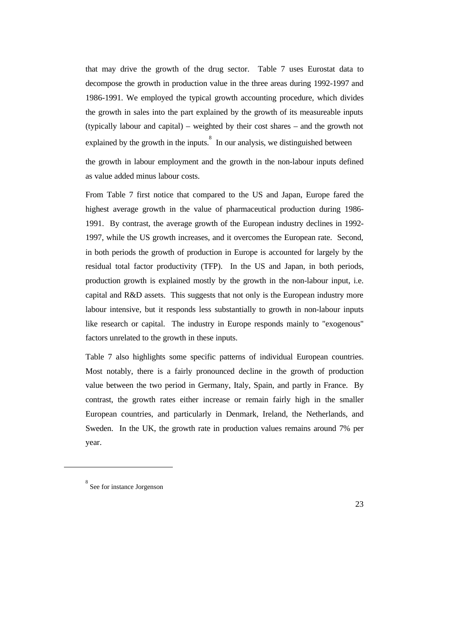that may drive the growth of the drug sector. Table 7 uses Eurostat data to decompose the growth in production value in the three areas during 1992-1997 and 1986-1991. We employed the typical growth accounting procedure, which divides the growth in sales into the part explained by the growth of its measureable inputs (typically labour and capital) – weighted by their cost shares – and the growth not explained by the growth in the inputs.<sup>8</sup> In our analysis, we distinguished between

the growth in labour employment and the growth in the non-labour inputs defined as value added minus labour costs.

From Table 7 first notice that compared to the US and Japan, Europe fared the highest average growth in the value of pharmaceutical production during 1986- 1991. By contrast, the average growth of the European industry declines in 1992- 1997, while the US growth increases, and it overcomes the European rate. Second, in both periods the growth of production in Europe is accounted for largely by the residual total factor productivity (TFP). In the US and Japan, in both periods, production growth is explained mostly by the growth in the non-labour input, i.e. capital and R&D assets. This suggests that not only is the European industry more labour intensive, but it responds less substantially to growth in non-labour inputs like research or capital. The industry in Europe responds mainly to "exogenous" factors unrelated to the growth in these inputs.

Table 7 also highlights some specific patterns of individual European countries. Most notably, there is a fairly pronounced decline in the growth of production value between the two period in Germany, Italy, Spain, and partly in France. By contrast, the growth rates either increase or remain fairly high in the smaller European countries, and particularly in Denmark, Ireland, the Netherlands, and Sweden. In the UK, the growth rate in production values remains around 7% per year.

 $\overline{a}$ 

<sup>8</sup> See for instance Jorgenson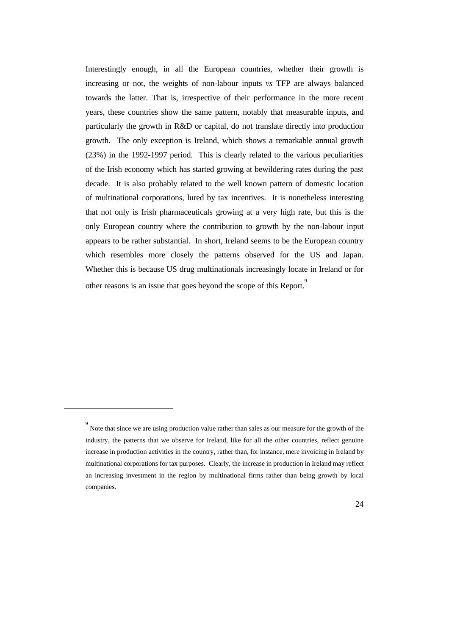Interestingly enough, in all the European countries, whether their growth is increasing or not, the weights of non-labour inputs *vs* TFP are always balanced towards the latter. That is, irrespective of their performance in the more recent years, these countries show the same pattern, notably that measurable inputs, and particularly the growth in R&D or capital, do not translate directly into production growth. The only exception is Ireland, which shows a remarkable annual growth (23%) in the 1992-1997 period. This is clearly related to the various peculiarities of the Irish economy which has started growing at bewildering rates during the past decade. It is also probably related to the well known pattern of domestic location of multinational corporations, lured by tax incentives. It is nonetheless interesting that not only is Irish pharmaceuticals growing at a very high rate, but this is the only European country where the contribution to growth by the non-labour input appears to be rather substantial. In short, Ireland seems to be the European country which resembles more closely the patterns observed for the US and Japan. Whether this is because US drug multinationals increasingly locate in Ireland or for other reasons is an issue that goes beyond the scope of this Report. 9

 $\ddot{\phantom{a}}$ 

<sup>&</sup>lt;sup>9</sup><br>Note that since we are using production value rather than sales as our measure for the growth of the industry, the patterns that we observe for Ireland, like for all the other countries, reflect genuine increase in production activities in the country, rather than, for instance, mere invoicing in Ireland by multinational corporations for tax purposes. Clearly, the increase in production in Ireland may reflect an increasing investment in the region by multinational firms rather than being growth by local companies.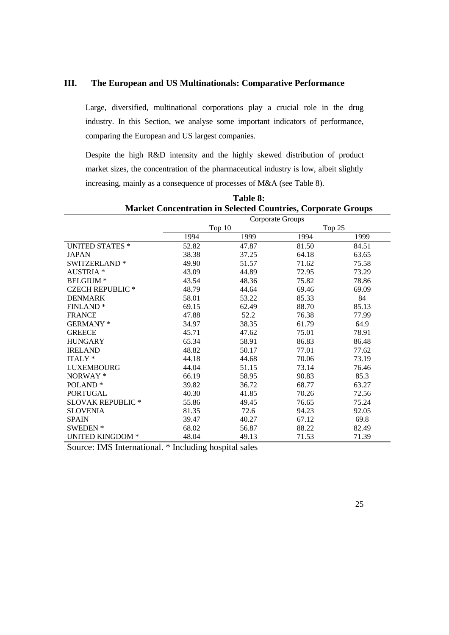### **III. The European and US Multinationals: Comparative Performance**

Large, diversified, multinational corporations play a crucial role in the drug industry. In this Section, we analyse some important indicators of performance, comparing the European and US largest companies.

Despite the high R&D intensity and the highly skewed distribution of product market sizes, the concentration of the pharmaceutical industry is low, albeit slightly increasing, mainly as a consequence of processes of M&A (see Table 8).

|                          | Corporate Groups |        |       |          |  |  |  |  |
|--------------------------|------------------|--------|-------|----------|--|--|--|--|
|                          |                  | Top 10 |       | Top $25$ |  |  |  |  |
|                          | 1994             | 1999   | 1994  | 1999     |  |  |  |  |
| <b>UNITED STATES *</b>   | 52.82            | 47.87  | 81.50 | 84.51    |  |  |  |  |
| <b>JAPAN</b>             | 38.38            | 37.25  | 64.18 | 63.65    |  |  |  |  |
| SWITZERLAND <sup>*</sup> | 49.90            | 51.57  | 71.62 | 75.58    |  |  |  |  |
| <b>AUSTRIA</b> *         | 43.09            | 44.89  | 72.95 | 73.29    |  |  |  |  |
| <b>BELGIUM</b> *         | 43.54            | 48.36  | 75.82 | 78.86    |  |  |  |  |
| <b>CZECH REPUBLIC *</b>  | 48.79            | 44.64  | 69.46 | 69.09    |  |  |  |  |
| <b>DENMARK</b>           | 58.01            | 53.22  | 85.33 | 84       |  |  |  |  |
| <b>FINLAND*</b>          | 69.15            | 62.49  | 88.70 | 85.13    |  |  |  |  |
| <b>FRANCE</b>            | 47.88            | 52.2   | 76.38 | 77.99    |  |  |  |  |
| GERMANY*                 | 34.97            | 38.35  | 61.79 | 64.9     |  |  |  |  |
| <b>GREECE</b>            | 45.71            | 47.62  | 75.01 | 78.91    |  |  |  |  |
| <b>HUNGARY</b>           | 65.34            | 58.91  | 86.83 | 86.48    |  |  |  |  |
| <b>IRELAND</b>           | 48.82            | 50.17  | 77.01 | 77.62    |  |  |  |  |
| ITALY <sup>*</sup>       | 44.18            | 44.68  | 70.06 | 73.19    |  |  |  |  |
| <b>LUXEMBOURG</b>        | 44.04            | 51.15  | 73.14 | 76.46    |  |  |  |  |
| NORWAY*                  | 66.19            | 58.95  | 90.83 | 85.3     |  |  |  |  |
| POLAND <sup>*</sup>      | 39.82            | 36.72  | 68.77 | 63.27    |  |  |  |  |
| <b>PORTUGAL</b>          | 40.30            | 41.85  | 70.26 | 72.56    |  |  |  |  |
| <b>SLOVAK REPUBLIC *</b> | 55.86            | 49.45  | 76.65 | 75.24    |  |  |  |  |
| <b>SLOVENIA</b>          | 81.35            | 72.6   | 94.23 | 92.05    |  |  |  |  |
| <b>SPAIN</b>             | 39.47            | 40.27  | 67.12 | 69.8     |  |  |  |  |
| <b>SWEDEN</b> *          | 68.02            | 56.87  | 88.22 | 82.49    |  |  |  |  |
| <b>UNITED KINGDOM *</b>  | 48.04            | 49.13  | 71.53 | 71.39    |  |  |  |  |

**Table 8: Market Concentration in Selected Countries, Corporate Groups**

Source: IMS International. \* Including hospital sales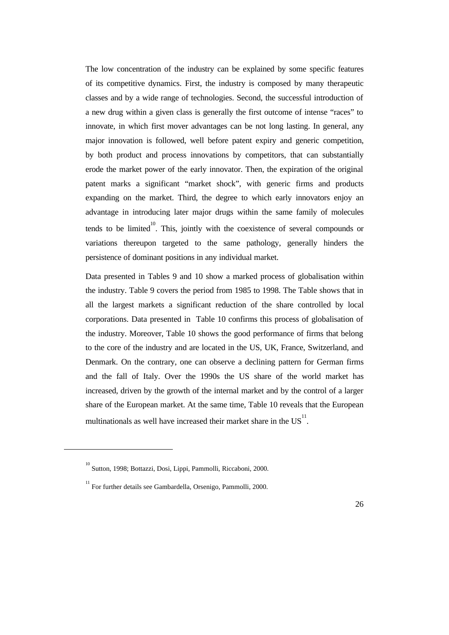The low concentration of the industry can be explained by some specific features of its competitive dynamics. First, the industry is composed by many therapeutic classes and by a wide range of technologies. Second, the successful introduction of a new drug within a given class is generally the first outcome of intense "races" to innovate, in which first mover advantages can be not long lasting. In general, any major innovation is followed, well before patent expiry and generic competition, by both product and process innovations by competitors, that can substantially erode the market power of the early innovator. Then, the expiration of the original patent marks a significant "market shock", with generic firms and products expanding on the market. Third, the degree to which early innovators enjoy an advantage in introducing later major drugs within the same family of molecules tends to be limited $10^0$ . This, jointly with the coexistence of several compounds or variations thereupon targeted to the same pathology, generally hinders the persistence of dominant positions in any individual market.

Data presented in Tables 9 and 10 show a marked process of globalisation within the industry. Table 9 covers the period from 1985 to 1998. The Table shows that in all the largest markets a significant reduction of the share controlled by local corporations. Data presented in Table 10 confirms this process of globalisation of the industry. Moreover, Table 10 shows the good performance of firms that belong to the core of the industry and are located in the US, UK, France, Switzerland, and Denmark. On the contrary, one can observe a declining pattern for German firms and the fall of Italy. Over the 1990s the US share of the world market has increased, driven by the growth of the internal market and by the control of a larger share of the European market. At the same time, Table 10 reveals that the European multinationals as well have increased their market share in the  $US<sup>11</sup>$ .

 $\overline{a}$ 

<sup>10</sup> Sutton, 1998; Bottazzi, Dosi, Lippi, Pammolli, Riccaboni, 2000.

<sup>11</sup> For further details see Gambardella, Orsenigo, Pammolli, 2000.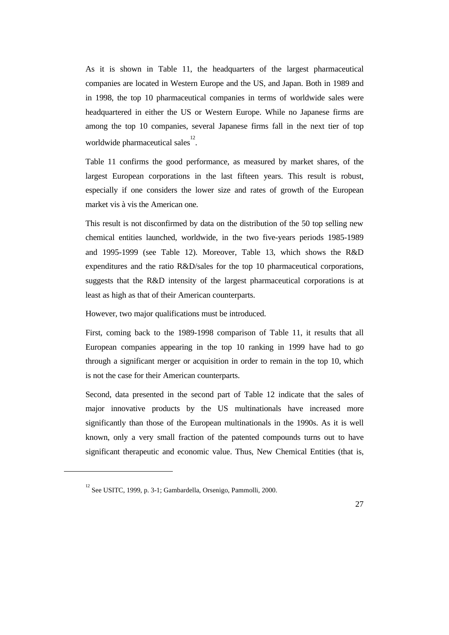As it is shown in Table 11, the headquarters of the largest pharmaceutical companies are located in Western Europe and the US, and Japan. Both in 1989 and in 1998, the top 10 pharmaceutical companies in terms of worldwide sales were headquartered in either the US or Western Europe. While no Japanese firms are among the top 10 companies, several Japanese firms fall in the next tier of top worldwide pharmaceutical sales<sup>12</sup>.

Table 11 confirms the good performance, as measured by market shares, of the largest European corporations in the last fifteen years. This result is robust, especially if one considers the lower size and rates of growth of the European market vis à vis the American one.

This result is not disconfirmed by data on the distribution of the 50 top selling new chemical entities launched, worldwide, in the two five-years periods 1985-1989 and 1995-1999 (see Table 12). Moreover, Table 13, which shows the R&D expenditures and the ratio R&D/sales for the top 10 pharmaceutical corporations, suggests that the R&D intensity of the largest pharmaceutical corporations is at least as high as that of their American counterparts.

However, two major qualifications must be introduced.

First, coming back to the 1989-1998 comparison of Table 11, it results that all European companies appearing in the top 10 ranking in 1999 have had to go through a significant merger or acquisition in order to remain in the top 10, which is not the case for their American counterparts.

Second, data presented in the second part of Table 12 indicate that the sales of major innovative products by the US multinationals have increased more significantly than those of the European multinationals in the 1990s. As it is well known, only a very small fraction of the patented compounds turns out to have significant therapeutic and economic value. Thus, New Chemical Entities (that is,

 $\overline{a}$ 

<sup>&</sup>lt;sup>12</sup> See USITC, 1999, p. 3-1; Gambardella, Orsenigo, Pammolli, 2000.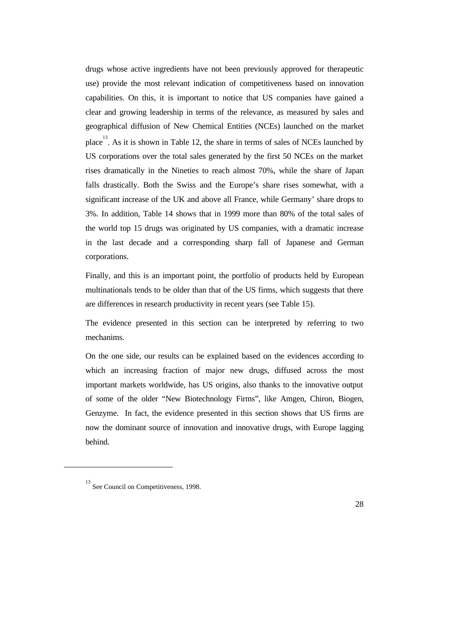drugs whose active ingredients have not been previously approved for therapeutic use) provide the most relevant indication of competitiveness based on innovation capabilities. On this, it is important to notice that US companies have gained a clear and growing leadership in terms of the relevance, as measured by sales and geographical diffusion of New Chemical Entities (NCEs) launched on the market place $^{13}$ . As it is shown in Table 12, the share in terms of sales of NCEs launched by US corporations over the total sales generated by the first 50 NCEs on the market rises dramatically in the Nineties to reach almost 70%, while the share of Japan falls drastically. Both the Swiss and the Europe's share rises somewhat, with a significant increase of the UK and above all France, while Germany' share drops to 3%. In addition, Table 14 shows that in 1999 more than 80% of the total sales of the world top 15 drugs was originated by US companies, with a dramatic increase in the last decade and a corresponding sharp fall of Japanese and German corporations.

Finally, and this is an important point, the portfolio of products held by European multinationals tends to be older than that of the US firms, which suggests that there are differences in research productivity in recent years (see Table 15).

The evidence presented in this section can be interpreted by referring to two mechanims.

On the one side, our results can be explained based on the evidences according to which an increasing fraction of major new drugs, diffused across the most important markets worldwide, has US origins, also thanks to the innovative output of some of the older "New Biotechnology Firms", like Amgen, Chiron, Biogen, Genzyme. In fact, the evidence presented in this section shows that US firms are now the dominant source of innovation and innovative drugs, with Europe lagging behind.

 $\overline{a}$ 

<sup>13</sup> See Council on Competitiveness, 1998.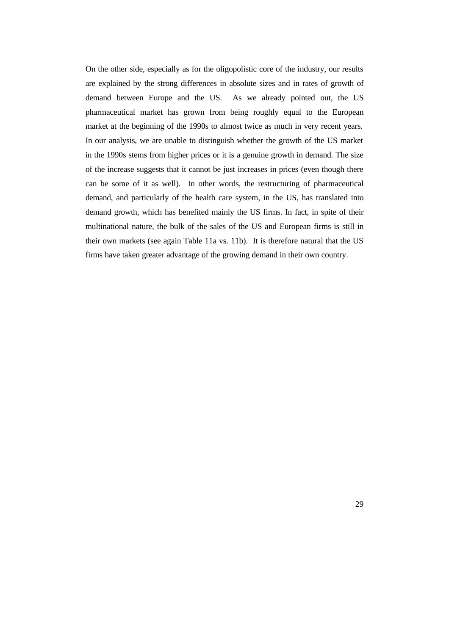On the other side, especially as for the oligopolistic core of the industry, our results are explained by the strong differences in absolute sizes and in rates of growth of demand between Europe and the US. As we already pointed out, the US pharmaceutical market has grown from being roughly equal to the European market at the beginning of the 1990s to almost twice as much in very recent years. In our analysis, we are unable to distinguish whether the growth of the US market in the 1990s stems from higher prices or it is a genuine growth in demand. The size of the increase suggests that it cannot be just increases in prices (even though there can be some of it as well). In other words, the restructuring of pharmaceutical demand, and particularly of the health care system, in the US, has translated into demand growth, which has benefited mainly the US firms. In fact, in spite of their multinational nature, the bulk of the sales of the US and European firms is still in their own markets (see again Table 11a vs. 11b). It is therefore natural that the US firms have taken greater advantage of the growing demand in their own country.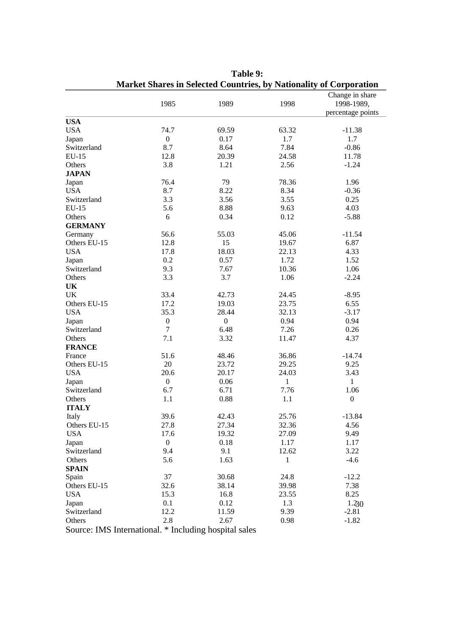|                            |                                                       |                  |              | ivial Ket Shares in Sciected Countries, by Nationality of Corporation |
|----------------------------|-------------------------------------------------------|------------------|--------------|-----------------------------------------------------------------------|
|                            | 1985                                                  | 1989             | 1998         | Change in share<br>1998-1989,                                         |
|                            |                                                       |                  |              | percentage points                                                     |
| <b>USA</b>                 |                                                       |                  |              |                                                                       |
| <b>USA</b>                 | 74.7                                                  | 69.59            | 63.32        | $-11.38$                                                              |
| Japan                      | $\boldsymbol{0}$                                      | 0.17             | 1.7          | 1.7                                                                   |
| Switzerland                | 8.7                                                   | 8.64             | 7.84         | $-0.86$                                                               |
| $EU-15$                    | 12.8                                                  | 20.39            | 24.58        | 11.78                                                                 |
| Others                     | 3.8                                                   | 1.21             | 2.56         | $-1.24$                                                               |
| <b>JAPAN</b>               |                                                       |                  |              |                                                                       |
| Japan                      | 76.4                                                  | 79               | 78.36        | 1.96                                                                  |
| <b>USA</b>                 | 8.7                                                   | 8.22             | 8.34         | $-0.36$                                                               |
| Switzerland                | 3.3                                                   | 3.56             | 3.55         | 0.25                                                                  |
| $EU-15$                    | 5.6                                                   | 8.88             | 9.63         | 4.03                                                                  |
| Others                     | 6                                                     | 0.34             | 0.12         | $-5.88$                                                               |
| <b>GERMANY</b>             |                                                       |                  |              |                                                                       |
| Germany                    | 56.6                                                  | 55.03            | 45.06        | $-11.54$                                                              |
| Others EU-15               | 12.8                                                  | 15               | 19.67        | 6.87                                                                  |
| <b>USA</b>                 | 17.8                                                  | 18.03            | 22.13        | 4.33                                                                  |
| Japan                      | 0.2                                                   | 0.57             | 1.72         | 1.52                                                                  |
| Switzerland                | 9.3                                                   | 7.67             | 10.36        | 1.06                                                                  |
| Others                     | 3.3                                                   | 3.7              | 1.06         | $-2.24$                                                               |
| <b>UK</b>                  |                                                       |                  |              |                                                                       |
| UK                         | 33.4                                                  | 42.73            | 24.45        | $-8.95$                                                               |
| Others EU-15               | 17.2                                                  | 19.03            | 23.75        | 6.55                                                                  |
| <b>USA</b>                 | 35.3                                                  | 28.44            | 32.13        | $-3.17$                                                               |
| Japan                      | $\boldsymbol{0}$                                      | $\boldsymbol{0}$ | 0.94         | 0.94                                                                  |
| Switzerland                | $\tau$                                                | 6.48             | 7.26         | 0.26                                                                  |
| Others                     | 7.1                                                   | 3.32             | 11.47        | 4.37                                                                  |
| <b>FRANCE</b>              |                                                       |                  |              |                                                                       |
| France                     | 51.6                                                  | 48.46            | 36.86        | $-14.74$                                                              |
| Others EU-15               | 20                                                    | 23.72            | 29.25        | 9.25                                                                  |
| <b>USA</b>                 | 20.6                                                  | 20.17            | 24.03        | 3.43                                                                  |
| Japan                      | $\boldsymbol{0}$                                      | 0.06             | $\mathbf{1}$ | $\mathbf{1}$                                                          |
| Switzerland                | 6.7                                                   | 6.71             | 7.76         | 1.06                                                                  |
| Others                     | 1.1                                                   | 0.88             | 1.1          | $\boldsymbol{0}$                                                      |
| <b>ITALY</b>               |                                                       |                  |              |                                                                       |
| Italy                      | 39.6                                                  | 42.43            | 25.76        | $-13.84$                                                              |
| Others EU-15               | 27.8                                                  | 27.34            | 32.36        | 4.56                                                                  |
| <b>USA</b>                 | 17.6                                                  | 19.32            | 27.09        | 9.49                                                                  |
| Japan                      | $\boldsymbol{0}$                                      | 0.18             | 1.17         | 1.17                                                                  |
| Switzerland                | 9.4                                                   | 9.1              | 12.62        | 3.22                                                                  |
| Others                     | 5.6                                                   | 1.63             | 1            | $-4.6$                                                                |
| <b>SPAIN</b>               |                                                       |                  |              |                                                                       |
| Spain                      | 37                                                    | 30.68            | 24.8         | $-12.2$                                                               |
|                            |                                                       |                  |              |                                                                       |
| Others EU-15<br><b>USA</b> | 32.6                                                  | 38.14            | 39.98        | 7.38                                                                  |
|                            | 15.3                                                  | 16.8             | 23.55        | 8.25                                                                  |
| Japan                      | 0.1                                                   | 0.12             | 1.3          | 1.230                                                                 |
| Switzerland                | 12.2                                                  | 11.59            | 9.39         | $-2.81$                                                               |
| Others                     | 2.8                                                   | 2.67             | 0.98         | $-1.82$                                                               |
|                            | Source: IMS International. * Including hospital sales |                  |              |                                                                       |

**Table 9: Market Shares in Selected Countries, by Nationality of Corporation**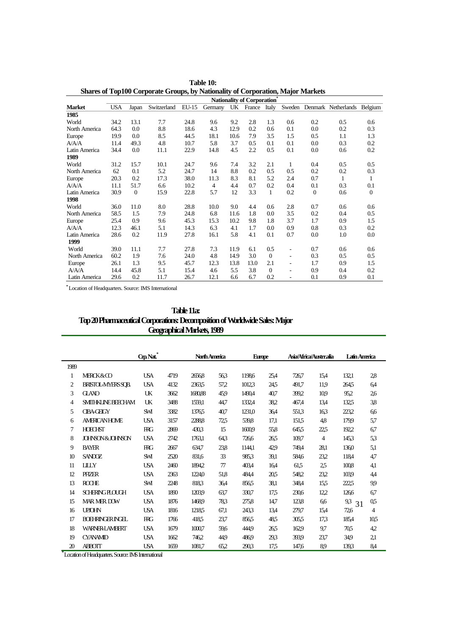|               |            |              |             |         |                |      | Nationality of Corporation* |              |                          |                |                            |                |
|---------------|------------|--------------|-------------|---------|----------------|------|-----------------------------|--------------|--------------------------|----------------|----------------------------|----------------|
| <b>Market</b> | <b>USA</b> | Japan        | Switzerland | $EU-15$ | Germany        | UK   | France                      | Italy        |                          |                | Sweden Denmark Netherlands | Belgium        |
| 1985          |            |              |             |         |                |      |                             |              |                          |                |                            |                |
| World         | 34.2       | 13.1         | 7.7         | 24.8    | 9.6            | 9.2  | 2.8                         | 1.3          | 0.6                      | 0.2            | 0.5                        | 0.6            |
| North America | 64.3       | 0.0          | 8.8         | 18.6    | 4.3            | 12.9 | 0.2                         | 0.6          | 0.1                      | 0.0            | 0.2                        | 0.3            |
| Europe        | 19.9       | 0.0          | 8.5         | 44.5    | 18.1           | 10.6 | 7.9                         | 3.5          | 1.5                      | 0.5            | 1.1                        | 1.3            |
| A/A/A         | 11.4       | 49.3         | 4.8         | 10.7    | 5.8            | 3.7  | 0.5                         | 0.1          | 0.1                      | 0.0            | 0.3                        | 0.2            |
| Latin America | 34.4       | 0.0          | 11.1        | 22.9    | 14.8           | 4.5  | 2.2                         | 0.5          | 0.1                      | 0.0            | 0.6                        | 0.2            |
| 1989          |            |              |             |         |                |      |                             |              |                          |                |                            |                |
| World         | 31.2       | 15.7         | 10.1        | 24.7    | 9.6            | 7.4  | 3.2                         | 2.1          | 1                        | 0.4            | 0.5                        | 0.5            |
| North America | 62         | 0.1          | 5.2         | 24.7    | 14             | 8.8  | 0.2                         | 0.5          | 0.5                      | 0.2            | 0.2                        | 0.3            |
| Europe        | 20.3       | 0.2          | 17.3        | 38.0    | 11.3           | 8.3  | 8.1                         | 5.2          | 2.4                      | 0.7            | 1                          | 1              |
| A/A/A         | 11.1       | 51.7         | 6.6         | 10.2    | $\overline{4}$ | 4.4  | 0.7                         | 0.2          | 0.4                      | 0.1            | 0.3                        | 0.1            |
| Latin America | 30.9       | $\mathbf{0}$ | 15.9        | 22.8    | 5.7            | 12   | 3.3                         | $\mathbf{1}$ | 0.2                      | $\overline{0}$ | 0.6                        | $\overline{0}$ |
| 1998          |            |              |             |         |                |      |                             |              |                          |                |                            |                |
| World         | 36.0       | 11.0         | 8.0         | 28.8    | 10.0           | 9.0  | 4.4                         | 0.6          | 2.8                      | 0.7            | 0.6                        | 0.6            |
| North America | 58.5       | 1.5          | 7.9         | 24.8    | 6.8            | 11.6 | 1.8                         | 0.0          | 3.5                      | 0.2            | 0.4                        | 0.5            |
| Europe        | 25.4       | 0.9          | 9.6         | 45.3    | 15.3           | 10.2 | 9.8                         | 1.8          | 3.7                      | 1.7            | 0.9                        | 1.5            |
| A/A/A         | 12.3       | 46.1         | 5.1         | 14.3    | 6.3            | 4.1  | 1.7                         | 0.0          | 0.9                      | 0.8            | 0.3                        | 0.2            |
| Latin America | 28.6       | 0.2          | 11.9        | 27.8    | 16.1           | 5.8  | 4.1                         | 0.1          | 0.7                      | 0.0            | 1.0                        | 0.0            |
| 1999          |            |              |             |         |                |      |                             |              |                          |                |                            |                |
| World         | 39.0       | 11.1         | 7.7         | 27.8    | 7.3            | 11.9 | 6.1                         | 0.5          | $\overline{\phantom{0}}$ | 0.7            | 0.6                        | 0.6            |
| North America | 60.2       | 1.9          | 7.6         | 24.0    | 4.8            | 14.9 | 3.0                         | $\Omega$     | ٠                        | 0.3            | 0.5                        | 0.5            |
| Europe        | 26.1       | 1.3          | 9.5         | 45.7    | 12.3           | 13.8 | 13.0                        | 2.1          | ٠                        | 1.7            | 0.9                        | 1.5            |
| A/A/A         | 14.4       | 45.8         | 5.1         | 15.4    | 4.6            | 5.5  | 3.8                         | $\Omega$     | ÷                        | 0.9            | 0.4                        | 0.2            |
| Latin America | 29.6       | 0.2          | 11.7        | 26.7    | 12.1           | 6.6  | 6.7                         | 0.2          | -                        | 0.1            | 0.9                        | 0.1            |

**Table 10: Shares of Top100 Corporate Groups, by Nationality of Corporation, Major Markets**

**\*** Location of Headquarters. Source: IMS International

| <b>Table 11a:</b>                                                           |
|-----------------------------------------------------------------------------|
| Top 20 Pharmaceutical Corporations: Decomposition of Worldwide Sales: Major |
| <b>Geographical Markets, 1989</b>                                           |

|                |                            | Crp Nat*   |      | <b>North America</b> |       | <b>Europe</b> |      | Asia/Africa/Austrralia |      | Latin America |      |
|----------------|----------------------------|------------|------|----------------------|-------|---------------|------|------------------------|------|---------------|------|
| 1989           |                            |            |      |                      |       |               |      |                        |      |               |      |
| 1              | <b>MERCK&amp;CO</b>        | <b>USA</b> | 4719 | 26568                | 563   | 11986         | 25,4 | 726,7                  | 15,4 | 132,1         | 28   |
| $\overline{c}$ | BRISTOL-MYERSSOB.          | <b>USA</b> | 4132 | 23635                | 57,2  | 10123         | 245  | 491.7                  | 11.9 | 2645          | 6,4  |
| 3              | <b>GLAXO</b>               | UK         | 3662 | 168088               | 45,9  | 1490,4        | 40,7 | 399,2                  | 109  | 95,2          | 26   |
| 4              | <b>SMITHKI INE BEFCHAM</b> | UK         | 3488 | 1559,1               | 44,7  | 1332,4        | 38,2 | 467,4                  | 13,4 | 1325          | 3,8  |
| 5              | <b>CIBA-CHCY</b>           | <b>SM</b>  | 3382 | 13765                | 40,7  | 1231,0        | 36,4 | 551,3                  | 163  | 223,2         | 6,6  |
| 6              | <b>AMFRICAN HOME</b>       | <b>USA</b> | 3157 | 2288.8               | 72,5  | 539,8         | 17,1 | 151.5                  | 4,8  | 179.9         | 5,7  |
| 7              | <b>HOECHST</b>             | <b>RG</b>  | 2869 | 4303                 | 15    | 16009         | 55.8 | 645.5                  | 22,5 | 192.2         | 67   |
| 8              | JOHNSON & JOHNSON          | <b>USA</b> | 2742 | 1763.1               | 643   | 726.6         | 265  | 109,7                  | 4    | 1453          | 5,3  |
| 9              | <b>BAYER</b>               | <b>RG</b>  | 2667 | 634.7                | 238   | 1144,1        | 429  | 749,4                  | 28.1 | 1360          | 5,1  |
| 10             | <b>SANDOZ</b>              | SM         | 2520 | 831.6                | 33    | 9853          | 39,1 | 584.6                  | 23,2 | 1184          | 4,7  |
| 11             | <b>IIIY</b>                | <b>USA</b> | 2460 | 18942                | $\pi$ | 403,4         | 164  | 61.5                   | 25   | 1008          | 4,1  |
| 12             | PHZER                      | <b>USA</b> | 2363 | 1224.0               | 51.8  | 484,4         | 205  | 548.2                  | 23.2 | 103.9         | 4,4  |
| 13             | <b>ROCHE</b>               | SM         | 2248 | 8183                 | 36,4  | 856,5         | 38,1 | 348,4                  | 15,5 | 2225          | 99   |
| 14             | SCHERINGELOUCH             | <b>USA</b> | 1890 | 1203.9               | 63,7  | 330,7         | 17.5 | 230.6                  | 12,2 | 1266          | 67   |
| 15             | <b>MAR MFR DOW</b>         | <b>USA</b> | 1876 | 14689                | 783   | 275,8         | 14,7 | 123,8                  | 6,6  | 9,3<br>31     | 0,5  |
| 16             | <b>UPIOHN</b>              | <b>USA</b> | 1816 | 12185                | 67,1  | 243.3         | 13,4 | 279,7                  | 15,4 | 72,6          | 4    |
| 17             | <b>BOHRINGRINGH</b>        | <b>RG</b>  | 1766 | 418,5                | 23,7  | 8565          | 485  | 305.5                  | 17,3 | 185,4         | 10,5 |
| 18             | <b>WARNERI AMBERT</b>      | <b>USA</b> | 1679 | 10007                | 59,6  | 444.9         | 265  | 1629                   | 9,7  | 705           | 4,2  |
| 19             | <b>CYANAMID</b>            | <b>USA</b> | 1662 | 7462                 | 44.9  | 4869          | 29,3 | 393.9                  | 23,7 | 349           | 21   |
| 20             | <b>ABBOIT</b>              | <b>USA</b> | 1659 | 1081,7               | 65.2  | 2903          | 17.5 | 147.6                  | 89   | 1393          | 8,4  |

**\*** Location of Headquarters. Source: IMS International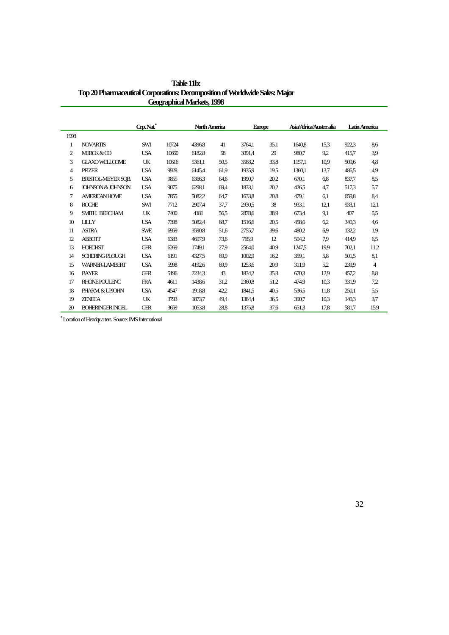|      |                           | Crp. Nat.  |       | North America |      | <b>Europe</b> |      | Asia/Africa/Austrr.alia |      |       | Latin America |
|------|---------------------------|------------|-------|---------------|------|---------------|------|-------------------------|------|-------|---------------|
| 1998 |                           |            |       |               |      |               |      |                         |      |       |               |
| 1    | <b>NOVARTIS</b>           | SWI        | 10724 | 4396.8        | 41   | 3764,1        | 35,1 | 1640,8                  | 15.3 | 922.3 | 8.6           |
| 2    | MERCK&CO                  | <b>USA</b> | 10660 | 6182.8        | 58   | 3091.4        | 29   | 980.7                   | 9.2  | 415,7 | 39            |
| 3    | <b>GLAXOWELLOME</b>       | UK         | 10616 | 5361.1        | 50.5 | 35882         | 33,8 | 1157.1                  | 10.9 | 509.6 | 4,8           |
| 4    | PFIZER                    | <b>USA</b> | 9928  | 6145.4        | 61.9 | 1935.9        | 195  | 1360.1                  | 13.7 | 486.5 | 49            |
| 5    | <b>BRISTOL-MEYER SOB.</b> | <b>USA</b> | 9855  | 63663         | 64,6 | 1990,7        | 20,2 | 670.1                   | 6.8  | 837.7 | 8,5           |
| 6    | JOHNSON & JOHNSON         | <b>USA</b> | 9075  | 6298,1        | 69,4 | 1833,1        | 20,2 | 426.5                   | 4,7  | 517,3 | 5,7           |
| 7    | <b>AMERICAN HOME</b>      | <b>USA</b> | 7855  | 5082.2        | 64,7 | 1633,8        | 20,8 | 479,1                   | 6,1  | 659.8 | 8,4           |
| 8    | <b>ROCHE</b>              | SWI        | 7712  | 2907.4        | 37,7 | 2930.5        | 38   | 933,1                   | 12,1 | 933,1 | 12,1          |
| 9    | SMITH. BEECHAM            | UK         | 7400  | 4181          | 56,5 | 2878.6        | 38.9 | 673,4                   | 9,1  | 407   | 5.5           |
| 10   | <b>IIIY</b>               | <b>USA</b> | 7398  | 5082.4        | 68,7 | 1516.6        | 20.5 | 458.6                   | 6.2  | 340,3 | 4,6           |
| 11   | <b>ASTRA</b>              | <b>SWE</b> | 6959  | 3590.8        | 51,6 | 2755,7        | 39,6 | 480.2                   | 69   | 132,2 | 1,9           |
| 12   | <b>ABBOIT</b>             | <b>USA</b> | 6383  | 4697.9        | 73,6 | 765.9         | 12   | 504.2                   | 79   | 414.9 | 6,5           |
| 13   | <b>HOECHST</b>            | ŒR         | 6269  | 1749.1        | 27,9 | 2564.0        | 40.9 | 1247.5                  | 19.9 | 702,1 | 11,2          |
| 14   | <b>SCHERING PLOUGH</b>    | <b>USA</b> | 6191  | 4327.5        | 69.9 | 1002.9        | 16.2 | 359,1                   | 5,8  | 501.5 | 8.1           |
| 15   | <b>WARNER-I AMBERT</b>    | <b>USA</b> | 5998  | 4192.6        | 69.9 | 1253,6        | 20.9 | 311.9                   | 5.2  | 239.9 | 4             |
| 16   | <b>BAYER</b>              | <b>GER</b> | 5196  | 2234.3        | 43   | 1834.2        | 35,3 | 670.3                   | 12.9 | 457.2 | 8,8           |
| 17   | <b>RHONE POULENC</b>      | <b>FRA</b> | 4611  | 1438.6        | 31.2 | 2360.8        | 51,2 | 474.9                   | 10.3 | 331.9 | 7.2           |
| 18   | PHARM & UPJOHN            | <b>USA</b> | 4547  | 1918.8        | 42,2 | 1841.5        | 40.5 | 536.5                   | 11.8 | 250,1 | 5.5           |
| 19   | <b>ZENECA</b>             | UK         | 3793  | 1873,7        | 49,4 | 1384.4        | 365  | 390,7                   | 10,3 | 140,3 | 3.7           |
| 20   | <b>BOHERINGER INGEL</b>   | ŒR         | 3659  | 1053.8        | 28,8 | 1375.8        | 37,6 | 651.3                   | 17.8 | 581,7 | 159           |

**Table 11b: Top 20 Pharmaceutical Corporations: Decomposition of Worldwide Sales: Major Geographical Markets, 1998**

**\*** Location of Headquarters. Source: IMS International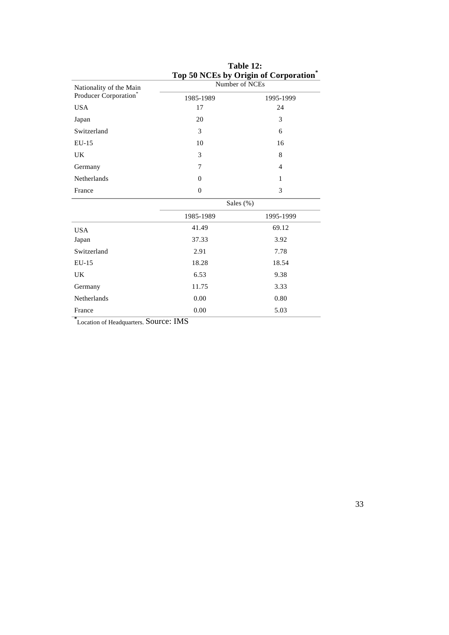|                         |                  | Top 50 INCES by Origin of Corporation |  |  |  |  |
|-------------------------|------------------|---------------------------------------|--|--|--|--|
| Nationality of the Main | Number of NCEs   |                                       |  |  |  |  |
| Producer Corporation*   | 1985-1989        | 1995-1999                             |  |  |  |  |
| <b>USA</b>              | 17               | 24                                    |  |  |  |  |
| Japan                   | 20               | 3                                     |  |  |  |  |
| Switzerland             | 3                | 6                                     |  |  |  |  |
| EU-15                   | 10               | 16                                    |  |  |  |  |
| UK                      | 3                | 8                                     |  |  |  |  |
| Germany                 | 7                | $\overline{4}$                        |  |  |  |  |
| Netherlands             | $\theta$         | $\mathbf{1}$                          |  |  |  |  |
| France                  | $\boldsymbol{0}$ | 3                                     |  |  |  |  |
|                         | Sales (%)        |                                       |  |  |  |  |
|                         | 1985-1989        | 1995-1999                             |  |  |  |  |
| <b>USA</b>              | 41.49            | 69.12                                 |  |  |  |  |
| Japan                   | 37.33            | 3.92                                  |  |  |  |  |
| Switzerland             | 2.91             | 7.78                                  |  |  |  |  |
| $EU-15$                 | 18.28            | 18.54                                 |  |  |  |  |
| UK                      | 6.53             | 9.38                                  |  |  |  |  |
| Germany                 | 11.75            | 3.33                                  |  |  |  |  |
| Netherlands             | 0.00             | 0.80                                  |  |  |  |  |
| France                  | 0.00             | 5.03                                  |  |  |  |  |

### **Table 12: Top 50 NCEs by Origin of Corporation\***

**\*** Location of Headquarters. Source: IMS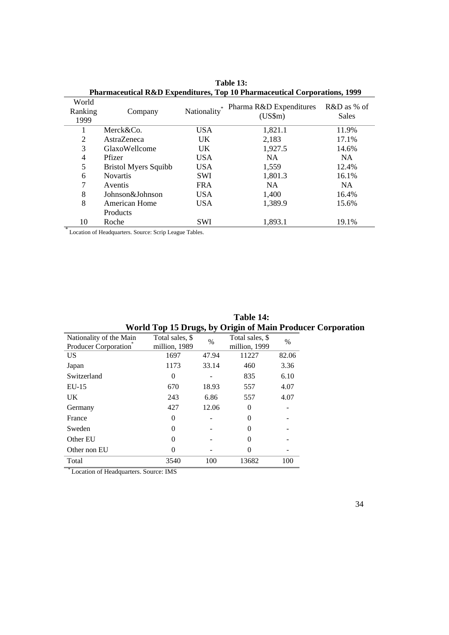| <b>FIREFIRE CONTROLLER IN A TEMPERATURE IN THE PROPERTY COMPORATIONS, 1999</b> |                             |             |                                         |                             |  |  |  |
|--------------------------------------------------------------------------------|-----------------------------|-------------|-----------------------------------------|-----------------------------|--|--|--|
| World<br>Ranking<br>1999                                                       | Company                     | Nationality | Pharma R&D Expenditures<br>$(US\$ m $)$ | R&D as % of<br><b>Sales</b> |  |  |  |
|                                                                                | Merck&Co.                   | <b>USA</b>  | 1,821.1                                 | 11.9%                       |  |  |  |
| 2                                                                              | AstraZeneca                 | UK.         | 2,183                                   | 17.1%                       |  |  |  |
| 3                                                                              | GlaxoWellcome               | UK.         | 1,927.5                                 | 14.6%                       |  |  |  |
| $\overline{4}$                                                                 | Pfizer                      | <b>USA</b>  | <b>NA</b>                               | NA.                         |  |  |  |
| 5                                                                              | <b>Bristol Myers Squibb</b> | <b>USA</b>  | 1,559                                   | 12.4%                       |  |  |  |
| 6                                                                              | <b>Novartis</b>             | <b>SWI</b>  | 1,801.3                                 | 16.1%                       |  |  |  |
| 7                                                                              | Aventis                     | <b>FRA</b>  | <b>NA</b>                               | NA.                         |  |  |  |
| 8                                                                              | Johnson&Johnson             | <b>USA</b>  | 1,400                                   | 16.4%                       |  |  |  |
| 8                                                                              | <b>American Home</b>        | <b>USA</b>  | 1,389.9                                 | 15.6%                       |  |  |  |
|                                                                                | Products                    |             |                                         |                             |  |  |  |
| 10<br>$\mathbb{R}$                                                             | Roche                       | SWI         | 1,893.1                                 | 19.1%                       |  |  |  |
|                                                                                |                             |             |                                         |                             |  |  |  |

**Table 13: Pharmaceutical R&D Expenditures, Top 10 Pharmaceutical Corporations, 1999**

Location of Headquarters. Source: Scrip League Tables.

|                                                 |                                  |       | World Top 15 Drugs, by Origin of Main Produce |       |
|-------------------------------------------------|----------------------------------|-------|-----------------------------------------------|-------|
| Nationality of the Main<br>Producer Corporation | Total sales, \$<br>million, 1989 | $\%$  | Total sales, \$<br>million, 1999              | $\%$  |
| <b>US</b>                                       | 1697                             | 47.94 | 11227                                         | 82.06 |
| Japan                                           | 1173                             | 33.14 | 460                                           | 3.36  |
| Switzerland                                     | $\theta$                         |       | 835                                           | 6.10  |
| $EU-15$                                         | 670                              | 18.93 | 557                                           | 4.07  |
| UK                                              | 243                              | 6.86  | 557                                           | 4.07  |
| Germany                                         | 427                              | 12.06 | $\Omega$                                      |       |
| France                                          | $\theta$                         |       | $\Omega$                                      |       |
| Sweden                                          |                                  |       | $\theta$                                      |       |
| Other EU                                        |                                  |       | $\Omega$                                      |       |
| Other non EU                                    | 0                                |       | 0                                             |       |
| Total                                           | 3540                             | 100   | 13682                                         | 100   |
| $* -$                                           |                                  |       |                                               |       |

**Table 14: World Top 15 Drugs, by Origin of Main Producer Corporation**

\* Location of Headquarters. Source: IMS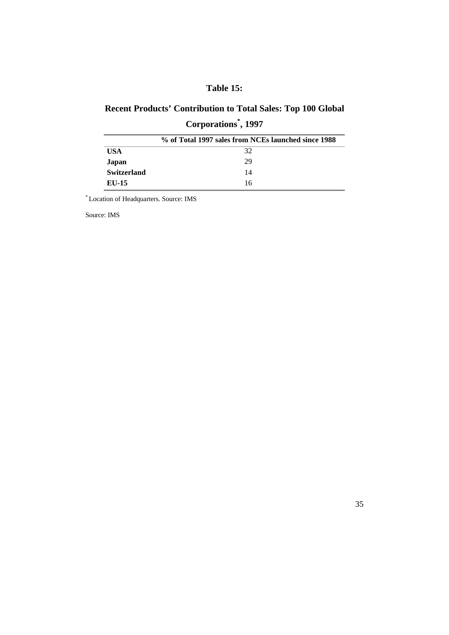# **Table 15:**

# **Recent Products' Contribution to Total Sales: Top 100 Global Corporations\* , 1997**

|                    | % of Total 1997 sales from NCEs launched since 1988 |
|--------------------|-----------------------------------------------------|
| USA                | 32                                                  |
| Japan              | 29                                                  |
| <b>Switzerland</b> | 14                                                  |
| EU-15              | 16                                                  |

\* Location of Headquarters. Source: IMS

Source: IMS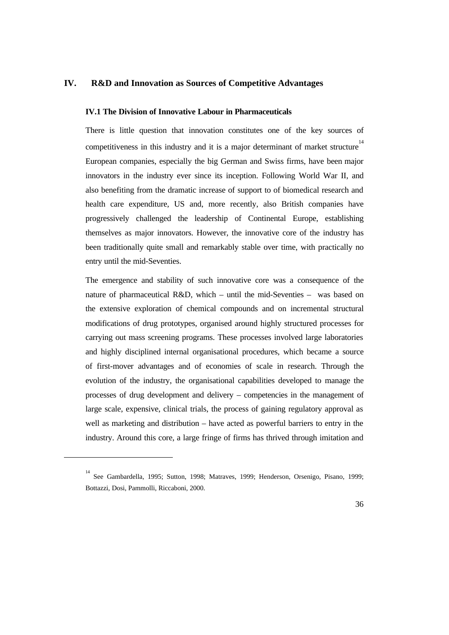#### **IV. R&D and Innovation as Sources of Competitive Advantages**

#### **IV.1 The Division of Innovative Labour in Pharmaceuticals**

There is little question that innovation constitutes one of the key sources of competitiveness in this industry and it is a major determinant of market structure<sup>14</sup> European companies, especially the big German and Swiss firms, have been major innovators in the industry ever since its inception. Following World War II, and also benefiting from the dramatic increase of support to of biomedical research and health care expenditure, US and, more recently, also British companies have progressively challenged the leadership of Continental Europe, establishing themselves as major innovators. However, the innovative core of the industry has been traditionally quite small and remarkably stable over time, with practically no entry until the mid-Seventies.

The emergence and stability of such innovative core was a consequence of the nature of pharmaceutical R&D, which – until the mid-Seventies – was based on the extensive exploration of chemical compounds and on incremental structural modifications of drug prototypes, organised around highly structured processes for carrying out mass screening programs. These processes involved large laboratories and highly disciplined internal organisational procedures, which became a source of first-mover advantages and of economies of scale in research. Through the evolution of the industry, the organisational capabilities developed to manage the processes of drug development and delivery – competencies in the management of large scale, expensive, clinical trials, the process of gaining regulatory approval as well as marketing and distribution – have acted as powerful barriers to entry in the industry. Around this core, a large fringe of firms has thrived through imitation and

 $\overline{a}$ 

<sup>14</sup> See Gambardella, 1995; Sutton, 1998; Matraves, 1999; Henderson, Orsenigo, Pisano, 1999; Bottazzi, Dosi, Pammolli, Riccaboni, 2000.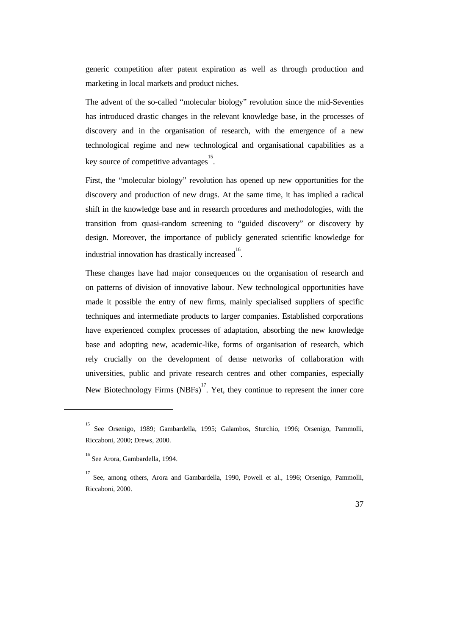generic competition after patent expiration as well as through production and marketing in local markets and product niches.

The advent of the so-called "molecular biology" revolution since the mid-Seventies has introduced drastic changes in the relevant knowledge base, in the processes of discovery and in the organisation of research, with the emergence of a new technological regime and new technological and organisational capabilities as a key source of competitive advantages 15 .

First, the "molecular biology" revolution has opened up new opportunities for the discovery and production of new drugs. At the same time, it has implied a radical shift in the knowledge base and in research procedures and methodologies, with the transition from quasi-random screening to "guided discovery" or discovery by design. Moreover, the importance of publicly generated scientific knowledge for industrial innovation has drastically increased<sup>16</sup>.

These changes have had major consequences on the organisation of research and on patterns of division of innovative labour. New technological opportunities have made it possible the entry of new firms, mainly specialised suppliers of specific techniques and intermediate products to larger companies. Established corporations have experienced complex processes of adaptation, absorbing the new knowledge base and adopting new, academic-like, forms of organisation of research, which rely crucially on the development of dense networks of collaboration with universities, public and private research centres and other companies, especially New Biotechnology Firms (NBFs)<sup>17</sup>. Yet, they continue to represent the inner core

 $\overline{a}$ 

<sup>15</sup> See Orsenigo, 1989; Gambardella, 1995; Galambos, Sturchio, 1996; Orsenigo, Pammolli, Riccaboni, 2000; Drews, 2000.

<sup>16</sup> See Arora, Gambardella, 1994.

<sup>&</sup>lt;sup>17</sup> See, among others, Arora and Gambardella, 1990, Powell et al., 1996; Orsenigo, Pammolli, Riccaboni, 2000.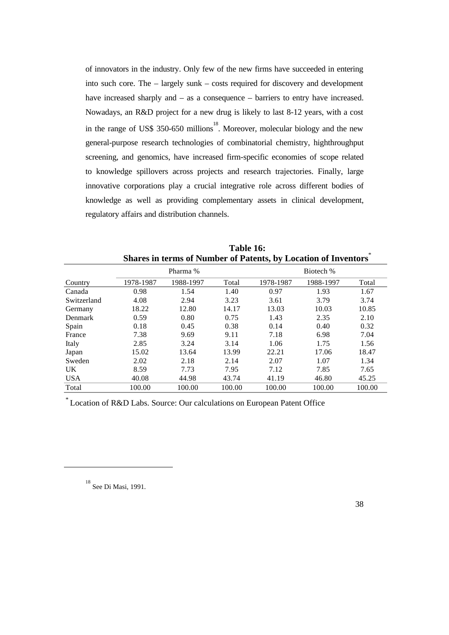of innovators in the industry. Only few of the new firms have succeeded in entering into such core. The – largely sunk – costs required for discovery and development have increased sharply and – as a consequence – barriers to entry have increased. Nowadays, an R&D project for a new drug is likely to last 8-12 years, with a cost in the range of US\$ 350-650 millions<sup>18</sup>. Moreover, molecular biology and the new general-purpose research technologies of combinatorial chemistry, highthroughput screening, and genomics, have increased firm-specific economies of scope related to knowledge spillovers across projects and research trajectories. Finally, large innovative corporations play a crucial integrative role across different bodies of knowledge as well as providing complementary assets in clinical development, regulatory affairs and distribution channels.

|             |           | Shares in terms of infinition of Fatellis, by Eocation of Hiventors |        |           |           |        |  |  |  |
|-------------|-----------|---------------------------------------------------------------------|--------|-----------|-----------|--------|--|--|--|
|             |           | Pharma %                                                            |        | Biotech % |           |        |  |  |  |
| Country     | 1978-1987 | 1988-1997                                                           | Total  | 1978-1987 | 1988-1997 | Total  |  |  |  |
| Canada      | 0.98      | 1.54                                                                | 1.40   | 0.97      | 1.93      | 1.67   |  |  |  |
| Switzerland | 4.08      | 2.94                                                                | 3.23   | 3.61      | 3.79      | 3.74   |  |  |  |
| Germany     | 18.22     | 12.80                                                               | 14.17  | 13.03     | 10.03     | 10.85  |  |  |  |
| Denmark     | 0.59      | 0.80                                                                | 0.75   | 1.43      | 2.35      | 2.10   |  |  |  |
| Spain       | 0.18      | 0.45                                                                | 0.38   | 0.14      | 0.40      | 0.32   |  |  |  |
| France      | 7.38      | 9.69                                                                | 9.11   | 7.18      | 6.98      | 7.04   |  |  |  |
| Italy       | 2.85      | 3.24                                                                | 3.14   | 1.06      | 1.75      | 1.56   |  |  |  |
| Japan       | 15.02     | 13.64                                                               | 13.99  | 22.21     | 17.06     | 18.47  |  |  |  |
| Sweden      | 2.02      | 2.18                                                                | 2.14   | 2.07      | 1.07      | 1.34   |  |  |  |
| <b>UK</b>   | 8.59      | 7.73                                                                | 7.95   | 7.12      | 7.85      | 7.65   |  |  |  |
| <b>USA</b>  | 40.08     | 44.98                                                               | 43.74  | 41.19     | 46.80     | 45.25  |  |  |  |
| Total       | 100.00    | 100.00                                                              | 100.00 | 100.00    | 100.00    | 100.00 |  |  |  |

**Table 16: Shares in terms of Number of Patents, by Location of Inventors**\*

\* Location of R&D Labs. Source: Our calculations on European Patent Office

 $\overline{a}$ 

<sup>18</sup> See Di Masi, 1991.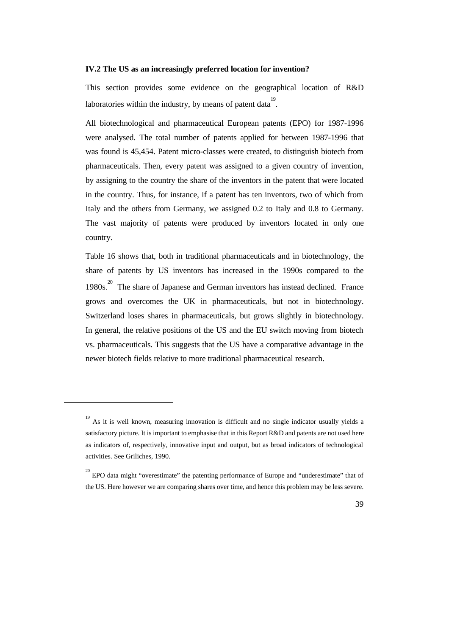#### **IV.2 The US as an increasingly preferred location for invention?**

This section provides some evidence on the geographical location of R&D laboratories within the industry, by means of patent data<sup>19</sup>.

All biotechnological and pharmaceutical European patents (EPO) for 1987-1996 were analysed. The total number of patents applied for between 1987-1996 that was found is 45,454. Patent micro-classes were created, to distinguish biotech from pharmaceuticals. Then, every patent was assigned to a given country of invention, by assigning to the country the share of the inventors in the patent that were located in the country. Thus, for instance, if a patent has ten inventors, two of which from Italy and the others from Germany, we assigned 0.2 to Italy and 0.8 to Germany. The vast majority of patents were produced by inventors located in only one country.

Table 16 shows that, both in traditional pharmaceuticals and in biotechnology, the share of patents by US inventors has increased in the 1990s compared to the 1980s.<sup>20</sup> The share of Japanese and German inventors has instead declined. France grows and overcomes the UK in pharmaceuticals, but not in biotechnology. Switzerland loses shares in pharmaceuticals, but grows slightly in biotechnology. In general, the relative positions of the US and the EU switch moving from biotech vs. pharmaceuticals. This suggests that the US have a comparative advantage in the newer biotech fields relative to more traditional pharmaceutical research.

 $\overline{a}$ 

<sup>&</sup>lt;sup>20</sup> EPO data might "overestimate" the patenting performance of Europe and "underestimate" that of the US. Here however we are comparing shares over time, and hence this problem may be less severe.



<sup>&</sup>lt;sup>19</sup> As it is well known, measuring innovation is difficult and no single indicator usually yields a satisfactory picture. It is important to emphasise that in this Report R&D and patents are not used here as indicators of, respectively, innovative input and output, but as broad indicators of technological activities. See Griliches, 1990.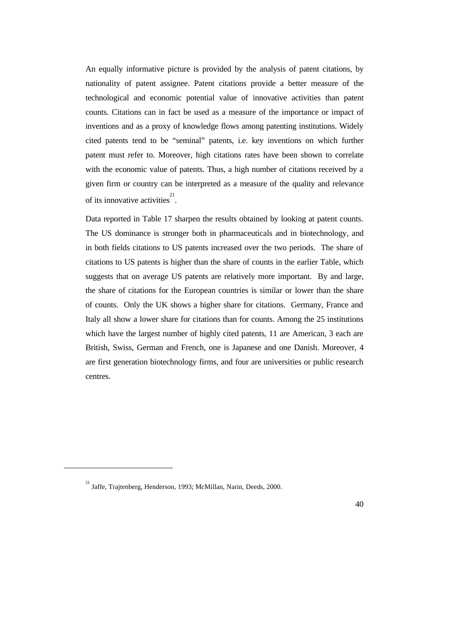An equally informative picture is provided by the analysis of patent citations, by nationality of patent assignee. Patent citations provide a better measure of the technological and economic potential value of innovative activities than patent counts. Citations can in fact be used as a measure of the importance or impact of inventions and as a proxy of knowledge flows among patenting institutions. Widely cited patents tend to be "seminal" patents, i.e. key inventions on which further patent must refer to. Moreover, high citations rates have been shown to correlate with the economic value of patents. Thus, a high number of citations received by a given firm or country can be interpreted as a measure of the quality and relevance of its innovative activities<sup>21</sup>.

Data reported in Table 17 sharpen the results obtained by looking at patent counts. The US dominance is stronger both in pharmaceuticals and in biotechnology, and in both fields citations to US patents increased over the two periods. The share of citations to US patents is higher than the share of counts in the earlier Table, which suggests that on average US patents are relatively more important. By and large, the share of citations for the European countries is similar or lower than the share of counts. Only the UK shows a higher share for citations. Germany, France and Italy all show a lower share for citations than for counts. Among the 25 institutions which have the largest number of highly cited patents, 11 are American, 3 each are British, Swiss, German and French, one is Japanese and one Danish. Moreover, 4 are first generation biotechnology firms, and four are universities or public research centres.

 $\overline{a}$ 

<sup>&</sup>lt;sup>21</sup> Jaffe, Trajtenberg, Henderson, 1993; McMillan, Narin, Deeds, 2000.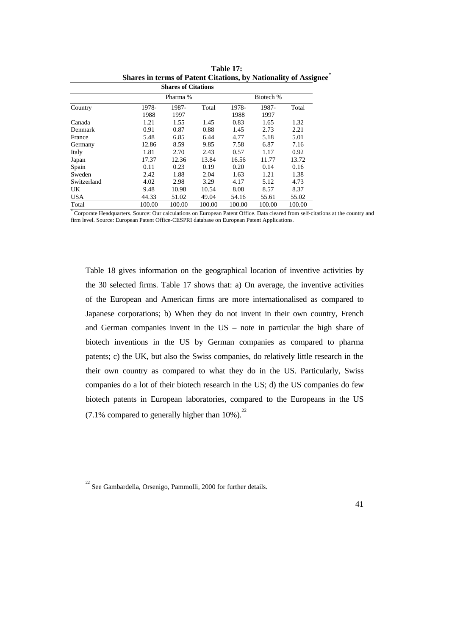| <b>Shares of Citations</b> |        |        |        |        |        |        |  |  |  |  |  |
|----------------------------|--------|--------|--------|--------|--------|--------|--|--|--|--|--|
| Biotech %<br>Pharma %      |        |        |        |        |        |        |  |  |  |  |  |
| Country                    | 1978-  | 1987-  | Total  | 1978-  | 1987-  | Total  |  |  |  |  |  |
|                            | 1988   | 1997   |        | 1988   | 1997   |        |  |  |  |  |  |
| Canada                     | 1.21   | 1.55   | 1.45   | 0.83   | 1.65   | 1.32   |  |  |  |  |  |
| Denmark                    | 0.91   | 0.87   | 0.88   | 1.45   | 2.73   | 2.21   |  |  |  |  |  |
| France                     | 5.48   | 6.85   | 6.44   | 4.77   | 5.18   | 5.01   |  |  |  |  |  |
| Germany                    | 12.86  | 8.59   | 9.85   | 7.58   | 6.87   | 7.16   |  |  |  |  |  |
| Italy                      | 1.81   | 2.70   | 2.43   | 0.57   | 1.17   | 0.92   |  |  |  |  |  |
| Japan                      | 17.37  | 12.36  | 13.84  | 16.56  | 11.77  | 13.72  |  |  |  |  |  |
| Spain                      | 0.11   | 0.23   | 0.19   | 0.20   | 0.14   | 0.16   |  |  |  |  |  |
| Sweden                     | 2.42   | 1.88   | 2.04   | 1.63   | 1.21   | 1.38   |  |  |  |  |  |
| Switzerland                | 4.02   | 2.98   | 3.29   | 4.17   | 5.12   | 4.73   |  |  |  |  |  |
| UK                         | 9.48   | 10.98  | 10.54  | 8.08   | 8.57   | 8.37   |  |  |  |  |  |
| <b>USA</b>                 | 44.33  | 51.02  | 49.04  | 54.16  | 55.61  | 55.02  |  |  |  |  |  |
| Total                      | 100.00 | 100.00 | 100.00 | 100.00 | 100.00 | 100.00 |  |  |  |  |  |

**Table 17: Shares in terms of Patent Citations, by Nationality of Assignee**\*

\* Corporate Headquarters. Source: Our calculations on European Patent Office. Data cleared from self-citations at the country and firm level. Source: European Patent Office-CESPRI database on European Patent Applications.

Table 18 gives information on the geographical location of inventive activities by the 30 selected firms. Table 17 shows that: a) On average, the inventive activities of the European and American firms are more internationalised as compared to Japanese corporations; b) When they do not invent in their own country, French and German companies invent in the US – note in particular the high share of biotech inventions in the US by German companies as compared to pharma patents; c) the UK, but also the Swiss companies, do relatively little research in the their own country as compared to what they do in the US. Particularly, Swiss companies do a lot of their biotech research in the US; d) the US companies do few biotech patents in European laboratories, compared to the Europeans in the US  $(7.1\%$  compared to generally higher than 10%).<sup>22</sup>

 $\overline{a}$ 

 $22$  See Gambardella, Orsenigo, Pammolli, 2000 for further details.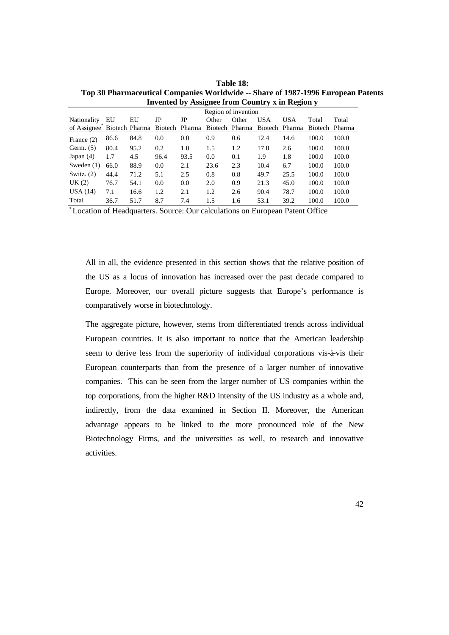|                                                        | Region of invention |      |      |      |                |       |                |            |         |        |  |
|--------------------------------------------------------|---------------------|------|------|------|----------------|-------|----------------|------------|---------|--------|--|
| Nationality                                            | EU                  | EU   | JP   | JP   | Other          | Other | <b>USA</b>     | <b>USA</b> | Total   | Total  |  |
| of Assignee <sup>"</sup> Biotech Pharma Biotech Pharma |                     |      |      |      | Biotech Pharma |       | Biotech Pharma |            | Biotech | Pharma |  |
| France (2)                                             | 86.6                | 84.8 | 0.0  | 0.0  | 0.9            | 0.6   | 12.4           | 14.6       | 100.0   | 100.0  |  |
| Germ. $(5)$                                            | 80.4                | 95.2 | 0.2  | 1.0  | 1.5            | 1.2   | 17.8           | 2.6        | 100.0   | 100.0  |  |
| Japan $(4)$                                            | 1.7                 | 4.5  | 96.4 | 93.5 | 0.0            | 0.1   | 1.9            | 1.8        | 100.0   | 100.0  |  |
| Sweden $(1)$                                           | 66.0                | 88.9 | 0.0  | 2.1  | 23.6           | 2.3   | 10.4           | 6.7        | 100.0   | 100.0  |  |
| Switz. $(2)$                                           | 44.4                | 71.2 | 5.1  | 2.5  | 0.8            | 0.8   | 49.7           | 25.5       | 100.0   | 100.0  |  |
| UK(2)                                                  | 76.7                | 54.1 | 0.0  | 0.0  | 2.0            | 0.9   | 21.3           | 45.0       | 100.0   | 100.0  |  |
| USA(14)                                                | 7.1                 | 16.6 | 1.2  | 2.1  | 1.2            | 2.6   | 90.4           | 78.7       | 100.0   | 100.0  |  |
| Total                                                  | 36.7                | 51.7 | 8.7  | 7.4  | 1.5            | 1.6   | 53.1           | 39.2       | 100.0   | 100.0  |  |

**Table 18: Top 30 Pharmaceutical Companies Worldwide -- Share of 1987-1996 European Patents Invented by Assignee from Country x in Region y**

\* Location of Headquarters. Source: Our calculations on European Patent Office

All in all, the evidence presented in this section shows that the relative position of the US as a locus of innovation has increased over the past decade compared to Europe. Moreover, our overall picture suggests that Europe's performance is comparatively worse in biotechnology.

The aggregate picture, however, stems from differentiated trends across individual European countries. It is also important to notice that the American leadership seem to derive less from the superiority of individual corporations vis-à-vis their European counterparts than from the presence of a larger number of innovative companies. This can be seen from the larger number of US companies within the top corporations, from the higher R&D intensity of the US industry as a whole and, indirectly, from the data examined in Section II. Moreover, the American advantage appears to be linked to the more pronounced role of the New Biotechnology Firms, and the universities as well, to research and innovative activities.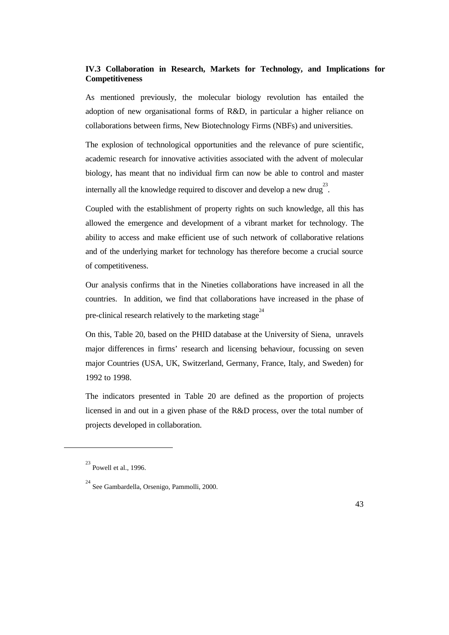### **IV.3 Collaboration in Research, Markets for Technology, and Implications for Competitiveness**

As mentioned previously, the molecular biology revolution has entailed the adoption of new organisational forms of R&D, in particular a higher reliance on collaborations between firms, New Biotechnology Firms (NBFs) and universities.

The explosion of technological opportunities and the relevance of pure scientific, academic research for innovative activities associated with the advent of molecular biology, has meant that no individual firm can now be able to control and master internally all the knowledge required to discover and develop a new drug<sup>23</sup>.

Coupled with the establishment of property rights on such knowledge, all this has allowed the emergence and development of a vibrant market for technology. The ability to access and make efficient use of such network of collaborative relations and of the underlying market for technology has therefore become a crucial source of competitiveness.

Our analysis confirms that in the Nineties collaborations have increased in all the countries. In addition, we find that collaborations have increased in the phase of pre-clinical research relatively to the marketing stage<sup>24</sup>

On this, Table 20, based on the PHID database at the University of Siena, unravels major differences in firms' research and licensing behaviour, focussing on seven major Countries (USA, UK, Switzerland, Germany, France, Italy, and Sweden) for 1992 to 1998.

The indicators presented in Table 20 are defined as the proportion of projects licensed in and out in a given phase of the R&D process, over the total number of projects developed in collaboration.

 $\overline{a}$ 

 $^{23}$  Powell et al., 1996.

<sup>24</sup> See Gambardella, Orsenigo, Pammolli, 2000.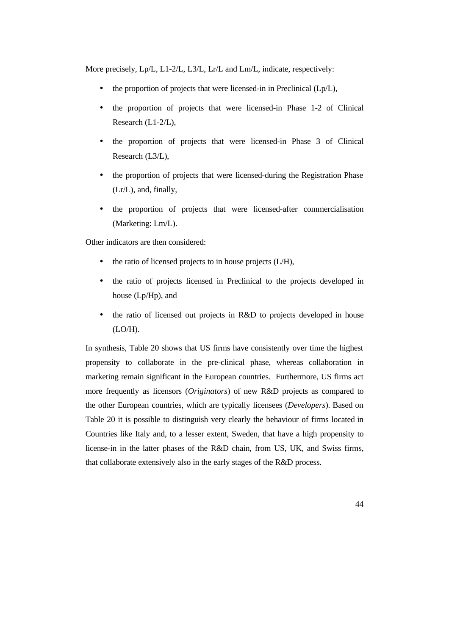More precisely, Lp/L, L1-2/L, L3/L, Lr/L and Lm/L, indicate, respectively:

- the proportion of projects that were licensed-in in Preclinical  $(Lp/L)$ ,
- the proportion of projects that were licensed-in Phase 1-2 of Clinical Research (L1-2/L),
- the proportion of projects that were licensed-in Phase 3 of Clinical Research (L3/L),
- the proportion of projects that were licensed-during the Registration Phase (Lr/L), and, finally,
- the proportion of projects that were licensed-after commercialisation (Marketing: Lm/L).

Other indicators are then considered:

- $\bullet$  the ratio of licensed projects to in house projects (L/H),
- the ratio of projects licensed in Preclinical to the projects developed in house (Lp/Hp), and
- the ratio of licensed out projects in R&D to projects developed in house (LO/H).

In synthesis, Table 20 shows that US firms have consistently over time the highest propensity to collaborate in the pre-clinical phase, whereas collaboration in marketing remain significant in the European countries. Furthermore, US firms act more frequently as licensors (*Originators*) of new R&D projects as compared to the other European countries, which are typically licensees (*Developers*). Based on Table 20 it is possible to distinguish very clearly the behaviour of firms located in Countries like Italy and, to a lesser extent, Sweden, that have a high propensity to license-in in the latter phases of the R&D chain, from US, UK, and Swiss firms, that collaborate extensively also in the early stages of the R&D process.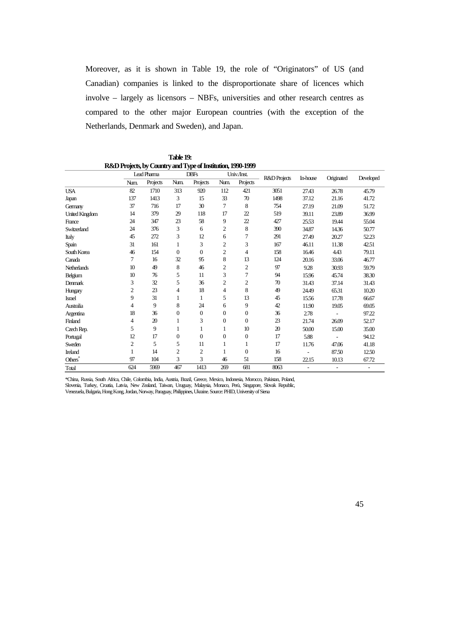Moreover, as it is shown in Table 19, the role of "Originators" of US (and Canadian) companies is linked to the disproportionate share of licences which involve – largely as licensors – NBFs, universities and other research centres as compared to the other major European countries (with the exception of the Netherlands, Denmark and Sweden), and Japan.

|                       |                | $\sim$<br>Lead Pharma | ₩Γ<br><b>DBFs</b> |              |                | Univ./Inst.      |              |                          |                          |                          |
|-----------------------|----------------|-----------------------|-------------------|--------------|----------------|------------------|--------------|--------------------------|--------------------------|--------------------------|
|                       | Num.           | Projects              | Num.              | Projects     | Num.           | Projects         | R&D Projects | In-house                 | Originated               | Developed                |
| <b>USA</b>            | 82             | 1710                  | 313               | 920          | 112            | 421              | 3051         | 27.43                    | 26.78                    | 45.79                    |
| Japan                 | 137            | 1413                  | 3                 | 15           | 33             | 70               | 1498         | 37.12                    | 21.16                    | 41.72                    |
| Germany               | 37             | 716                   | 17                | 30           | $\overline{7}$ | 8                | 754          | 27.19                    | 21.09                    | 51.72                    |
| <b>United Kingdom</b> | 14             | 379                   | 29                | 118          | 17             | 22               | 519          | 39.11                    | 23.89                    | 36.99                    |
| France                | 24             | 347                   | 23                | 58           | 9              | 22               | 427          | 25.53                    | 19.44                    | 55.04                    |
| Switzerland           | 24             | 376                   | 3                 | 6            | $\mathfrak{2}$ | 8                | 390          | 34.87                    | 14.36                    | 50.77                    |
| Italy                 | 45             | 272                   | 3                 | 12           | 6              | 7                | 291          | 27.49                    | 20.27                    | 52.23                    |
| Spain                 | 31             | 161                   | 1                 | 3            | $\overline{2}$ | 3                | 167          | 46.11                    | 11.38                    | 42.51                    |
| South Korea           | 46             | 154                   | $\boldsymbol{0}$  | $\mathbf{0}$ | $\overline{c}$ | 4                | 158          | 16.46                    | 4.43                     | 79.11                    |
| Canada                | 7              | 16                    | 32                | 95           | 8              | 13               | 124          | 20.16                    | 33.06                    | 46.77                    |
| <b>Netherlands</b>    | 10             | 49                    | 8                 | 46           | $\overline{c}$ | 2                | 97           | 9.28                     | 30.93                    | 59.79                    |
| Belgium               | 10             | 76                    | 5                 | 11           | 3              | 7                | 94           | 15.96                    | 45.74                    | 38.30                    |
| <b>Denmark</b>        | 3              | 32                    | 5                 | 36           | $\overline{c}$ | $\boldsymbol{2}$ | 70           | 31.43                    | 37.14                    | 31.43                    |
| Hungary               | $\overline{2}$ | 23                    | 4                 | 18           | $\overline{4}$ | 8                | 49           | 24.49                    | 65.31                    | 10.20                    |
| <b>Israel</b>         | 9              | 31                    | 1                 | 1            | 5              | 13               | 45           | 15.56                    | 17.78                    | 66.67                    |
| Australia             | 4              | 9                     | 8                 | 24           | 6              | 9                | 42           | 11.90                    | 19.05                    | 69.05                    |
| Argentina             | 18             | 36                    | $\boldsymbol{0}$  | $\mathbf{0}$ | $\overline{0}$ | $\boldsymbol{0}$ | 36           | 2.78                     | $\overline{\phantom{a}}$ | 97.22                    |
| Finland               | 4              | 20                    | 1                 | 3            | $\mathbf{0}$   | $\overline{0}$   | 23           | 21.74                    | 26.09                    | 52.17                    |
| Czech Rep.            | 5              | 9                     | 1                 | 1            | 1              | 10               | 20           | 50.00                    | 15.00                    | 35.00                    |
| Portugal              | 12             | 17                    | $\boldsymbol{0}$  | $\theta$     | $\overline{0}$ | $\boldsymbol{0}$ | 17           | 5.88                     |                          | 94.12                    |
| Sweden                | 2              | 5                     | 5                 | 11           | $\mathbf{1}$   | 1                | 17           | 11.76                    | 47.06                    | 41.18                    |
| <b>Ireland</b>        |                | 14                    | 2                 | 2            | 1              | $\boldsymbol{0}$ | 16           |                          | 87.50                    | 12.50                    |
| Others <sup>*</sup>   | 97             | 104                   | 3                 | 3            | 46             | 51               | 158          | 22.15                    | 10.13                    | 67.72                    |
| Total                 | 624            | 5969                  | 467               | 1413         | 269            | 681              | 8063         | $\overline{\phantom{a}}$ | $\overline{\phantom{a}}$ | $\overline{\phantom{a}}$ |

**Table 19: R&D Projects, by Country and Type of Institution, 1990-1999**

\*China, Russia, South Africa, Chile, Colombia, India, Austria, Brazil, Greece, Mexico, Indonesia, Morocco, Pakistan, Poland, Slovenia, Turkey, Croatia, Latvia, New Zealand, Taiwan, Uruguay, Malaysia, Monaco, Perù, Singapore, Slovak Republic, Venezuela, Bulgaria, Hong Kong, Jordan, Norway, Paraguay, Philippines, Ukraine. Source: PHID, University of Siena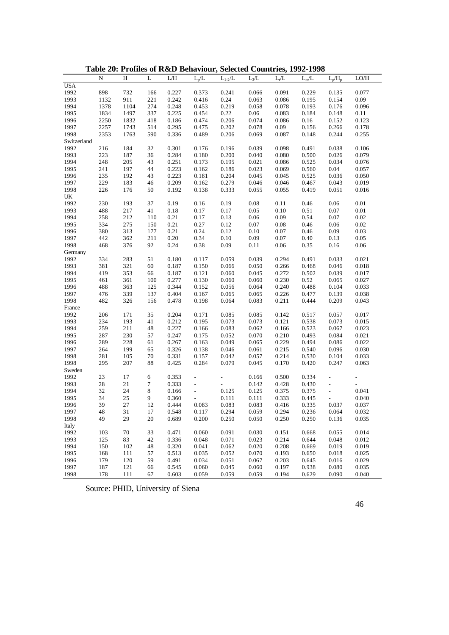|              | N          | Η          | L        | L/H            | $L_p/L$                  | $L_{1-2}/L$              | $L_3/L$ | $L_r/L$        | $L_m/L$        | $L_p/H_p$                | LO/H                     |
|--------------|------------|------------|----------|----------------|--------------------------|--------------------------|---------|----------------|----------------|--------------------------|--------------------------|
| <b>USA</b>   |            |            |          |                |                          |                          |         |                |                |                          |                          |
| 1992         | 898        | 732        | 166      | 0.227          | 0.373                    | 0.241                    | 0.066   | 0.091          | 0.229          | 0.135                    | 0.077                    |
| 1993         | 1132       | 911        | 221      | 0.242          | 0.416                    | 0.24                     | 0.063   | 0.086          | 0.195          | 0.154                    | 0.09                     |
| 1994         | 1378       | 1104       | 274      | 0.248          | 0.453                    | 0.219                    | 0.058   | 0.078          | 0.193          | 0.176                    | 0.096                    |
| 1995         | 1834       | 1497       | 337      | 0.225          | 0.454                    | 0.22                     | 0.06    | 0.083          | 0.184          | 0.148                    | 0.11                     |
| 1996         | 2250       | 1832       | 418      | 0.186          | 0.474                    | 0.206                    | 0.074   | 0.086          | 0.16           | 0.152                    | 0.123                    |
| 1997         | 2257       | 1743       | 514      | 0.295          | 0.475                    | 0.202                    | 0.078   | 0.09           | 0.156          | 0.266                    | 0.178                    |
| 1998         | 2353       | 1763       | 590      | 0.336          | 0.489                    | 0.206                    | 0.069   | 0.087          | 0.148          | 0.244                    | 0.255                    |
| Switzerland  |            |            |          |                |                          |                          |         |                |                |                          |                          |
| 1992         | 216        | 184        | 32       | 0.301          | 0.176                    | 0.196                    | 0.039   | 0.098          | 0.491          | 0.038                    | 0.106                    |
| 1993         | 223        | 187        | 36       | 0.284          | 0.180                    | 0.200                    | 0.040   | 0.080          | 0.500          | 0.026                    | 0.079                    |
| 1994         | 248        | 205        | 43       | 0.251          | 0.173                    | 0.195                    | 0.021   | 0.086          | 0.525          | 0.034                    | 0.076                    |
| 1995         | 241        | 197        | 44       | 0.223          | 0.162                    | 0.186                    | 0.023   | 0.069          | 0.560          | 0.04                     | 0.057                    |
| 1996         | 235        | 192        | 43       | 0.223          | 0.181                    | 0.204                    | 0.045   | 0.045          | 0.525          | 0.036                    | 0.050                    |
| 1997         | 229        | 183        | 46       | 0.209          | 0.162                    | 0.279                    | 0.046   | 0.046          | 0.467          | 0.043                    | 0.019                    |
| 1998         | 226        | 176        | 50       | 0.192          | 0.138                    | 0.333                    | 0.055   | 0.055          | 0.419          | 0.051                    | 0.016                    |
| UK           |            |            |          |                |                          |                          |         |                |                |                          |                          |
| 1992         | 230        | 193        | 37       | 0.19           | 0.16                     | 0.19                     | 0.08    | 0.11           | 0.46           | 0.06                     | 0.01                     |
| 1993         | 488        | 217        | 41       | 0.18           | 0.17                     | 0.17                     | 0.05    | $0.10\,$       | $0.51\,$       | 0.07                     | $0.01\,$                 |
| 1994         | 258        | 212        | 110      | 0.21           | 0.17                     | 0.13                     | 0.06    | 0.09           | 0.54           | 0.07                     | 0.02                     |
| 1995         | 334        | 275        | 150      | 0.21           | 0.27                     | 0.12                     | 0.07    | 0.08           | 0.46           | 0.06                     | 0.02                     |
| 1996         | 380        | 313        | 177      | 0.21           | 0.24                     | 0.12                     | 0.10    | 0.07           | 0.46           | 0.09                     | 0.03                     |
| 1997         | 442        | 362        | 211      | 0.20           | 0.34                     | 0.10                     | 0.09    | 0.07           | 0.40           | 0.13                     | 0.05                     |
| 1998         | 468        | 376        | 92       | 0.24           | 0.38                     | 0.09                     | 0.11    | 0.06           | 0.35           | 0.16                     | 0.06                     |
| Germany      |            |            |          |                |                          |                          |         |                |                |                          |                          |
| 1992         | 334        | 283        | 51       | 0.180          | 0.117                    | 0.059                    | 0.039   | 0.294          | 0.491          | 0.033                    | 0.021                    |
| 1993         | 381        | 321        | 60       | 0.187          | 0.150                    | 0.066                    | 0.050   | 0.266          | 0.468          | 0.046                    | 0.018                    |
| 1994         | 419        | 353        | 66       | 0.187          | 0.121                    | 0.060                    | 0.045   | 0.272          | 0.502          | 0.039                    | 0.017                    |
| 1995         | 461        | 361        | 100      | 0.277          | 0.130                    | 0.060                    | 0.060   | 0.230          | 0.52           | 0.065                    | 0.027                    |
| 1996         | 488        | 363        | 125      | 0.344          | 0.152                    | 0.056                    | 0.064   | 0.240          | 0.488          | 0.104                    | 0.033                    |
| 1997         | 476        | 339        | 137      | 0.404          | 0.167                    | 0.065                    | 0.065   | 0.226          | 0.477          | 0.139                    | 0.038                    |
| 1998         | 482        | 326        | 156      | 0.478          | 0.198                    | 0.064                    | 0.083   | 0.211          | 0.444          | 0.209                    | 0.043                    |
| France       |            |            |          |                |                          |                          |         |                |                |                          |                          |
| 1992         | 206        | 171        | 35       | 0.204          | 0.171                    | 0.085                    | 0.085   | 0.142          | 0.517          | 0.057                    | 0.017                    |
| 1993         | 234        | 193        | 41       | 0.212          | 0.195                    | 0.073                    | 0.073   | 0.121          | 0.538          | 0.073                    | 0.015                    |
| 1994         | 259        | 211        | 48       | 0.227          | 0.166                    | 0.083                    | 0.062   | 0.166          | 0.523          | 0.067                    | 0.023                    |
| 1995         | 287        | 230        | 57       | 0.247          | 0.175                    | 0.052                    | 0.070   | 0.210          | 0.493          | 0.084                    | 0.021                    |
| 1996         | 289        | 228        | 61       | 0.267          | 0.163                    | 0.049                    | 0.065   | 0.229          | 0.494          | 0.086                    | 0.022                    |
| 1997         | 264        | 199        | 65       | 0.326          | 0.138                    |                          |         | 0.215          |                | 0.096                    | 0.030                    |
|              |            |            |          |                |                          | 0.046                    | 0.061   |                | 0.540          |                          |                          |
| 1998<br>1998 | 281<br>295 | 105<br>207 | 70<br>88 | 0.331<br>0.425 | 0.157<br>0.284           | 0.042<br>0.079           | 0.057   | 0.214<br>0.170 | 0.530<br>0.420 | 0.104<br>0.247           | 0.033<br>0.063           |
|              |            |            |          |                |                          |                          | 0.045   |                |                |                          |                          |
| Sweden       |            |            |          |                |                          |                          |         |                |                |                          |                          |
| 1992         | 23         | 17         | 6        | 0.353          | $\overline{\phantom{a}}$ | $\overline{\phantom{a}}$ | 0.166   | 0.500          | 0.334          | $\frac{1}{2}$            | $\overline{\phantom{a}}$ |
| 1993         | $28\,$     | 21         | 7        | 0.333          | $\overline{\phantom{a}}$ | $\overline{\phantom{a}}$ | 0.142   | 0.428          | 0.430          | $\overline{\phantom{a}}$ | $\overline{\phantom{a}}$ |
| 1994         | 32         | 24         | 8        | 0.166          | $\overline{\phantom{a}}$ | 0.125                    | 0.125   | 0.375          | 0.375          | $\blacksquare$           | 0.041                    |
| 1995         | 34         | 25         | 9        | 0.360          | $\overline{a}$           | 0.111                    | 0.111   | 0.333          | 0.445          | $\overline{\phantom{a}}$ | 0.040                    |
| 1996         | 39         | 27         | 12       | 0.444          | 0.083                    | 0.083                    | 0.083   | 0.416          | 0.335          | 0.037                    | 0.037                    |
| 1997         | 48         | 31         | 17       | 0.548          | 0.117                    | 0.294                    | 0.059   | 0.294          | 0.236          | 0.064                    | 0.032                    |
| 1998         | 49         | 29         | 20       | 0.689          | 0.200                    | 0.250                    | 0.050   | 0.250          | 0.250          | 0.136                    | 0.035                    |
| Italy        |            |            |          |                |                          |                          |         |                |                |                          |                          |
| 1992         | 103        | 70         | 33       | 0.471          | 0.060                    | 0.091                    | 0.030   | 0.151          | 0.668          | 0.055                    | 0.014                    |
| 1993         | 125        | 83         | 42       | 0.336          | 0.048                    | 0.071                    | 0.023   | 0.214          | 0.644          | 0.048                    | 0.012                    |
| 1994         | 150        | 102        | 48       | 0.320          | 0.041                    | 0.062                    | 0.020   | 0.208          | 0.669          | 0.019                    | 0.019                    |
| 1995         | 168        | 111        | 57       | 0.513          | 0.035                    | 0.052                    | 0.070   | 0.193          | 0.650          | 0.018                    | 0.025                    |
| 1996         | 179        | 120        | 59       | 0.491          | 0.034                    | 0.051                    | 0.067   | 0.203          | 0.645          | 0.016                    | 0.029                    |
| 1997         | 187        | 121        | 66       | 0.545          | 0.060                    | 0.045                    | 0.060   | 0.197          | 0.938          | 0.080                    | 0.035                    |
| 1998         | 178        | 111        | 67       | 0.603          | 0.059                    | 0.059                    | 0.059   | 0.194          | 0.629          | 0.090                    | 0.040                    |

**Table 20: Profiles of R&D Behaviour, Selected Countries, 1992-1998**

Source: PHID, University of Siena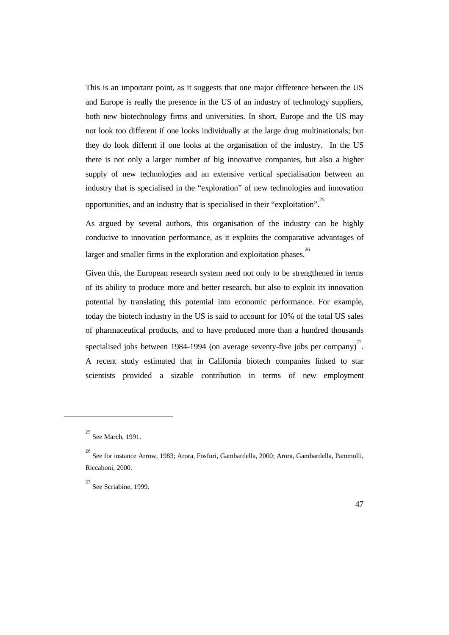This is an important point, as it suggests that one major difference between the US and Europe is really the presence in the US of an industry of technology suppliers, both new biotechnology firms and universities. In short, Europe and the US may not look too different if one looks individually at the large drug multinationals; but they do look differnt if one looks at the organisation of the industry. In the US there is not only a larger number of big innovative companies, but also a higher supply of new technologies and an extensive vertical specialisation between an industry that is specialised in the "exploration" of new technologies and innovation opportunities, and an industry that is specialised in their "exploitation".<sup>25</sup>

As argued by several authors, this organisation of the industry can be highly conducive to innovation performance, as it exploits the comparative advantages of larger and smaller firms in the exploration and exploitation phases.<sup>26</sup>

Given this, the European research system need not only to be strengthened in terms of its ability to produce more and better research, but also to exploit its innovation potential by translating this potential into economic performance. For example, today the biotech industry in the US is said to account for 10% of the total US sales of pharmaceutical products, and to have produced more than a hundred thousands specialised jobs between 1984-1994 (on average seventy-five jobs per company) $2^7$ . A recent study estimated that in California biotech companies linked to star scientists provided a sizable contribution in terms of new employment

 $\overline{a}$ 

<sup>&</sup>lt;sup>25</sup> See March, 1991.

<sup>&</sup>lt;sup>26</sup> See for instance Arrow, 1983; Arora, Fosfuri, Gambardella, 2000; Arora, Gambardella, Pammolli, Riccaboni, 2000.

 $27$  See Scriabine, 1999.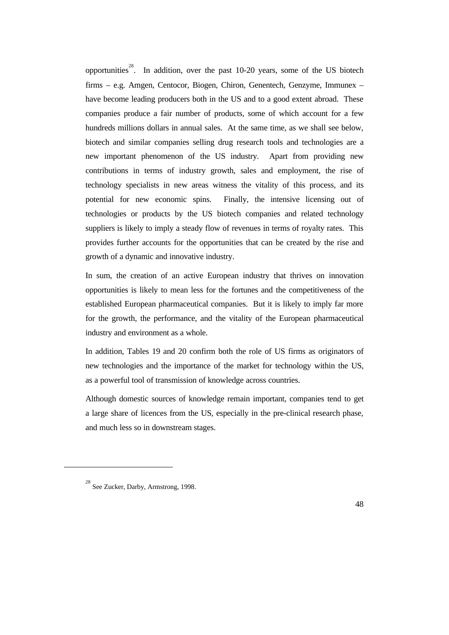opportunities<sup>28</sup>. In addition, over the past 10-20 years, some of the US biotech firms – e.g. Amgen, Centocor, Biogen, Chiron, Genentech, Genzyme, Immunex – have become leading producers both in the US and to a good extent abroad. These companies produce a fair number of products, some of which account for a few hundreds millions dollars in annual sales. At the same time, as we shall see below, biotech and similar companies selling drug research tools and technologies are a new important phenomenon of the US industry. Apart from providing new contributions in terms of industry growth, sales and employment, the rise of technology specialists in new areas witness the vitality of this process, and its potential for new economic spins. Finally, the intensive licensing out of technologies or products by the US biotech companies and related technology suppliers is likely to imply a steady flow of revenues in terms of royalty rates. This provides further accounts for the opportunities that can be created by the rise and growth of a dynamic and innovative industry.

In sum, the creation of an active European industry that thrives on innovation opportunities is likely to mean less for the fortunes and the competitiveness of the established European pharmaceutical companies. But it is likely to imply far more for the growth, the performance, and the vitality of the European pharmaceutical industry and environment as a whole.

In addition, Tables 19 and 20 confirm both the role of US firms as originators of new technologies and the importance of the market for technology within the US, as a powerful tool of transmission of knowledge across countries.

Although domestic sources of knowledge remain important, companies tend to get a large share of licences from the US, especially in the pre-clinical research phase, and much less so in downstream stages.

 $\overline{a}$ 

<sup>&</sup>lt;sup>28</sup> See Zucker, Darby, Armstrong, 1998.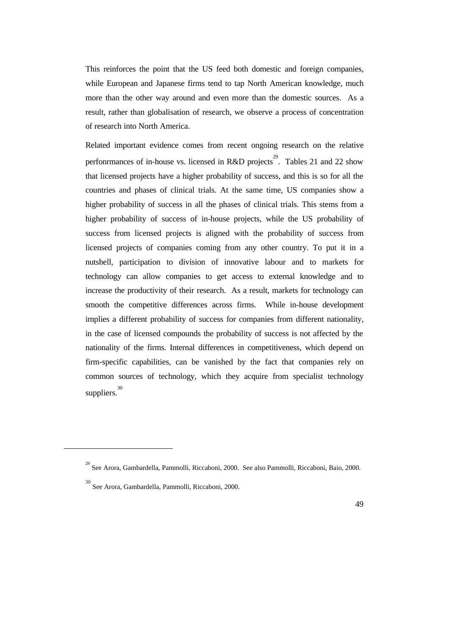This reinforces the point that the US feed both domestic and foreign companies, while European and Japanese firms tend to tap North American knowledge, much more than the other way around and even more than the domestic sources. As a result, rather than globalisation of research, we observe a process of concentration of research into North America.

Related important evidence comes from recent ongoing research on the relative perfonrmances of in-house vs. licensed in R&D projects<sup>29</sup>. Tables 21 and 22 show that licensed projects have a higher probability of success, and this is so for all the countries and phases of clinical trials. At the same time, US companies show a higher probability of success in all the phases of clinical trials. This stems from a higher probability of success of in-house projects, while the US probability of success from licensed projects is aligned with the probability of success from licensed projects of companies coming from any other country. To put it in a nutshell, participation to division of innovative labour and to markets for technology can allow companies to get access to external knowledge and to increase the productivity of their research. As a result, markets for technology can smooth the competitive differences across firms. While in-house development implies a different probability of success for companies from different nationality, in the case of licensed compounds the probability of success is not affected by the nationality of the firms. Internal differences in competitiveness, which depend on firm-specific capabilities, can be vanished by the fact that companies rely on common sources of technology, which they acquire from specialist technology suppliers. 30

 $\overline{a}$ 

<sup>&</sup>lt;sup>29</sup> See Arora, Gambardella, Pammolli, Riccaboni, 2000. See also Pammolli, Riccaboni, Baio, 2000.

<sup>30</sup> See Arora, Gambardella, Pammolli, Riccaboni, 2000.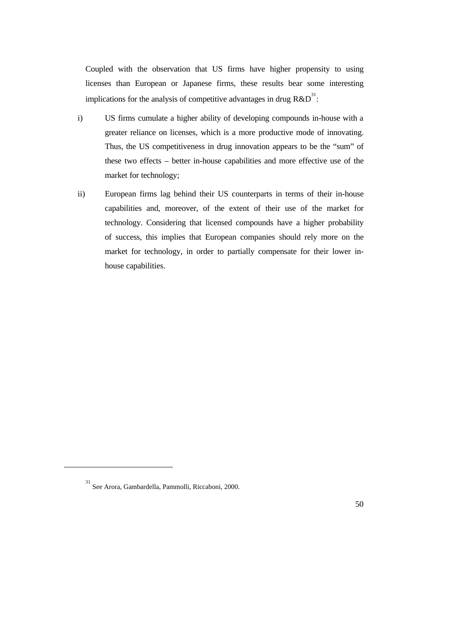Coupled with the observation that US firms have higher propensity to using licenses than European or Japanese firms, these results bear some interesting implications for the analysis of competitive advantages in drug  $R&D^{31}$ :

- i) US firms cumulate a higher ability of developing compounds in-house with a greater reliance on licenses, which is a more productive mode of innovating. Thus, the US competitiveness in drug innovation appears to be the "sum" of these two effects – better in-house capabilities and more effective use of the market for technology;
- ii) European firms lag behind their US counterparts in terms of their in-house capabilities and, moreover, of the extent of their use of the market for technology. Considering that licensed compounds have a higher probability of success, this implies that European companies should rely more on the market for technology, in order to partially compensate for their lower inhouse capabilities.

 $\overline{a}$ 

<sup>31</sup> See Arora, Gambardella, Pammolli, Riccaboni, 2000.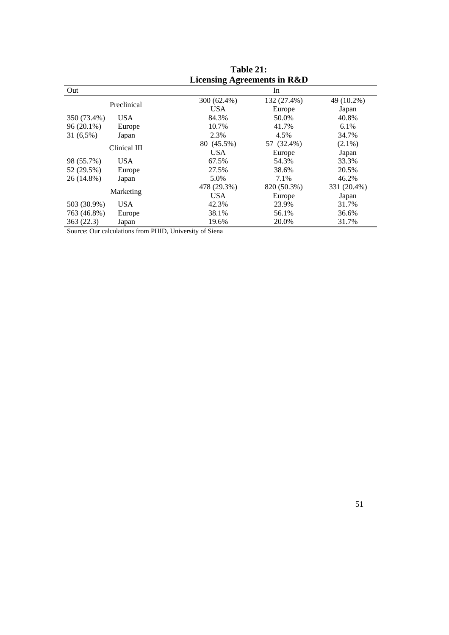|              |              | LICENSING AGLECTIFIES IN NOOD |             |             |
|--------------|--------------|-------------------------------|-------------|-------------|
| Out          |              |                               | In          |             |
|              | Preclinical  | 300 (62.4%)                   | 132 (27.4%) | 49 (10.2%)  |
|              |              | <b>USA</b>                    | Europe      | Japan       |
| 350 (73.4%)  | <b>USA</b>   | 84.3%                         | 50.0%       | 40.8%       |
| $96(20.1\%)$ | Europe       | 10.7%                         | 41.7%       | 6.1%        |
| 31 (6,5%)    | Japan        | 2.3%                          | 4.5%        | 34.7%       |
|              |              | 80 (45.5%)                    | 57 (32.4%)  | $(2.1\%)$   |
|              | Clinical III | <b>USA</b>                    | Europe      | Japan       |
| 98 (55.7%)   | USA.         | 67.5%                         | 54.3%       | 33.3%       |
| 52 (29.5%)   | Europe       | 27.5%                         | 38.6%       | 20.5%       |
| 26 (14.8%)   | Japan        | 5.0%                          | 7.1%        | 46.2%       |
|              |              | 478 (29.3%)                   | 820 (50.3%) | 331 (20.4%) |
|              | Marketing    | <b>USA</b>                    | Europe      | Japan       |
| 503 (30.9%)  | <b>USA</b>   | 42.3%                         | 23.9%       | 31.7%       |
| 763 (46.8%)  | Europe       | 38.1%                         | 56.1%       | 36.6%       |
| 363(22.3)    | Japan        | 19.6%                         | 20.0%       | 31.7%       |
|              |              |                               |             |             |

**Table 21: Licensing Agreements in R&D**

Source: Our calculations from PHID, University of Siena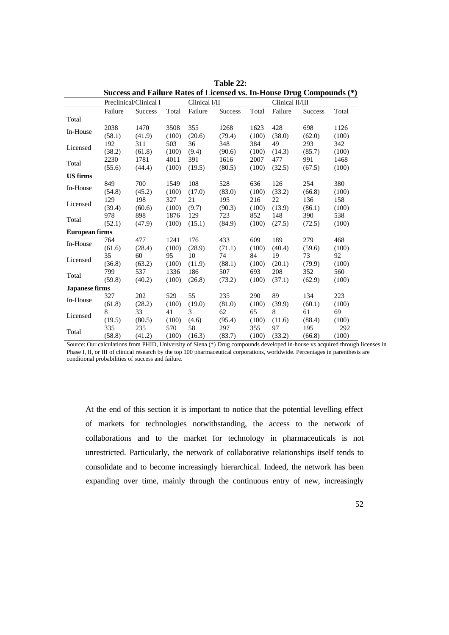|                       |         |                        |       |               | Success and Failure Rates of Licensed vs. In-House Drug Compounds (*) |                 |         |                |       |
|-----------------------|---------|------------------------|-------|---------------|-----------------------------------------------------------------------|-----------------|---------|----------------|-------|
|                       |         | Preclinical/Clinical I |       | Clinical I/II |                                                                       | Clinical II/III |         |                |       |
|                       | Failure | <b>Success</b>         | Total | Failure       | <b>Success</b>                                                        | Total           | Failure | <b>Success</b> | Total |
| Total                 |         |                        |       |               |                                                                       |                 |         |                |       |
|                       | 2038    | 1470                   | 3508  | 355           | 1268                                                                  | 1623            | 428     | 698            | 1126  |
| In-House              | (58.1)  | (41.9)                 | (100) | (20.6)        | (79.4)                                                                | (100)           | (38.0)  | (62.0)         | (100) |
|                       | 192     | 311                    | 503   | 36            | 348                                                                   | 384             | 49      | 293            | 342   |
| Licensed              | (38.2)  | (61.8)                 | (100) | (9.4)         | (90.6)                                                                | (100)           | (14.3)  | (85.7)         | (100) |
|                       | 2230    | 1781                   | 4011  | 391           | 1616                                                                  | 2007            | 477     | 991            | 1468  |
| Total                 | (55.6)  | (44.4)                 | (100) | (19.5)        | (80.5)                                                                | (100)           | (32.5)  | (67.5)         | (100) |
| <b>US</b> firms       |         |                        |       |               |                                                                       |                 |         |                |       |
| In-House              | 849     | 700                    | 1549  | 108           | 528                                                                   | 636             | 126     | 254            | 380   |
|                       | (54.8)  | (45.2)                 | (100) | (17.0)        | (83.0)                                                                | (100)           | (33.2)  | (66.8)         | (100) |
| Licensed              | 129     | 198                    | 327   | 21            | 195                                                                   | 216             | 22      | 136            | 158   |
|                       | (39.4)  | (60.6)                 | (100) | (9.7)         | (90.3)                                                                | (100)           | (13.9)  | (86.1)         | (100) |
| Total                 | 978     | 898                    | 1876  | 129           | 723                                                                   | 852             | 148     | 390            | 538   |
|                       | (52.1)  | (47.9)                 | (100) | (15.1)        | (84.9)                                                                | (100)           | (27.5)  | (72.5)         | (100) |
| <b>European firms</b> |         |                        |       |               |                                                                       |                 |         |                |       |
| In-House              | 764     | 477                    | 1241  | 176           | 433                                                                   | 609             | 189     | 279            | 468   |
|                       | (61.6)  | (28.4)                 | (100) | (28.9)        | (71.1)                                                                | (100)           | (40.4)  | (59.6)         | (100) |
| Licensed              | 35      | 60                     | 95    | 10            | 74                                                                    | 84              | 19      | 73             | 92    |
|                       | (36.8)  | (63.2)                 | (100) | (11.9)        | (88.1)                                                                | (100)           | (20.1)  | (79.9)         | (100) |
| Total                 | 799     | 537                    | 1336  | 186           | 507                                                                   | 693             | 208     | 352            | 560   |
|                       | (59.8)  | (40.2)                 | (100) | (26.8)        | (73.2)                                                                | (100)           | (37.1)  | (62.9)         | (100) |
| <b>Japanese firms</b> |         |                        |       |               |                                                                       |                 |         |                |       |
| In-House              | 327     | 202                    | 529   | 55            | 235                                                                   | 290             | 89      | 134            | 223   |
|                       | (61.8)  | (28.2)                 | (100) | (19.0)        | (81.0)                                                                | (100)           | (39.9)  | (60.1)         | (100) |
| Licensed              | 8       | 33                     | 41    | 3             | 62                                                                    | 65              | 8       | 61             | 69    |
|                       | (19.5)  | (80.5)                 | (100) | (4.6)         | (95.4)                                                                | (100)           | (11.6)  | (88.4)         | (100) |
| Total                 | 335     | 235                    | 570   | 58            | 297                                                                   | 355             | 97      | 195            | 292   |
|                       | (58.8)  | (41.2)                 | (100) | (16.3)        | (83.7)                                                                | (100)           | (33.2)  | (66.8)         | (100) |

**Table 22: Success and Failure Rates of Licensed vs. In-House Drug Compounds (\*)**

Source: Our calculations from PHID, University of Siena (\*) Drug compounds developed in-house vs acquired through licenses in Phase I, II, or III of clinical research by the top 100 pharmaceutical corporations, worldwide. Percentages in parenthesis are conditional probabilities of success and failure.

At the end of this section it is important to notice that the potential levelling effect of markets for technologies notwithstanding, the access to the network of collaborations and to the market for technology in pharmaceuticals is not unrestricted. Particularly, the network of collaborative relationships itself tends to consolidate and to become increasingly hierarchical. Indeed, the network has been expanding over time, mainly through the continuous entry of new, increasingly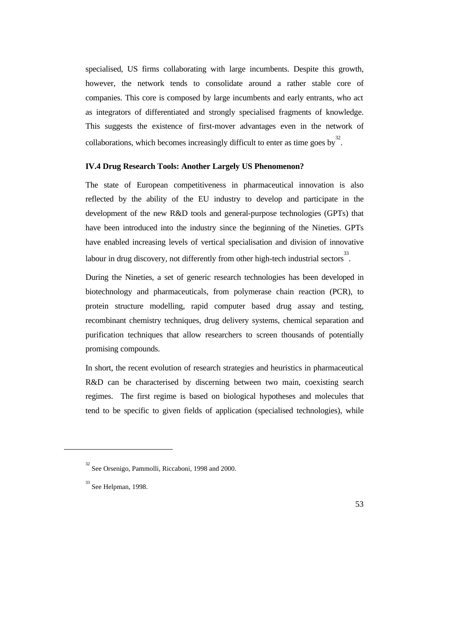specialised, US firms collaborating with large incumbents. Despite this growth, however, the network tends to consolidate around a rather stable core of companies. This core is composed by large incumbents and early entrants, who act as integrators of differentiated and strongly specialised fragments of knowledge. This suggests the existence of first-mover advantages even in the network of collaborations, which becomes increasingly difficult to enter as time goes by  $3^2$ .

### **IV.4 Drug Research Tools: Another Largely US Phenomenon?**

The state of European competitiveness in pharmaceutical innovation is also reflected by the ability of the EU industry to develop and participate in the development of the new R&D tools and general-purpose technologies (GPTs) that have been introduced into the industry since the beginning of the Nineties. GPTs have enabled increasing levels of vertical specialisation and division of innovative labour in drug discovery, not differently from other high-tech industrial sectors<sup>33</sup>.

During the Nineties, a set of generic research technologies has been developed in biotechnology and pharmaceuticals, from polymerase chain reaction (PCR), to protein structure modelling, rapid computer based drug assay and testing, recombinant chemistry techniques, drug delivery systems, chemical separation and purification techniques that allow researchers to screen thousands of potentially promising compounds.

In short, the recent evolution of research strategies and heuristics in pharmaceutical R&D can be characterised by discerning between two main, coexisting search regimes. The first regime is based on biological hypotheses and molecules that tend to be specific to given fields of application (specialised technologies), while

 $\overline{a}$ 

<sup>&</sup>lt;sup>32</sup> See Orsenigo, Pammolli, Riccaboni, 1998 and 2000.

 $33$  See Helpman, 1998.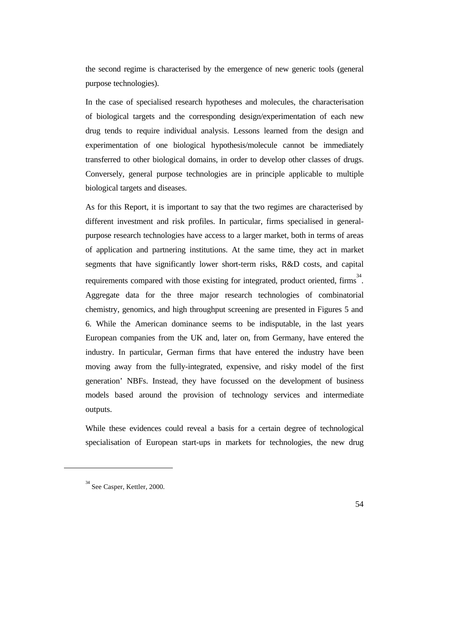the second regime is characterised by the emergence of new generic tools (general purpose technologies).

In the case of specialised research hypotheses and molecules, the characterisation of biological targets and the corresponding design/experimentation of each new drug tends to require individual analysis. Lessons learned from the design and experimentation of one biological hypothesis/molecule cannot be immediately transferred to other biological domains, in order to develop other classes of drugs. Conversely, general purpose technologies are in principle applicable to multiple biological targets and diseases.

As for this Report, it is important to say that the two regimes are characterised by different investment and risk profiles. In particular, firms specialised in generalpurpose research technologies have access to a larger market, both in terms of areas of application and partnering institutions. At the same time, they act in market segments that have significantly lower short-term risks, R&D costs, and capital requirements compared with those existing for integrated, product oriented, firms<sup>34</sup>. Aggregate data for the three major research technologies of combinatorial chemistry, genomics, and high throughput screening are presented in Figures 5 and 6. While the American dominance seems to be indisputable, in the last years European companies from the UK and, later on, from Germany, have entered the industry. In particular, German firms that have entered the industry have been moving away from the fully-integrated, expensive, and risky model of the first generation' NBFs. Instead, they have focussed on the development of business models based around the provision of technology services and intermediate outputs.

While these evidences could reveal a basis for a certain degree of technological specialisation of European start-ups in markets for technologies, the new drug

 $\overline{a}$ 

<sup>&</sup>lt;sup>34</sup> See Casper, Kettler, 2000.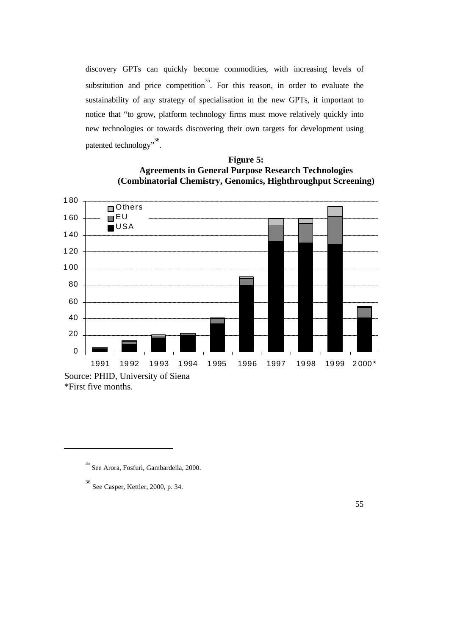discovery GPTs can quickly become commodities, with increasing levels of substitution and price competition<sup>35</sup>. For this reason, in order to evaluate the sustainability of any strategy of specialisation in the new GPTs, it important to notice that "to grow, platform technology firms must move relatively quickly into new technologies or towards discovering their own targets for development using patented technology".<sup>36</sup>.

## **Figure 5: Agreements in General Purpose Research Technologies (Combinatorial Chemistry, Genomics, Highthroughput Screening)**



\*First five months.

 $\overline{a}$ 

<sup>35</sup> See Arora, Fosfuri, Gambardella, 2000.

<sup>36</sup> See Casper, Kettler, 2000, p. 34.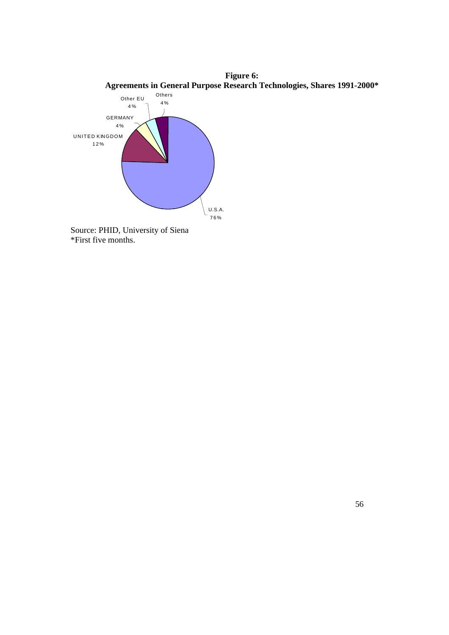

Source: PHID, University of Siena \*First five months.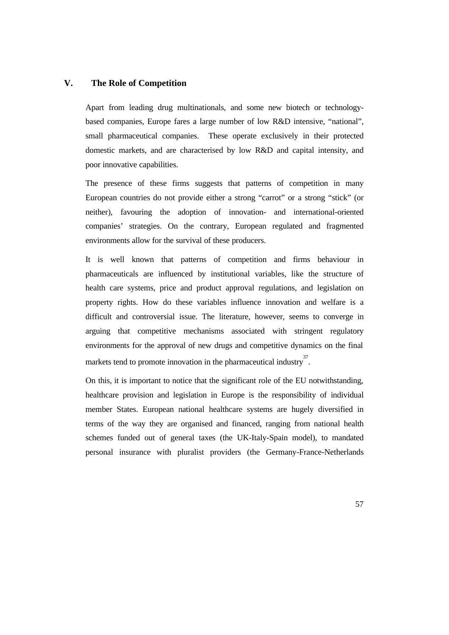#### **V. The Role of Competition**

Apart from leading drug multinationals, and some new biotech or technologybased companies, Europe fares a large number of low R&D intensive, "national", small pharmaceutical companies. These operate exclusively in their protected domestic markets, and are characterised by low R&D and capital intensity, and poor innovative capabilities.

The presence of these firms suggests that patterns of competition in many European countries do not provide either a strong "carrot" or a strong "stick" (or neither), favouring the adoption of innovation- and international-oriented companies' strategies. On the contrary, European regulated and fragmented environments allow for the survival of these producers.

It is well known that patterns of competition and firms behaviour in pharmaceuticals are influenced by institutional variables, like the structure of health care systems, price and product approval regulations, and legislation on property rights. How do these variables influence innovation and welfare is a difficult and controversial issue. The literature, however, seems to converge in arguing that competitive mechanisms associated with stringent regulatory environments for the approval of new drugs and competitive dynamics on the final markets tend to promote innovation in the pharmaceutical industry<sup>37</sup>.

On this, it is important to notice that the significant role of the EU notwithstanding, healthcare provision and legislation in Europe is the responsibility of individual member States. European national healthcare systems are hugely diversified in terms of the way they are organised and financed, ranging from national health schemes funded out of general taxes (the UK-Italy-Spain model), to mandated personal insurance with pluralist providers (the Germany-France-Netherlands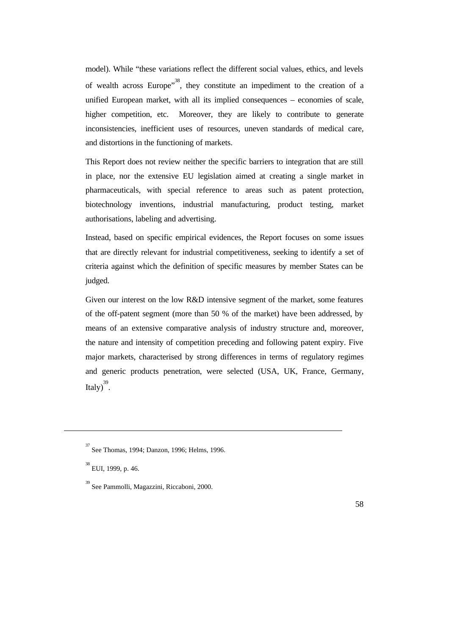model). While "these variations reflect the different social values, ethics, and levels of wealth across Europe<sup> $,38$ </sup>, they constitute an impediment to the creation of a unified European market, with all its implied consequences – economies of scale, higher competition, etc. Moreover, they are likely to contribute to generate inconsistencies, inefficient uses of resources, uneven standards of medical care, and distortions in the functioning of markets.

This Report does not review neither the specific barriers to integration that are still in place, nor the extensive EU legislation aimed at creating a single market in pharmaceuticals, with special reference to areas such as patent protection, biotechnology inventions, industrial manufacturing, product testing, market authorisations, labeling and advertising.

Instead, based on specific empirical evidences, the Report focuses on some issues that are directly relevant for industrial competitiveness, seeking to identify a set of criteria against which the definition of specific measures by member States can be judged.

Given our interest on the low R&D intensive segment of the market, some features of the off-patent segment (more than 50 % of the market) have been addressed, by means of an extensive comparative analysis of industry structure and, moreover, the nature and intensity of competition preceding and following patent expiry. Five major markets, characterised by strong differences in terms of regulatory regimes and generic products penetration, were selected (USA, UK, France, Germany, Italy)<sup>39</sup>.

 $\overline{a}$ 

<sup>37</sup> See Thomas, 1994; Danzon, 1996; Helms, 1996.

<sup>&</sup>lt;sup>38</sup> EUI, 1999, p. 46.

<sup>39</sup> See Pammolli, Magazzini, Riccaboni, 2000.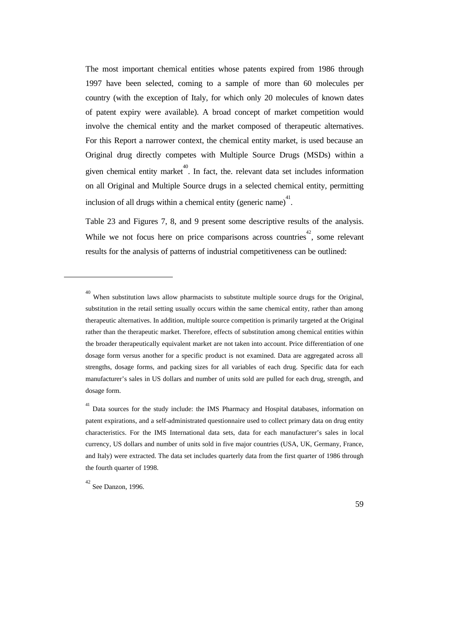The most important chemical entities whose patents expired from 1986 through 1997 have been selected, coming to a sample of more than 60 molecules per country (with the exception of Italy, for which only 20 molecules of known dates of patent expiry were available). A broad concept of market competition would involve the chemical entity and the market composed of therapeutic alternatives. For this Report a narrower context, the chemical entity market, is used because an Original drug directly competes with Multiple Source Drugs (MSDs) within a given chemical entity market<sup>40</sup>. In fact, the. relevant data set includes information on all Original and Multiple Source drugs in a selected chemical entity, permitting inclusion of all drugs within a chemical entity (generic name)<sup>41</sup>.

Table 23 and Figures 7, 8, and 9 present some descriptive results of the analysis. While we not focus here on price comparisons across countries<sup>42</sup>, some relevant results for the analysis of patterns of industrial competitiveness can be outlined:

 $\overline{a}$ 

<sup>40</sup> When substitution laws allow pharmacists to substitute multiple source drugs for the Original, substitution in the retail setting usually occurs within the same chemical entity, rather than among therapeutic alternatives. In addition, multiple source competition is primarily targeted at the Original rather than the therapeutic market. Therefore, effects of substitution among chemical entities within the broader therapeutically equivalent market are not taken into account. Price differentiation of one dosage form versus another for a specific product is not examined. Data are aggregated across all strengths, dosage forms, and packing sizes for all variables of each drug. Specific data for each manufacturer's sales in US dollars and number of units sold are pulled for each drug, strength, and dosage form.

<sup>&</sup>lt;sup>41</sup> Data sources for the study include: the IMS Pharmacy and Hospital databases, information on patent expirations, and a self-administrated questionnaire used to collect primary data on drug entity characteristics. For the IMS International data sets, data for each manufacturer's sales in local currency, US dollars and number of units sold in five major countries (USA, UK, Germany, France, and Italy) were extracted. The data set includes quarterly data from the first quarter of 1986 through the fourth quarter of 1998.

 $42$  See Danzon, 1996.

<sup>59</sup>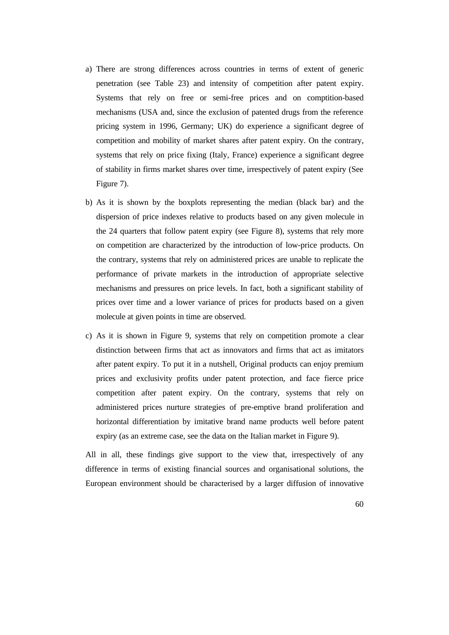- a) There are strong differences across countries in terms of extent of generic penetration (see Table 23) and intensity of competition after patent expiry. Systems that rely on free or semi-free prices and on comptition-based mechanisms (USA and, since the exclusion of patented drugs from the reference pricing system in 1996, Germany; UK) do experience a significant degree of competition and mobility of market shares after patent expiry. On the contrary, systems that rely on price fixing (Italy, France) experience a significant degree of stability in firms market shares over time, irrespectively of patent expiry (See Figure 7).
- b) As it is shown by the boxplots representing the median (black bar) and the dispersion of price indexes relative to products based on any given molecule in the 24 quarters that follow patent expiry (see Figure 8), systems that rely more on competition are characterized by the introduction of low-price products. On the contrary, systems that rely on administered prices are unable to replicate the performance of private markets in the introduction of appropriate selective mechanisms and pressures on price levels. In fact, both a significant stability of prices over time and a lower variance of prices for products based on a given molecule at given points in time are observed.
- c) As it is shown in Figure 9, systems that rely on competition promote a clear distinction between firms that act as innovators and firms that act as imitators after patent expiry. To put it in a nutshell, Original products can enjoy premium prices and exclusivity profits under patent protection, and face fierce price competition after patent expiry. On the contrary, systems that rely on administered prices nurture strategies of pre-emptive brand proliferation and horizontal differentiation by imitative brand name products well before patent expiry (as an extreme case, see the data on the Italian market in Figure 9).

All in all, these findings give support to the view that, irrespectively of any difference in terms of existing financial sources and organisational solutions, the European environment should be characterised by a larger diffusion of innovative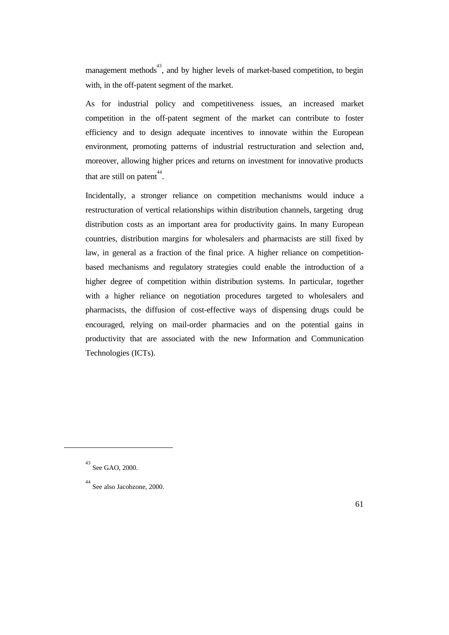management methods<sup>43</sup>, and by higher levels of market-based competition, to begin with, in the off-patent segment of the market.

As for industrial policy and competitiveness issues, an increased market competition in the off-patent segment of the market can contribute to foster efficiency and to design adequate incentives to innovate within the European environment, promoting patterns of industrial restructuration and selection and, moreover, allowing higher prices and returns on investment for innovative products that are still on patent<sup> $44$ </sup>.

Incidentally, a stronger reliance on competition mechanisms would induce a restructuration of vertical relationships within distribution channels, targeting drug distribution costs as an important area for productivity gains. In many European countries, distribution margins for wholesalers and pharmacists are still fixed by law, in general as a fraction of the final price. A higher reliance on competitionbased mechanisms and regulatory strategies could enable the introduction of a higher degree of competition within distribution systems. In particular, together with a higher reliance on negotiation procedures targeted to wholesalers and pharmacists, the diffusion of cost-effective ways of dispensing drugs could be encouraged, relying on mail-order pharmacies and on the potential gains in productivity that are associated with the new Information and Communication Technologies (ICTs).

 $\overline{a}$ 

<sup>43</sup> See GAO, 2000.

<sup>44</sup> See also Jacobzone, 2000.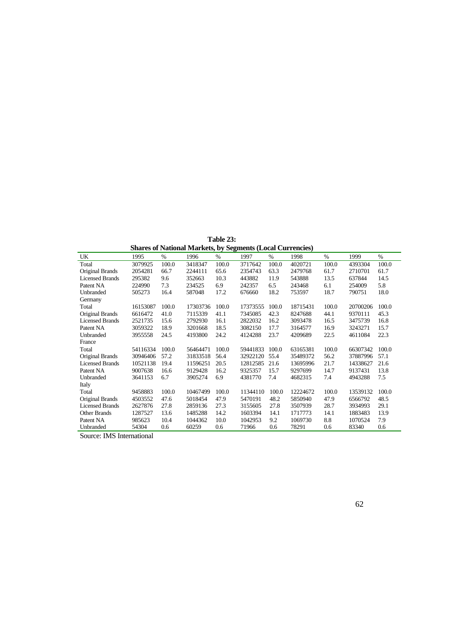**Table 23:** 

| <b>Shares of National Markets, by Segments (Local Currencies)</b> |          |       |          |               |          |       |          |       |          |       |  |
|-------------------------------------------------------------------|----------|-------|----------|---------------|----------|-------|----------|-------|----------|-------|--|
| UK                                                                | 1995     | %     | 1996     | $\frac{0}{0}$ | 1997     | $\%$  | 1998     | $\%$  | 1999     | $\%$  |  |
| Total                                                             | 3079925  | 100.0 | 3418347  | 100.0         | 3717642  | 100.0 | 4020721  | 100.0 | 4393304  | 100.0 |  |
| Original Brands                                                   | 2054281  | 66.7  | 2244111  | 65.6          | 2354743  | 63.3  | 2479768  | 61.7  | 2710701  | 61.7  |  |
| <b>Licensed Brands</b>                                            | 295382   | 9.6   | 352663   | 10.3          | 443882   | 11.9  | 543888   | 13.5  | 637844   | 14.5  |  |
| Patent NA                                                         | 224990   | 7.3   | 234525   | 6.9           | 242357   | 6.5   | 243468   | 6.1   | 254009   | 5.8   |  |
| Unbranded                                                         | 505273   | 16.4  | 587048   | 17.2          | 676660   | 18.2  | 753597   | 18.7  | 790751   | 18.0  |  |
| Germany                                                           |          |       |          |               |          |       |          |       |          |       |  |
| Total                                                             | 16153087 | 100.0 | 17303736 | 100.0         | 17373555 | 100.0 | 18715431 | 100.0 | 20700206 | 100.0 |  |
| Original Brands                                                   | 6616472  | 41.0  | 7115339  | 41.1          | 7345085  | 42.3  | 8247688  | 44.1  | 9370111  | 45.3  |  |
| <b>Licensed Brands</b>                                            | 2521735  | 15.6  | 2792930  | 16.1          | 2822032  | 16.2  | 3093478  | 16.5  | 3475739  | 16.8  |  |
| Patent NA                                                         | 3059322  | 18.9  | 3201668  | 18.5          | 3082150  | 17.7  | 3164577  | 16.9  | 3243271  | 15.7  |  |
| Unbranded                                                         | 3955558  | 24.5  | 4193800  | 24.2          | 4124288  | 23.7  | 4209689  | 22.5  | 4611084  | 22.3  |  |
| France                                                            |          |       |          |               |          |       |          |       |          |       |  |
| Total                                                             | 54116334 | 100.0 | 56464471 | 100.0         | 59441833 | 100.0 | 63165381 | 100.0 | 66307342 | 100.0 |  |
| Original Brands                                                   | 30946406 | 57.2  | 31833518 | 56.4          | 32922120 | 55.4  | 35489372 | 56.2  | 37887996 | 57.1  |  |
| <b>Licensed Brands</b>                                            | 10521138 | 19.4  | 11596251 | 20.5          | 12812585 | 21.6  | 13695996 | 21.7  | 14338627 | 21.6  |  |
| Patent NA                                                         | 9007638  | 16.6  | 9129428  | 16.2          | 9325357  | 15.7  | 9297699  | 14.7  | 9137431  | 13.8  |  |
| Unbranded                                                         | 3641153  | 6.7   | 3905274  | 6.9           | 4381770  | 7.4   | 4682315  | 7.4   | 4943288  | 7.5   |  |
| Italy                                                             |          |       |          |               |          |       |          |       |          |       |  |
| Total                                                             | 9458883  | 100.0 | 10467499 | 100.0         | 11344110 | 100.0 | 12224672 | 100.0 | 13539132 | 100.0 |  |
| Original Brands                                                   | 4503552  | 47.6  | 5018454  | 47.9          | 5470191  | 48.2  | 5850940  | 47.9  | 6566792  | 48.5  |  |
| <b>Licensed Brands</b>                                            | 2627876  | 27.8  | 2859136  | 27.3          | 3155605  | 27.8  | 3507939  | 28.7  | 3934993  | 29.1  |  |
| <b>Other Brands</b>                                               | 1287527  | 13.6  | 1485288  | 14.2          | 1603394  | 14.1  | 1717773  | 14.1  | 1883483  | 13.9  |  |
| Patent NA                                                         | 985623   | 10.4  | 1044362  | 10.0          | 1042953  | 9.2   | 1069730  | 8.8   | 1070524  | 7.9   |  |
| Unbranded                                                         | 54304    | 0.6   | 60259    | 0.6           | 71966    | 0.6   | 78291    | 0.6   | 83340    | 0.6   |  |

Source: IMS International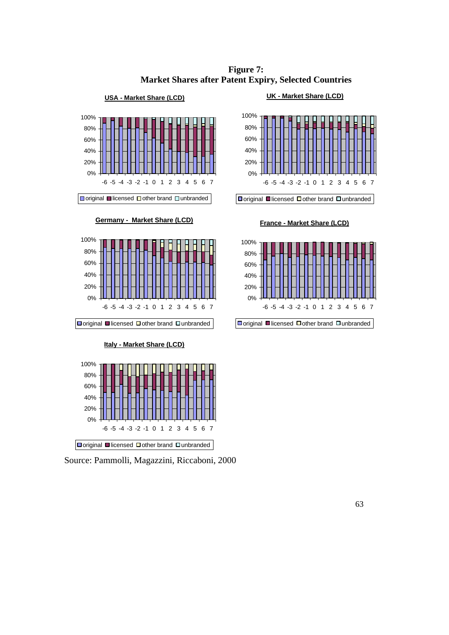**Figure 7: Market Shares after Patent Expiry, Selected Countries**



**Germany - Market Share (LCD)**







Source: Pammolli, Magazzini, Riccaboni, 2000





 $\Box$ original  $\Box$ licensed  $\Box$ other brand  $\Box$ unbranded

**France - Market Share (LCD)**



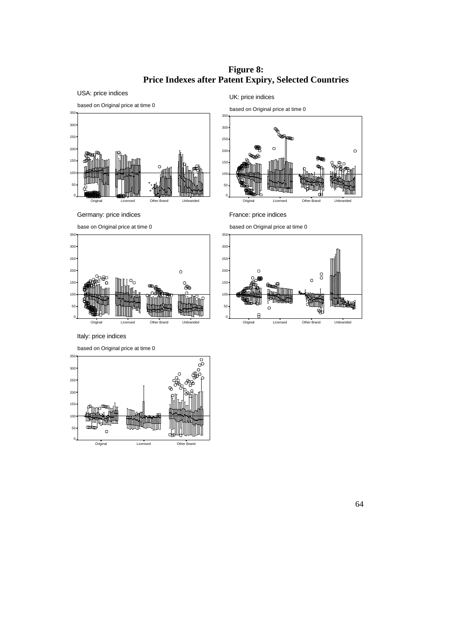**Figure 8: Price Indexes after Patent Expiry, Selected Countries**



UK: price indices

based on Original price at time 0  $\circ$  Original Licensed Other Brand Unbranded

Germany: price indices

base on Original price at time 0



based on Original price at time 0

France: price indices



Italy: price indices

based on Original price at time 0

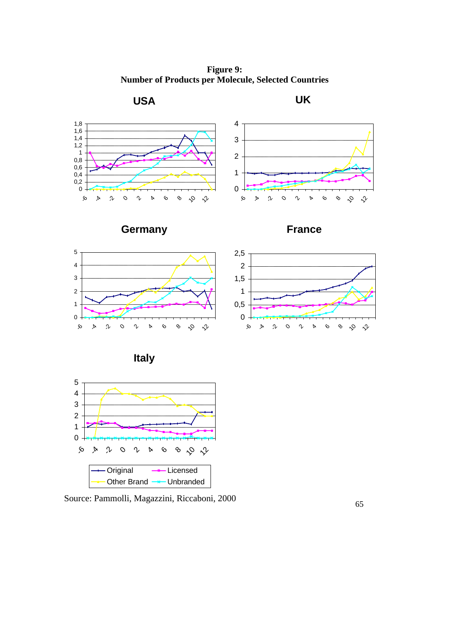**Figure 9: Number of Products per Molecule, Selected Countries**



Source: Pammolli, Magazzini, Riccaboni, 2000

Other Brand  $\rightarrow$  Unbranded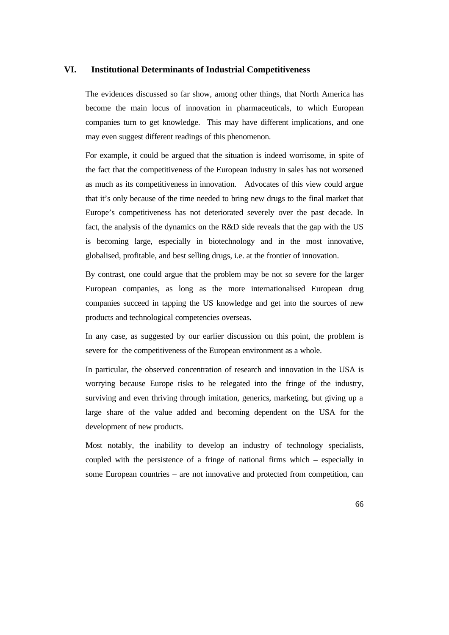#### **VI. Institutional Determinants of Industrial Competitiveness**

The evidences discussed so far show, among other things, that North America has become the main locus of innovation in pharmaceuticals, to which European companies turn to get knowledge. This may have different implications, and one may even suggest different readings of this phenomenon.

For example, it could be argued that the situation is indeed worrisome, in spite of the fact that the competitiveness of the European industry in sales has not worsened as much as its competitiveness in innovation. Advocates of this view could argue that it's only because of the time needed to bring new drugs to the final market that Europe's competitiveness has not deteriorated severely over the past decade. In fact, the analysis of the dynamics on the R&D side reveals that the gap with the US is becoming large, especially in biotechnology and in the most innovative, globalised, profitable, and best selling drugs, i.e. at the frontier of innovation.

By contrast, one could argue that the problem may be not so severe for the larger European companies, as long as the more internationalised European drug companies succeed in tapping the US knowledge and get into the sources of new products and technological competencies overseas.

In any case, as suggested by our earlier discussion on this point, the problem is severe for the competitiveness of the European environment as a whole.

In particular, the observed concentration of research and innovation in the USA is worrying because Europe risks to be relegated into the fringe of the industry, surviving and even thriving through imitation, generics, marketing, but giving up a large share of the value added and becoming dependent on the USA for the development of new products.

Most notably, the inability to develop an industry of technology specialists, coupled with the persistence of a fringe of national firms which – especially in some European countries – are not innovative and protected from competition, can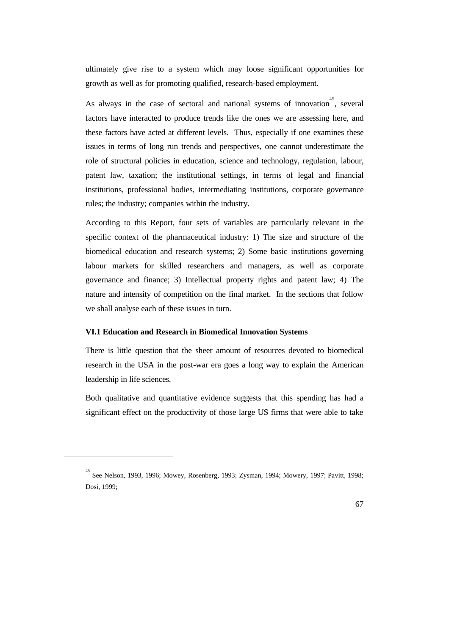ultimately give rise to a system which may loose significant opportunities for growth as well as for promoting qualified, research-based employment.

As always in the case of sectoral and national systems of innovation<sup>45</sup>, several factors have interacted to produce trends like the ones we are assessing here, and these factors have acted at different levels. Thus, especially if one examines these issues in terms of long run trends and perspectives, one cannot underestimate the role of structural policies in education, science and technology, regulation, labour, patent law, taxation; the institutional settings, in terms of legal and financial institutions, professional bodies, intermediating institutions, corporate governance rules; the industry; companies within the industry.

According to this Report, four sets of variables are particularly relevant in the specific context of the pharmaceutical industry: 1) The size and structure of the biomedical education and research systems; 2) Some basic institutions governing labour markets for skilled researchers and managers, as well as corporate governance and finance; 3) Intellectual property rights and patent law; 4) The nature and intensity of competition on the final market. In the sections that follow we shall analyse each of these issues in turn.

#### **VI.1 Education and Research in Biomedical Innovation Systems**

 $\overline{a}$ 

There is little question that the sheer amount of resources devoted to biomedical research in the USA in the post-war era goes a long way to explain the American leadership in life sciences.

Both qualitative and quantitative evidence suggests that this spending has had a significant effect on the productivity of those large US firms that were able to take

<sup>45</sup> See Nelson, 1993, 1996; Mowey, Rosenberg, 1993; Zysman, 1994; Mowery, 1997; Pavitt, 1998; Dosi, 1999;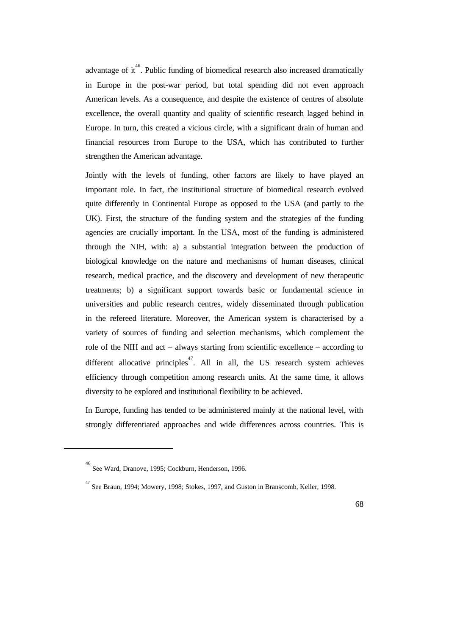advantage of it. Public funding of biomedical research also increased dramatically in Europe in the post-war period, but total spending did not even approach American levels. As a consequence, and despite the existence of centres of absolute excellence, the overall quantity and quality of scientific research lagged behind in Europe. In turn, this created a vicious circle, with a significant drain of human and financial resources from Europe to the USA, which has contributed to further strengthen the American advantage.

Jointly with the levels of funding, other factors are likely to have played an important role. In fact, the institutional structure of biomedical research evolved quite differently in Continental Europe as opposed to the USA (and partly to the UK). First, the structure of the funding system and the strategies of the funding agencies are crucially important. In the USA, most of the funding is administered through the NIH, with: a) a substantial integration between the production of biological knowledge on the nature and mechanisms of human diseases, clinical research, medical practice, and the discovery and development of new therapeutic treatments; b) a significant support towards basic or fundamental science in universities and public research centres, widely disseminated through publication in the refereed literature. Moreover, the American system is characterised by a variety of sources of funding and selection mechanisms, which complement the role of the NIH and act – always starting from scientific excellence – according to different allocative principles<sup>47</sup>. All in all, the US research system achieves efficiency through competition among research units. At the same time, it allows diversity to be explored and institutional flexibility to be achieved.

In Europe, funding has tended to be administered mainly at the national level, with strongly differentiated approaches and wide differences across countries. This is

 $\overline{a}$ 

<sup>46</sup> See Ward, Dranove, 1995; Cockburn, Henderson, 1996.

 $^{47}$  See Braun, 1994; Mowery, 1998; Stokes, 1997, and Guston in Branscomb, Keller, 1998.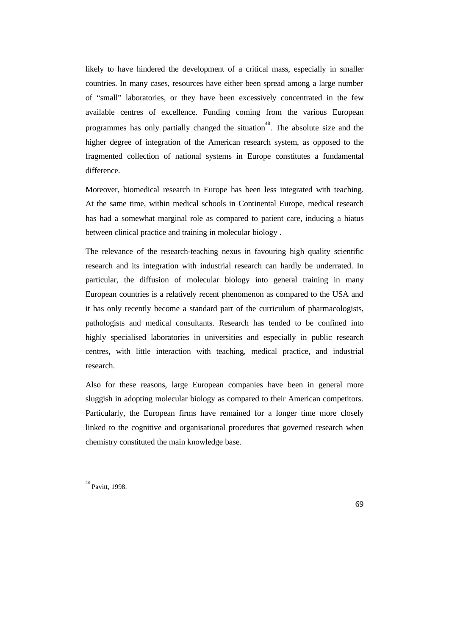likely to have hindered the development of a critical mass, especially in smaller countries. In many cases, resources have either been spread among a large number of "small" laboratories, or they have been excessively concentrated in the few available centres of excellence. Funding coming from the various European programmes has only partially changed the situation<sup>48</sup>. The absolute size and the higher degree of integration of the American research system, as opposed to the fragmented collection of national systems in Europe constitutes a fundamental difference.

Moreover, biomedical research in Europe has been less integrated with teaching. At the same time, within medical schools in Continental Europe, medical research has had a somewhat marginal role as compared to patient care, inducing a hiatus between clinical practice and training in molecular biology .

The relevance of the research-teaching nexus in favouring high quality scientific research and its integration with industrial research can hardly be underrated. In particular, the diffusion of molecular biology into general training in many European countries is a relatively recent phenomenon as compared to the USA and it has only recently become a standard part of the curriculum of pharmacologists, pathologists and medical consultants. Research has tended to be confined into highly specialised laboratories in universities and especially in public research centres, with little interaction with teaching, medical practice, and industrial research.

Also for these reasons, large European companies have been in general more sluggish in adopting molecular biology as compared to their American competitors. Particularly, the European firms have remained for a longer time more closely linked to the cognitive and organisational procedures that governed research when chemistry constituted the main knowledge base.

 $\overline{a}$ 

<sup>48</sup> Pavitt, 1998.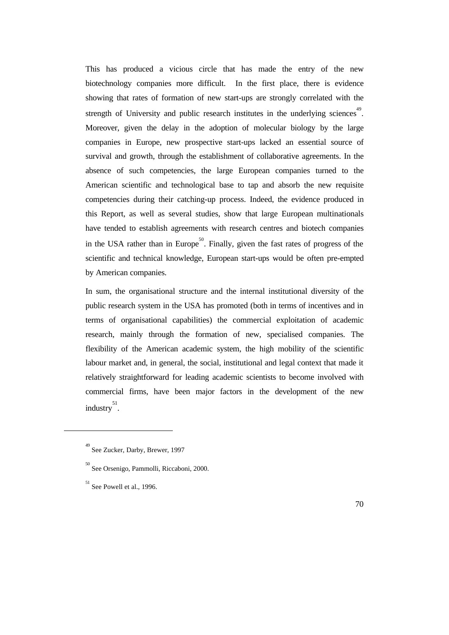This has produced a vicious circle that has made the entry of the new biotechnology companies more difficult. In the first place, there is evidence showing that rates of formation of new start-ups are strongly correlated with the strength of University and public research institutes in the underlying sciences<sup>49</sup>. Moreover, given the delay in the adoption of molecular biology by the large companies in Europe, new prospective start-ups lacked an essential source of survival and growth, through the establishment of collaborative agreements. In the absence of such competencies, the large European companies turned to the American scientific and technological base to tap and absorb the new requisite competencies during their catching-up process. Indeed, the evidence produced in this Report, as well as several studies, show that large European multinationals have tended to establish agreements with research centres and biotech companies in the USA rather than in Europe<sup>50</sup>. Finally, given the fast rates of progress of the scientific and technical knowledge, European start-ups would be often pre-empted by American companies.

In sum, the organisational structure and the internal institutional diversity of the public research system in the USA has promoted (both in terms of incentives and in terms of organisational capabilities) the commercial exploitation of academic research, mainly through the formation of new, specialised companies. The flexibility of the American academic system, the high mobility of the scientific labour market and, in general, the social, institutional and legal context that made it relatively straightforward for leading academic scientists to become involved with commercial firms, have been major factors in the development of the new industry 51 .

 $\overline{a}$ 

<sup>49</sup> See Zucker, Darby, Brewer, 1997

<sup>50</sup> See Orsenigo, Pammolli, Riccaboni, 2000.

 $^{51}$  See Powell et al., 1996.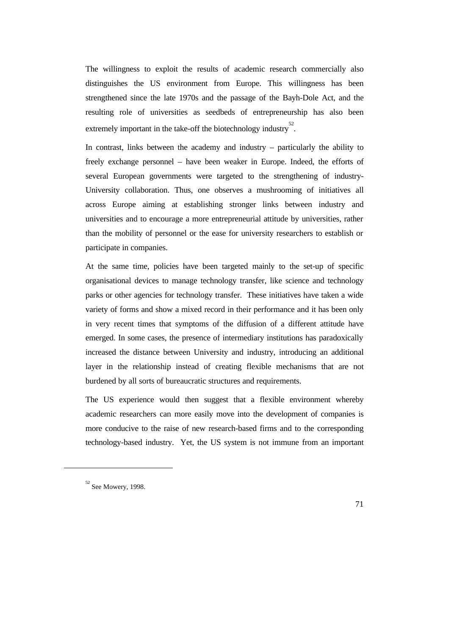The willingness to exploit the results of academic research commercially also distinguishes the US environment from Europe. This willingness has been strengthened since the late 1970s and the passage of the Bayh-Dole Act, and the resulting role of universities as seedbeds of entrepreneurship has also been extremely important in the take-off the biotechnology industry<sup>52</sup>.

In contrast, links between the academy and industry – particularly the ability to freely exchange personnel – have been weaker in Europe. Indeed, the efforts of several European governments were targeted to the strengthening of industry-University collaboration. Thus, one observes a mushrooming of initiatives all across Europe aiming at establishing stronger links between industry and universities and to encourage a more entrepreneurial attitude by universities, rather than the mobility of personnel or the ease for university researchers to establish or participate in companies.

At the same time, policies have been targeted mainly to the set-up of specific organisational devices to manage technology transfer, like science and technology parks or other agencies for technology transfer. These initiatives have taken a wide variety of forms and show a mixed record in their performance and it has been only in very recent times that symptoms of the diffusion of a different attitude have emerged. In some cases, the presence of intermediary institutions has paradoxically increased the distance between University and industry, introducing an additional layer in the relationship instead of creating flexible mechanisms that are not burdened by all sorts of bureaucratic structures and requirements.

The US experience would then suggest that a flexible environment whereby academic researchers can more easily move into the development of companies is more conducive to the raise of new research-based firms and to the corresponding technology-based industry. Yet, the US system is not immune from an important

 $\overline{a}$ 

<sup>52</sup> See Mowery, 1998.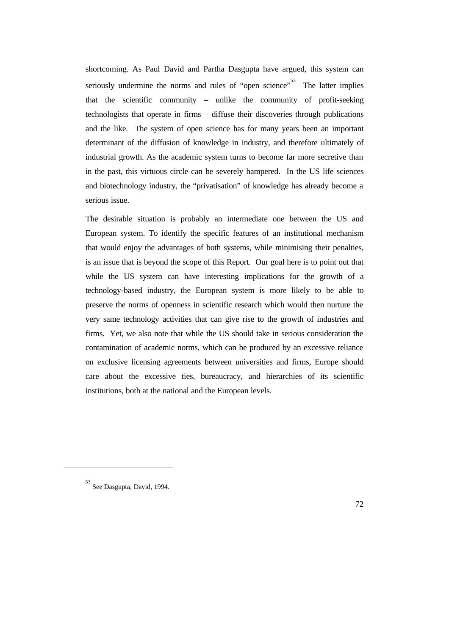shortcoming. As Paul David and Partha Dasgupta have argued, this system can seriously undermine the norms and rules of "open science"<sup>53</sup> The latter implies that the scientific community – unlike the community of profit-seeking technologists that operate in firms – diffuse their discoveries through publications and the like. The system of open science has for many years been an important determinant of the diffusion of knowledge in industry, and therefore ultimately of industrial growth. As the academic system turns to become far more secretive than in the past, this virtuous circle can be severely hampered. In the US life sciences and biotechnology industry, the "privatisation" of knowledge has already become a serious issue.

The desirable situation is probably an intermediate one between the US and European system. To identify the specific features of an institutional mechanism that would enjoy the advantages of both systems, while minimising their penalties, is an issue that is beyond the scope of this Report. Our goal here is to point out that while the US system can have interesting implications for the growth of a technology-based industry, the European system is more likely to be able to preserve the norms of openness in scientific research which would then nurture the very same technology activities that can give rise to the growth of industries and firms. Yet, we also note that while the US should take in serious consideration the contamination of academic norms, which can be produced by an excessive reliance on exclusive licensing agreements between universities and firms, Europe should care about the excessive ties, bureaucracy, and hierarchies of its scientific institutions, both at the national and the European levels.

 $\overline{a}$ 

<sup>53</sup> See Dasgupta, David, 1994.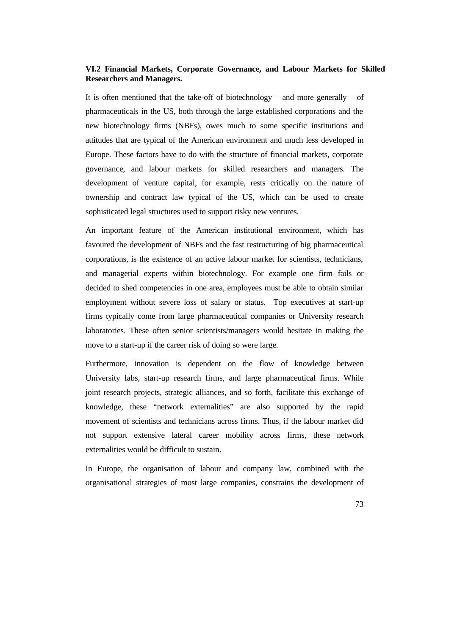# **VI.2 Financial Markets, Corporate Governance, and Labour Markets for Skilled Researchers and Managers.**

It is often mentioned that the take-off of biotechnology – and more generally – of pharmaceuticals in the US, both through the large established corporations and the new biotechnology firms (NBFs), owes much to some specific institutions and attitudes that are typical of the American environment and much less developed in Europe. These factors have to do with the structure of financial markets, corporate governance, and labour markets for skilled researchers and managers. The development of venture capital, for example, rests critically on the nature of ownership and contract law typical of the US, which can be used to create sophisticated legal structures used to support risky new ventures.

An important feature of the American institutional environment, which has favoured the development of NBFs and the fast restructuring of big pharmaceutical corporations, is the existence of an active labour market for scientists, technicians, and managerial experts within biotechnology. For example one firm fails or decided to shed competencies in one area, employees must be able to obtain similar employment without severe loss of salary or status. Top executives at start-up firms typically come from large pharmaceutical companies or University research laboratories. These often senior scientists/managers would hesitate in making the move to a start-up if the career risk of doing so were large.

Furthermore, innovation is dependent on the flow of knowledge between University labs, start-up research firms, and large pharmaceutical firms. While joint research projects, strategic alliances, and so forth, facilitate this exchange of knowledge, these "network externalities" are also supported by the rapid movement of scientists and technicians across firms. Thus, if the labour market did not support extensive lateral career mobility across firms, these network externalities would be difficult to sustain.

In Europe, the organisation of labour and company law, combined with the organisational strategies of most large companies, constrains the development of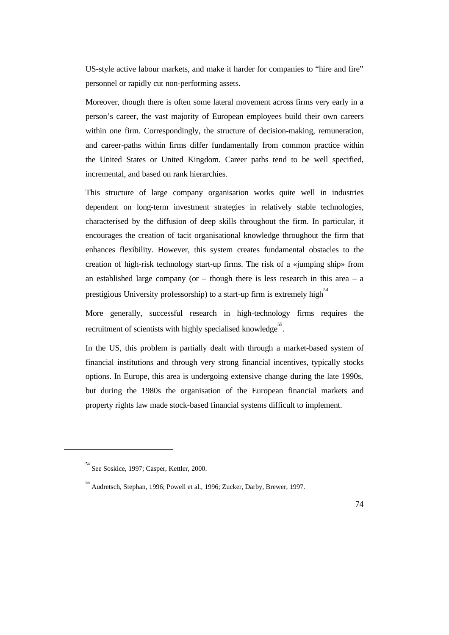US-style active labour markets, and make it harder for companies to "hire and fire" personnel or rapidly cut non-performing assets.

Moreover, though there is often some lateral movement across firms very early in a person's career, the vast majority of European employees build their own careers within one firm. Correspondingly, the structure of decision-making, remuneration, and career-paths within firms differ fundamentally from common practice within the United States or United Kingdom. Career paths tend to be well specified, incremental, and based on rank hierarchies.

This structure of large company organisation works quite well in industries dependent on long-term investment strategies in relatively stable technologies, characterised by the diffusion of deep skills throughout the firm. In particular, it encourages the creation of tacit organisational knowledge throughout the firm that enhances flexibility. However, this system creates fundamental obstacles to the creation of high-risk technology start-up firms. The risk of a «jumping ship» from an established large company (or  $-$  though there is less research in this area  $-$  a prestigious University professorship) to a start-up firm is extremely high<sup>54</sup>

More generally, successful research in high-technology firms requires the recruitment of scientists with highly specialised knowledge<sup>55</sup>.

In the US, this problem is partially dealt with through a market-based system of financial institutions and through very strong financial incentives, typically stocks options. In Europe, this area is undergoing extensive change during the late 1990s, but during the 1980s the organisation of the European financial markets and property rights law made stock-based financial systems difficult to implement.

 $\overline{a}$ 

<sup>54</sup> See Soskice, 1997; Casper, Kettler, 2000.

<sup>55</sup> Audretsch, Stephan, 1996; Powell et al., 1996; Zucker, Darby, Brewer, 1997.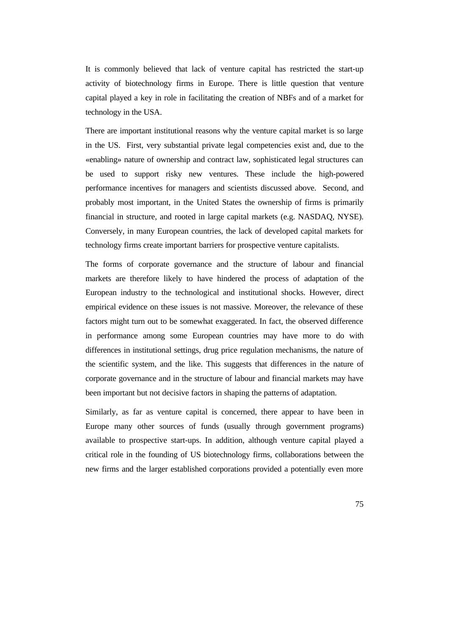It is commonly believed that lack of venture capital has restricted the start-up activity of biotechnology firms in Europe. There is little question that venture capital played a key in role in facilitating the creation of NBFs and of a market for technology in the USA.

There are important institutional reasons why the venture capital market is so large in the US. First, very substantial private legal competencies exist and, due to the «enabling» nature of ownership and contract law, sophisticated legal structures can be used to support risky new ventures. These include the high-powered performance incentives for managers and scientists discussed above. Second, and probably most important, in the United States the ownership of firms is primarily financial in structure, and rooted in large capital markets (e.g. NASDAQ, NYSE). Conversely, in many European countries, the lack of developed capital markets for technology firms create important barriers for prospective venture capitalists.

The forms of corporate governance and the structure of labour and financial markets are therefore likely to have hindered the process of adaptation of the European industry to the technological and institutional shocks. However, direct empirical evidence on these issues is not massive. Moreover, the relevance of these factors might turn out to be somewhat exaggerated. In fact, the observed difference in performance among some European countries may have more to do with differences in institutional settings, drug price regulation mechanisms, the nature of the scientific system, and the like. This suggests that differences in the nature of corporate governance and in the structure of labour and financial markets may have been important but not decisive factors in shaping the patterns of adaptation.

Similarly, as far as venture capital is concerned, there appear to have been in Europe many other sources of funds (usually through government programs) available to prospective start-ups. In addition, although venture capital played a critical role in the founding of US biotechnology firms, collaborations between the new firms and the larger established corporations provided a potentially even more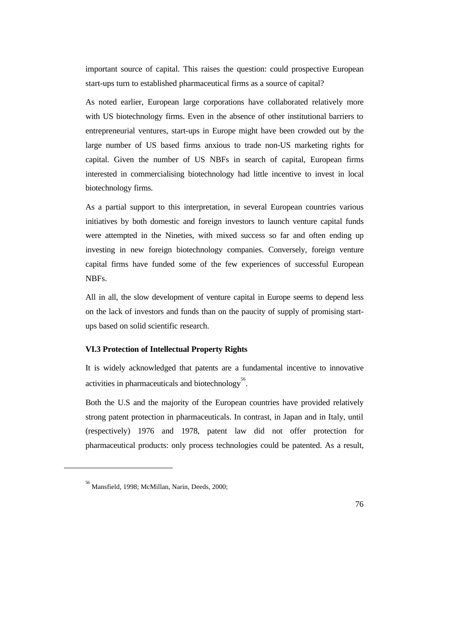important source of capital. This raises the question: could prospective European start-ups turn to established pharmaceutical firms as a source of capital?

As noted earlier, European large corporations have collaborated relatively more with US biotechnology firms. Even in the absence of other institutional barriers to entrepreneurial ventures, start-ups in Europe might have been crowded out by the large number of US based firms anxious to trade non-US marketing rights for capital. Given the number of US NBFs in search of capital, European firms interested in commercialising biotechnology had little incentive to invest in local biotechnology firms.

As a partial support to this interpretation, in several European countries various initiatives by both domestic and foreign investors to launch venture capital funds were attempted in the Nineties, with mixed success so far and often ending up investing in new foreign biotechnology companies. Conversely, foreign venture capital firms have funded some of the few experiences of successful European NBFs.

All in all, the slow development of venture capital in Europe seems to depend less on the lack of investors and funds than on the paucity of supply of promising startups based on solid scientific research.

#### **VI.3 Protection of Intellectual Property Rights**

It is widely acknowledged that patents are a fundamental incentive to innovative activities in pharmaceuticals and biotechnology<sup>56</sup>.

Both the U.S and the majority of the European countries have provided relatively strong patent protection in pharmaceuticals. In contrast, in Japan and in Italy, until (respectively) 1976 and 1978, patent law did not offer protection for pharmaceutical products: only process technologies could be patented. As a result,

 $\overline{a}$ 

<sup>56</sup> Mansfield, 1998; McMillan, Narin, Deeds, 2000;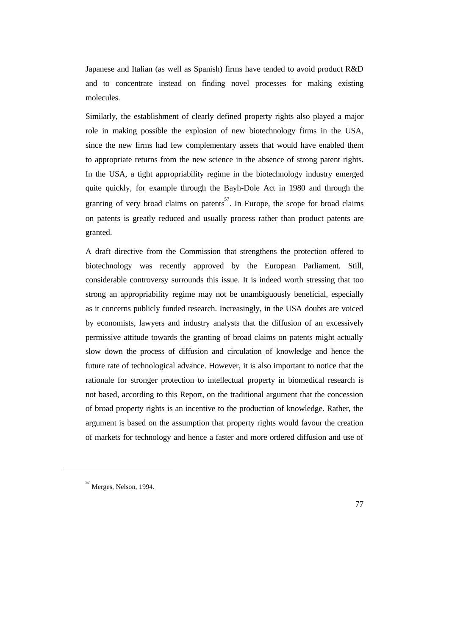Japanese and Italian (as well as Spanish) firms have tended to avoid product R&D and to concentrate instead on finding novel processes for making existing molecules.

Similarly, the establishment of clearly defined property rights also played a major role in making possible the explosion of new biotechnology firms in the USA, since the new firms had few complementary assets that would have enabled them to appropriate returns from the new science in the absence of strong patent rights. In the USA, a tight appropriability regime in the biotechnology industry emerged quite quickly, for example through the Bayh-Dole Act in 1980 and through the granting of very broad claims on patents<sup>57</sup>. In Europe, the scope for broad claims on patents is greatly reduced and usually process rather than product patents are granted.

A draft directive from the Commission that strengthens the protection offered to biotechnology was recently approved by the European Parliament. Still, considerable controversy surrounds this issue. It is indeed worth stressing that too strong an appropriability regime may not be unambiguously beneficial, especially as it concerns publicly funded research. Increasingly, in the USA doubts are voiced by economists, lawyers and industry analysts that the diffusion of an excessively permissive attitude towards the granting of broad claims on patents might actually slow down the process of diffusion and circulation of knowledge and hence the future rate of technological advance. However, it is also important to notice that the rationale for stronger protection to intellectual property in biomedical research is not based, according to this Report, on the traditional argument that the concession of broad property rights is an incentive to the production of knowledge. Rather, the argument is based on the assumption that property rights would favour the creation of markets for technology and hence a faster and more ordered diffusion and use of

 $\overline{a}$ 

<sup>57</sup> Merges, Nelson, 1994.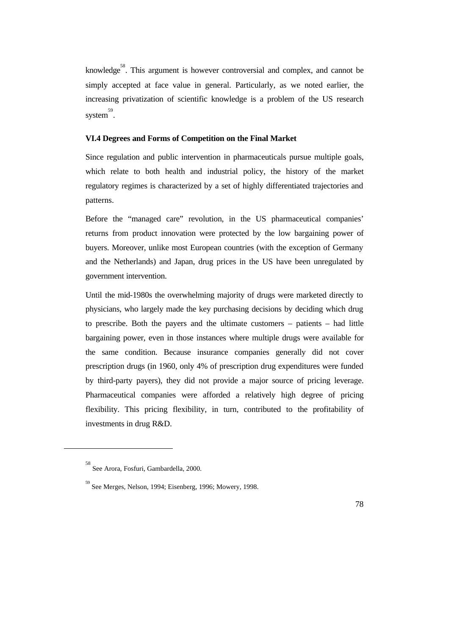knowledge<sup>58</sup>. This argument is however controversial and complex, and cannot be simply accepted at face value in general. Particularly, as we noted earlier, the increasing privatization of scientific knowledge is a problem of the US research system 59 .

# **VI.4 Degrees and Forms of Competition on the Final Market**

Since regulation and public intervention in pharmaceuticals pursue multiple goals, which relate to both health and industrial policy, the history of the market regulatory regimes is characterized by a set of highly differentiated trajectories and patterns.

Before the "managed care" revolution, in the US pharmaceutical companies' returns from product innovation were protected by the low bargaining power of buyers. Moreover, unlike most European countries (with the exception of Germany and the Netherlands) and Japan, drug prices in the US have been unregulated by government intervention.

Until the mid-1980s the overwhelming majority of drugs were marketed directly to physicians, who largely made the key purchasing decisions by deciding which drug to prescribe. Both the payers and the ultimate customers – patients – had little bargaining power, even in those instances where multiple drugs were available for the same condition. Because insurance companies generally did not cover prescription drugs (in 1960, only 4% of prescription drug expenditures were funded by third-party payers), they did not provide a major source of pricing leverage. Pharmaceutical companies were afforded a relatively high degree of pricing flexibility. This pricing flexibility, in turn, contributed to the profitability of investments in drug R&D.

 $\overline{a}$ 

<sup>58</sup> See Arora, Fosfuri, Gambardella, 2000.

<sup>59</sup> See Merges, Nelson, 1994; Eisenberg, 1996; Mowery, 1998.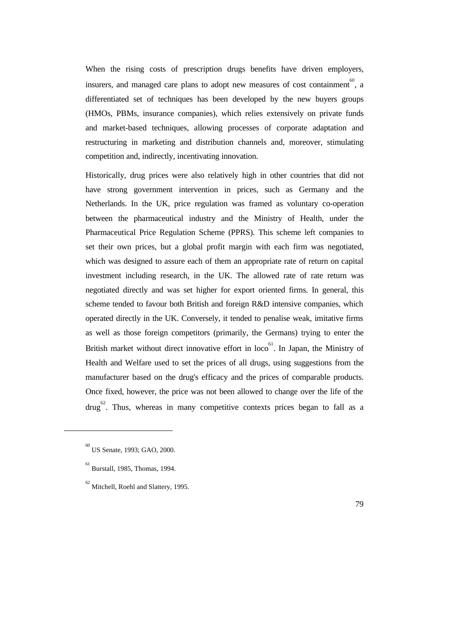When the rising costs of prescription drugs benefits have driven employers, insurers, and managed care plans to adopt new measures of cost containment<sup>60</sup>, a differentiated set of techniques has been developed by the new buyers groups (HMOs, PBMs, insurance companies), which relies extensively on private funds and market-based techniques, allowing processes of corporate adaptation and restructuring in marketing and distribution channels and, moreover, stimulating competition and, indirectly, incentivating innovation.

Historically, drug prices were also relatively high in other countries that did not have strong government intervention in prices, such as Germany and the Netherlands. In the UK, price regulation was framed as voluntary co-operation between the pharmaceutical industry and the Ministry of Health, under the Pharmaceutical Price Regulation Scheme (PPRS). This scheme left companies to set their own prices, but a global profit margin with each firm was negotiated, which was designed to assure each of them an appropriate rate of return on capital investment including research, in the UK. The allowed rate of rate return was negotiated directly and was set higher for export oriented firms. In general, this scheme tended to favour both British and foreign R&D intensive companies, which operated directly in the UK. Conversely, it tended to penalise weak, imitative firms as well as those foreign competitors (primarily, the Germans) trying to enter the British market without direct innovative effort in  $\text{loc}^6$ . In Japan, the Ministry of Health and Welfare used to set the prices of all drugs, using suggestions from the manufacturer based on the drug's efficacy and the prices of comparable products. Once fixed, however, the price was not been allowed to change over the life of the  $d\text{rug}^{62}$ . Thus, whereas in many competitive contexts prices began to fall as a

 $\overline{a}$ 

<sup>60</sup> US Senate, 1993; GAO, 2000.

<sup>61</sup> Burstall, 1985, Thomas, 1994.

 $^{62}$  Mitchell, Roehl and Slattery, 1995.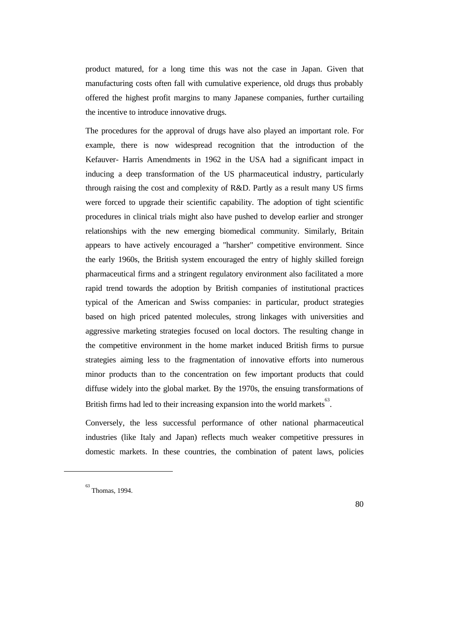product matured, for a long time this was not the case in Japan. Given that manufacturing costs often fall with cumulative experience, old drugs thus probably offered the highest profit margins to many Japanese companies, further curtailing the incentive to introduce innovative drugs.

The procedures for the approval of drugs have also played an important role. For example, there is now widespread recognition that the introduction of the Kefauver- Harris Amendments in 1962 in the USA had a significant impact in inducing a deep transformation of the US pharmaceutical industry, particularly through raising the cost and complexity of R&D. Partly as a result many US firms were forced to upgrade their scientific capability. The adoption of tight scientific procedures in clinical trials might also have pushed to develop earlier and stronger relationships with the new emerging biomedical community. Similarly, Britain appears to have actively encouraged a "harsher" competitive environment. Since the early 1960s, the British system encouraged the entry of highly skilled foreign pharmaceutical firms and a stringent regulatory environment also facilitated a more rapid trend towards the adoption by British companies of institutional practices typical of the American and Swiss companies: in particular, product strategies based on high priced patented molecules, strong linkages with universities and aggressive marketing strategies focused on local doctors. The resulting change in the competitive environment in the home market induced British firms to pursue strategies aiming less to the fragmentation of innovative efforts into numerous minor products than to the concentration on few important products that could diffuse widely into the global market. By the 1970s, the ensuing transformations of British firms had led to their increasing expansion into the world markets $^{63}$ .

Conversely, the less successful performance of other national pharmaceutical industries (like Italy and Japan) reflects much weaker competitive pressures in domestic markets. In these countries, the combination of patent laws, policies

 $\overline{a}$ 

<sup>63</sup> Thomas, 1994.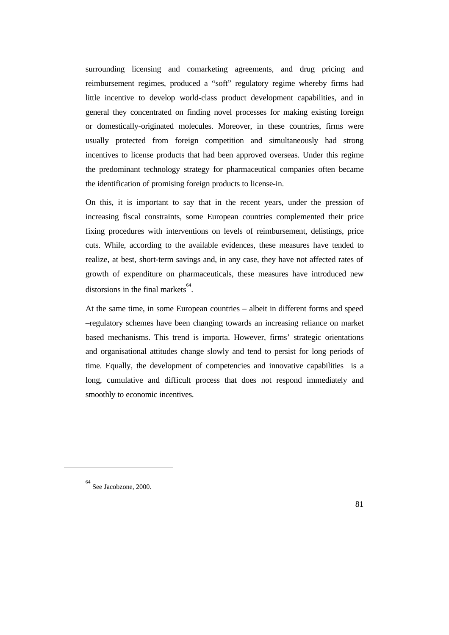surrounding licensing and comarketing agreements, and drug pricing and reimbursement regimes, produced a "soft" regulatory regime whereby firms had little incentive to develop world-class product development capabilities, and in general they concentrated on finding novel processes for making existing foreign or domestically-originated molecules. Moreover, in these countries, firms were usually protected from foreign competition and simultaneously had strong incentives to license products that had been approved overseas. Under this regime the predominant technology strategy for pharmaceutical companies often became the identification of promising foreign products to license-in.

On this, it is important to say that in the recent years, under the pression of increasing fiscal constraints, some European countries complemented their price fixing procedures with interventions on levels of reimbursement, delistings, price cuts. While, according to the available evidences, these measures have tended to realize, at best, short-term savings and, in any case, they have not affected rates of growth of expenditure on pharmaceuticals, these measures have introduced new distorsions in the final markets  $64$ .

At the same time, in some European countries – albeit in different forms and speed –regulatory schemes have been changing towards an increasing reliance on market based mechanisms. This trend is importa. However, firms' strategic orientations and organisational attitudes change slowly and tend to persist for long periods of time. Equally, the development of competencies and innovative capabilities is a long, cumulative and difficult process that does not respond immediately and smoothly to economic incentives.

 $\overline{a}$ 

<sup>64</sup> See Jacobzone, 2000.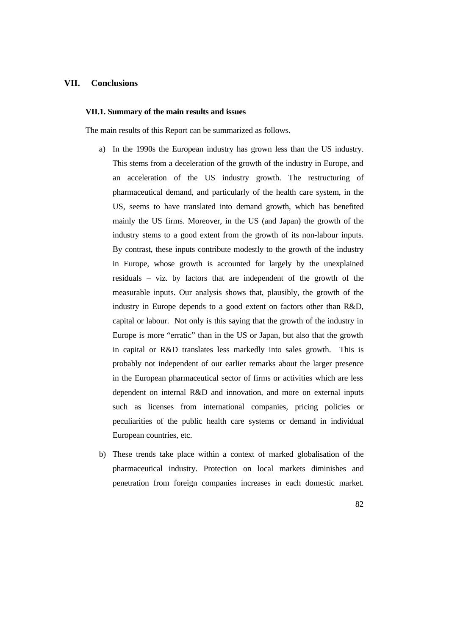# **VII. Conclusions**

#### **VII.1. Summary of the main results and issues**

The main results of this Report can be summarized as follows.

- a) In the 1990s the European industry has grown less than the US industry. This stems from a deceleration of the growth of the industry in Europe, and an acceleration of the US industry growth. The restructuring of pharmaceutical demand, and particularly of the health care system, in the US, seems to have translated into demand growth, which has benefited mainly the US firms. Moreover, in the US (and Japan) the growth of the industry stems to a good extent from the growth of its non-labour inputs. By contrast, these inputs contribute modestly to the growth of the industry in Europe, whose growth is accounted for largely by the unexplained residuals – viz. by factors that are independent of the growth of the measurable inputs. Our analysis shows that, plausibly, the growth of the industry in Europe depends to a good extent on factors other than R&D, capital or labour. Not only is this saying that the growth of the industry in Europe is more "erratic" than in the US or Japan, but also that the growth in capital or R&D translates less markedly into sales growth. This is probably not independent of our earlier remarks about the larger presence in the European pharmaceutical sector of firms or activities which are less dependent on internal R&D and innovation, and more on external inputs such as licenses from international companies, pricing policies or peculiarities of the public health care systems or demand in individual European countries, etc.
- b) These trends take place within a context of marked globalisation of the pharmaceutical industry. Protection on local markets diminishes and penetration from foreign companies increases in each domestic market.
	- 82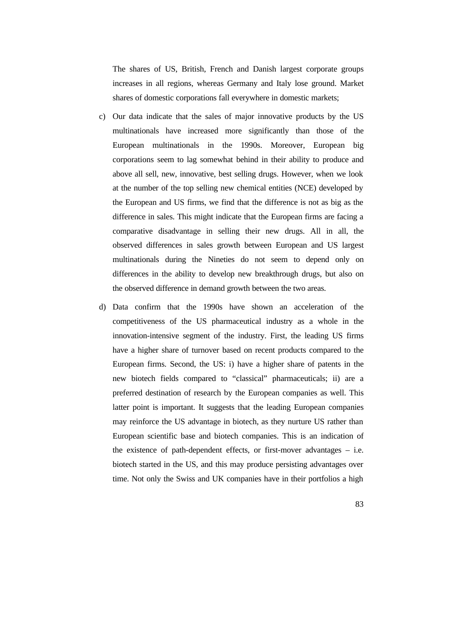The shares of US, British, French and Danish largest corporate groups increases in all regions, whereas Germany and Italy lose ground. Market shares of domestic corporations fall everywhere in domestic markets;

- c) Our data indicate that the sales of major innovative products by the US multinationals have increased more significantly than those of the European multinationals in the 1990s. Moreover, European big corporations seem to lag somewhat behind in their ability to produce and above all sell, new, innovative, best selling drugs. However, when we look at the number of the top selling new chemical entities (NCE) developed by the European and US firms, we find that the difference is not as big as the difference in sales. This might indicate that the European firms are facing a comparative disadvantage in selling their new drugs. All in all, the observed differences in sales growth between European and US largest multinationals during the Nineties do not seem to depend only on differences in the ability to develop new breakthrough drugs, but also on the observed difference in demand growth between the two areas.
- d) Data confirm that the 1990s have shown an acceleration of the competitiveness of the US pharmaceutical industry as a whole in the innovation-intensive segment of the industry. First, the leading US firms have a higher share of turnover based on recent products compared to the European firms. Second, the US: i) have a higher share of patents in the new biotech fields compared to "classical" pharmaceuticals; ii) are a preferred destination of research by the European companies as well. This latter point is important. It suggests that the leading European companies may reinforce the US advantage in biotech, as they nurture US rather than European scientific base and biotech companies. This is an indication of the existence of path-dependent effects, or first-mover advantages – i.e. biotech started in the US, and this may produce persisting advantages over time. Not only the Swiss and UK companies have in their portfolios a high
	- 83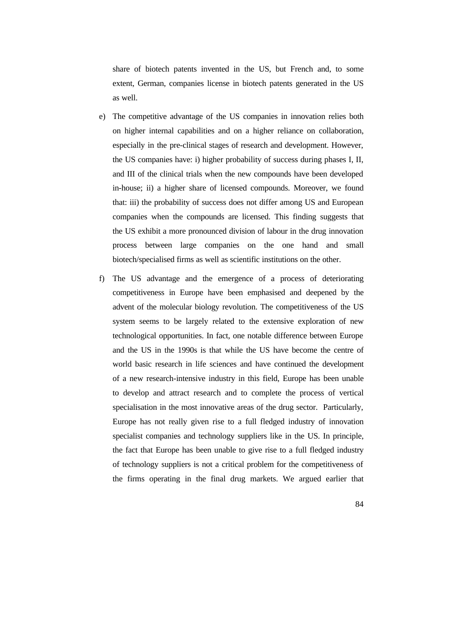share of biotech patents invented in the US, but French and, to some extent, German, companies license in biotech patents generated in the US as well.

- e) The competitive advantage of the US companies in innovation relies both on higher internal capabilities and on a higher reliance on collaboration, especially in the pre-clinical stages of research and development. However, the US companies have: i) higher probability of success during phases I, II, and III of the clinical trials when the new compounds have been developed in-house; ii) a higher share of licensed compounds. Moreover, we found that: iii) the probability of success does not differ among US and European companies when the compounds are licensed. This finding suggests that the US exhibit a more pronounced division of labour in the drug innovation process between large companies on the one hand and small biotech/specialised firms as well as scientific institutions on the other.
- f) The US advantage and the emergence of a process of deteriorating competitiveness in Europe have been emphasised and deepened by the advent of the molecular biology revolution. The competitiveness of the US system seems to be largely related to the extensive exploration of new technological opportunities. In fact, one notable difference between Europe and the US in the 1990s is that while the US have become the centre of world basic research in life sciences and have continued the development of a new research-intensive industry in this field, Europe has been unable to develop and attract research and to complete the process of vertical specialisation in the most innovative areas of the drug sector. Particularly, Europe has not really given rise to a full fledged industry of innovation specialist companies and technology suppliers like in the US. In principle, the fact that Europe has been unable to give rise to a full fledged industry of technology suppliers is not a critical problem for the competitiveness of the firms operating in the final drug markets. We argued earlier that
	- 84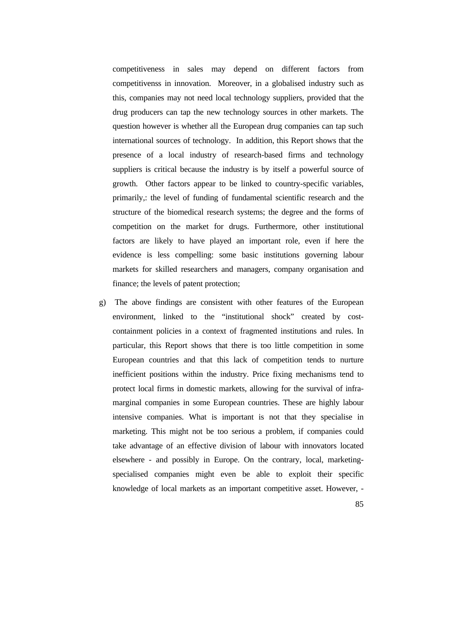competitiveness in sales may depend on different factors from competitivenss in innovation. Moreover, in a globalised industry such as this, companies may not need local technology suppliers, provided that the drug producers can tap the new technology sources in other markets. The question however is whether all the European drug companies can tap such international sources of technology. In addition, this Report shows that the presence of a local industry of research-based firms and technology suppliers is critical because the industry is by itself a powerful source of growth. Other factors appear to be linked to country-specific variables, primarily,: the level of funding of fundamental scientific research and the structure of the biomedical research systems; the degree and the forms of competition on the market for drugs. Furthermore, other institutional factors are likely to have played an important role, even if here the evidence is less compelling: some basic institutions governing labour markets for skilled researchers and managers, company organisation and finance; the levels of patent protection;

- g) The above findings are consistent with other features of the European environment, linked to the "institutional shock" created by costcontainment policies in a context of fragmented institutions and rules. In particular, this Report shows that there is too little competition in some European countries and that this lack of competition tends to nurture inefficient positions within the industry. Price fixing mechanisms tend to protect local firms in domestic markets, allowing for the survival of inframarginal companies in some European countries. These are highly labour intensive companies. What is important is not that they specialise in marketing. This might not be too serious a problem, if companies could take advantage of an effective division of labour with innovators located elsewhere - and possibly in Europe. On the contrary, local, marketingspecialised companies might even be able to exploit their specific knowledge of local markets as an important competitive asset. However, -
	- 85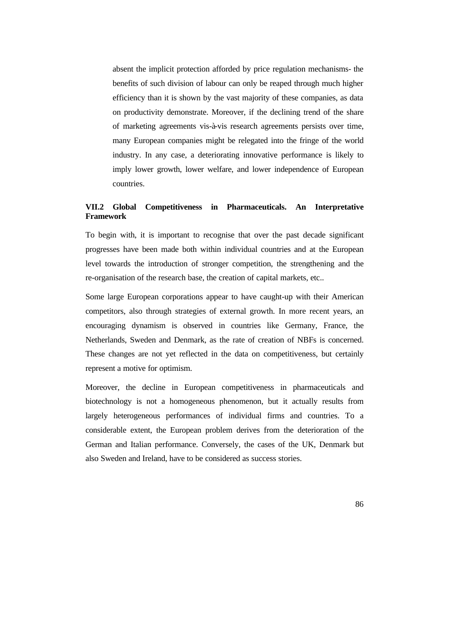absent the implicit protection afforded by price regulation mechanisms- the benefits of such division of labour can only be reaped through much higher efficiency than it is shown by the vast majority of these companies, as data on productivity demonstrate. Moreover, if the declining trend of the share of marketing agreements vis-à-vis research agreements persists over time, many European companies might be relegated into the fringe of the world industry. In any case, a deteriorating innovative performance is likely to imply lower growth, lower welfare, and lower independence of European countries.

# **VII.2 Global Competitiveness in Pharmaceuticals. An Interpretative Framework**

To begin with, it is important to recognise that over the past decade significant progresses have been made both within individual countries and at the European level towards the introduction of stronger competition, the strengthening and the re-organisation of the research base, the creation of capital markets, etc..

Some large European corporations appear to have caught-up with their American competitors, also through strategies of external growth. In more recent years, an encouraging dynamism is observed in countries like Germany, France, the Netherlands, Sweden and Denmark, as the rate of creation of NBFs is concerned. These changes are not yet reflected in the data on competitiveness, but certainly represent a motive for optimism.

Moreover, the decline in European competitiveness in pharmaceuticals and biotechnology is not a homogeneous phenomenon, but it actually results from largely heterogeneous performances of individual firms and countries. To a considerable extent, the European problem derives from the deterioration of the German and Italian performance. Conversely, the cases of the UK, Denmark but also Sweden and Ireland, have to be considered as success stories.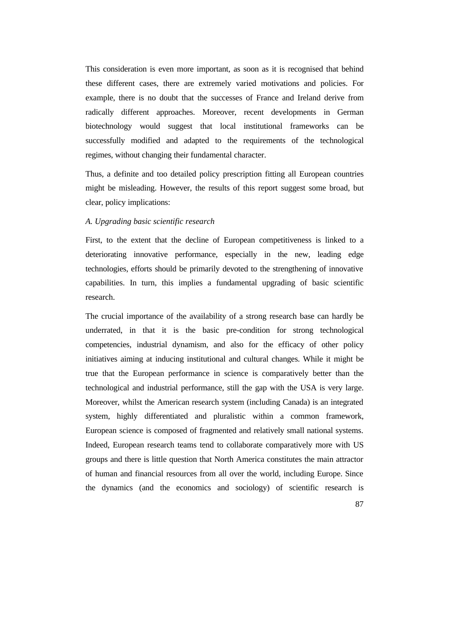This consideration is even more important, as soon as it is recognised that behind these different cases, there are extremely varied motivations and policies. For example, there is no doubt that the successes of France and Ireland derive from radically different approaches. Moreover, recent developments in German biotechnology would suggest that local institutional frameworks can be successfully modified and adapted to the requirements of the technological regimes, without changing their fundamental character.

Thus, a definite and too detailed policy prescription fitting all European countries might be misleading. However, the results of this report suggest some broad, but clear, policy implications:

### *A. Upgrading basic scientific research*

First, to the extent that the decline of European competitiveness is linked to a deteriorating innovative performance, especially in the new, leading edge technologies, efforts should be primarily devoted to the strengthening of innovative capabilities. In turn, this implies a fundamental upgrading of basic scientific research.

The crucial importance of the availability of a strong research base can hardly be underrated, in that it is the basic pre-condition for strong technological competencies, industrial dynamism, and also for the efficacy of other policy initiatives aiming at inducing institutional and cultural changes. While it might be true that the European performance in science is comparatively better than the technological and industrial performance, still the gap with the USA is very large. Moreover, whilst the American research system (including Canada) is an integrated system, highly differentiated and pluralistic within a common framework, European science is composed of fragmented and relatively small national systems. Indeed, European research teams tend to collaborate comparatively more with US groups and there is little question that North America constitutes the main attractor of human and financial resources from all over the world, including Europe. Since the dynamics (and the economics and sociology) of scientific research is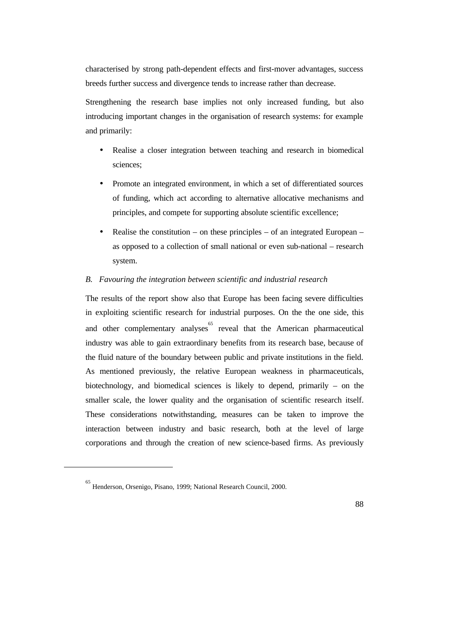characterised by strong path-dependent effects and first-mover advantages, success breeds further success and divergence tends to increase rather than decrease.

Strengthening the research base implies not only increased funding, but also introducing important changes in the organisation of research systems: for example and primarily:

- Realise a closer integration between teaching and research in biomedical sciences;
- Promote an integrated environment, in which a set of differentiated sources of funding, which act according to alternative allocative mechanisms and principles, and compete for supporting absolute scientific excellence;
- Realise the constitution on these principles of an integrated European as opposed to a collection of small national or even sub-national – research system.

### *B. Favouring the integration between scientific and industrial research*

The results of the report show also that Europe has been facing severe difficulties in exploiting scientific research for industrial purposes. On the the one side, this and other complementary analyses  $65$  reveal that the American pharmaceutical industry was able to gain extraordinary benefits from its research base, because of the fluid nature of the boundary between public and private institutions in the field. As mentioned previously, the relative European weakness in pharmaceuticals, biotechnology, and biomedical sciences is likely to depend, primarily – on the smaller scale, the lower quality and the organisation of scientific research itself. These considerations notwithstanding, measures can be taken to improve the interaction between industry and basic research, both at the level of large corporations and through the creation of new science-based firms. As previously

 $\overline{a}$ 

<sup>65</sup> Henderson, Orsenigo, Pisano, 1999; National Research Council, 2000.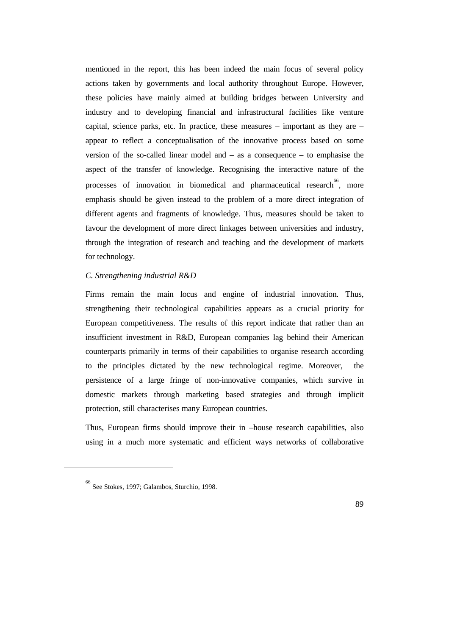mentioned in the report, this has been indeed the main focus of several policy actions taken by governments and local authority throughout Europe. However, these policies have mainly aimed at building bridges between University and industry and to developing financial and infrastructural facilities like venture capital, science parks, etc. In practice, these measures – important as they are – appear to reflect a conceptualisation of the innovative process based on some version of the so-called linear model and – as a consequence – to emphasise the aspect of the transfer of knowledge. Recognising the interactive nature of the processes of innovation in biomedical and pharmaceutical research<sup>66</sup>, more emphasis should be given instead to the problem of a more direct integration of different agents and fragments of knowledge. Thus, measures should be taken to favour the development of more direct linkages between universities and industry, through the integration of research and teaching and the development of markets for technology.

### *C. Strengthening industrial R&D*

Firms remain the main locus and engine of industrial innovation. Thus, strengthening their technological capabilities appears as a crucial priority for European competitiveness. The results of this report indicate that rather than an insufficient investment in R&D, European companies lag behind their American counterparts primarily in terms of their capabilities to organise research according to the principles dictated by the new technological regime. Moreover, the persistence of a large fringe of non-innovative companies, which survive in domestic markets through marketing based strategies and through implicit protection, still characterises many European countries.

Thus, European firms should improve their in –house research capabilities, also using in a much more systematic and efficient ways networks of collaborative

 $\overline{a}$ 

<sup>66</sup> See Stokes, 1997; Galambos, Sturchio, 1998.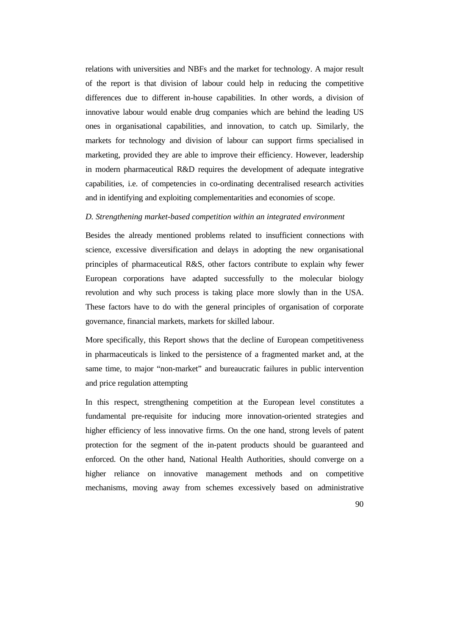relations with universities and NBFs and the market for technology. A major result of the report is that division of labour could help in reducing the competitive differences due to different in-house capabilities. In other words, a division of innovative labour would enable drug companies which are behind the leading US ones in organisational capabilities, and innovation, to catch up. Similarly, the markets for technology and division of labour can support firms specialised in marketing, provided they are able to improve their efficiency. However, leadership in modern pharmaceutical R&D requires the development of adequate integrative capabilities, i.e. of competencies in co-ordinating decentralised research activities and in identifying and exploiting complementarities and economies of scope.

#### *D. Strengthening market-based competition within an integrated environment*

Besides the already mentioned problems related to insufficient connections with science, excessive diversification and delays in adopting the new organisational principles of pharmaceutical R&S, other factors contribute to explain why fewer European corporations have adapted successfully to the molecular biology revolution and why such process is taking place more slowly than in the USA. These factors have to do with the general principles of organisation of corporate governance, financial markets, markets for skilled labour.

More specifically, this Report shows that the decline of European competitiveness in pharmaceuticals is linked to the persistence of a fragmented market and, at the same time, to major "non-market" and bureaucratic failures in public intervention and price regulation attempting

In this respect, strengthening competition at the European level constitutes a fundamental pre-requisite for inducing more innovation-oriented strategies and higher efficiency of less innovative firms. On the one hand, strong levels of patent protection for the segment of the in-patent products should be guaranteed and enforced. On the other hand, National Health Authorities, should converge on a higher reliance on innovative management methods and on competitive mechanisms, moving away from schemes excessively based on administrative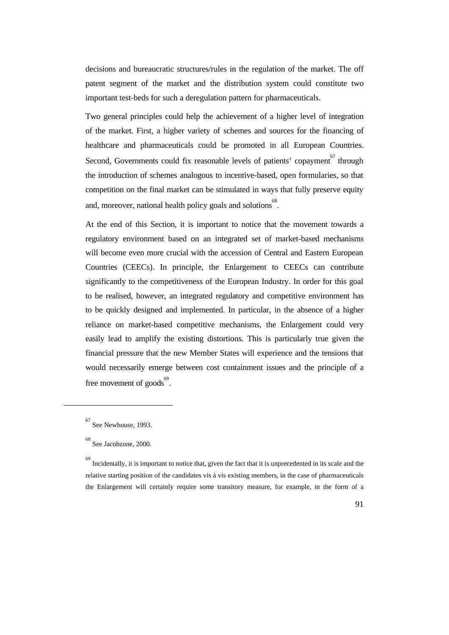decisions and bureaucratic structures/rules in the regulation of the market. The off patent segment of the market and the distribution system could constitute two important test-beds for such a deregulation pattern for pharmaceuticals.

Two general principles could help the achievement of a higher level of integration of the market. First, a higher variety of schemes and sources for the financing of healthcare and pharmaceuticals could be promoted in all European Countries. Second, Governments could fix reasonable levels of patients' copayment<sup>67</sup> through the introduction of schemes analogous to incentive-based, open formularies, so that competition on the final market can be stimulated in ways that fully preserve equity and, moreover, national health policy goals and solutions  $68$ .

At the end of this Section, it is important to notice that the movement towards a regulatory environment based on an integrated set of market-based mechanisms will become even more crucial with the accession of Central and Eastern European Countries (CEECs). In principle, the Enlargement to CEECs can contribute significantly to the competitiveness of the European Industry. In order for this goal to be realised, however, an integrated regulatory and competitive environment has to be quickly designed and implemented. In particular, in the absence of a higher reliance on market-based competitive mechanisms, the Enlargement could very easily lead to amplify the existing distortions. This is particularly true given the financial pressure that the new Member States will experience and the tensions that would necessarily emerge between cost containment issues and the principle of a free movement of  $\text{goods}^{69}$ .

 $\overline{a}$ 

<sup>67</sup> See Newhouse, 1993.

<sup>68</sup> See Jacobzone, 2000.

<sup>69</sup> Incidentally, it is important to notice that, given the fact that it is unprecedented in its scale and the relative starting position of the candidates vis à vis existing members, in the case of pharmaceuticals the Enlargement will certainly require some transitory measure, for example, in the form of a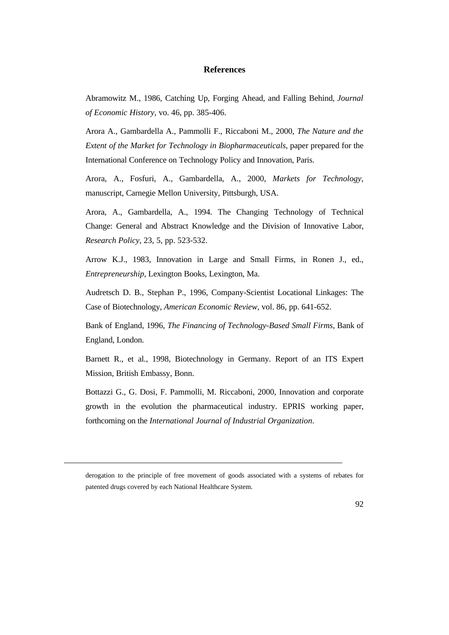# **References**

Abramowitz M., 1986, Catching Up, Forging Ahead, and Falling Behind*, Journal of Economic History*, vo. 46, pp. 385-406.

Arora A., Gambardella A., Pammolli F., Riccaboni M., 2000, *The Nature and the Extent of the Market for Technology in Biopharmaceuticals*, paper prepared for the International Conference on Technology Policy and Innovation, Paris.

Arora, A., Fosfuri, A., Gambardella, A., 2000*, Markets for Technology*, manuscript, Carnegie Mellon University, Pittsburgh, USA.

Arora, A., Gambardella, A., 1994. The Changing Technology of Technical Change: General and Abstract Knowledge and the Division of Innovative Labor, *Research Policy*, 23, 5, pp. 523-532.

Arrow K.J., 1983, Innovation in Large and Small Firms, in Ronen J., ed., *Entrepreneurship*, Lexington Books, Lexington, Ma.

Audretsch D. B., Stephan P., 1996, Company-Scientist Locational Linkages: The Case of Biotechnology, *American Economic Review*, vol. 86, pp. 641-652.

Bank of England, 1996, *The Financing of Technology-Based Small Firms*, Bank of England, London.

Barnett R., et al., 1998, Biotechnology in Germany. Report of an ITS Expert Mission, British Embassy, Bonn.

Bottazzi G., G. Dosi, F. Pammolli, M. Riccaboni, 2000, Innovation and corporate growth in the evolution the pharmaceutical industry. EPRIS working paper, forthcoming on the *International Journal of Industrial Organization*.

derogation to the principle of free movement of goods associated with a systems of rebates for patented drugs covered by each National Healthcare System.

 $\overline{a}$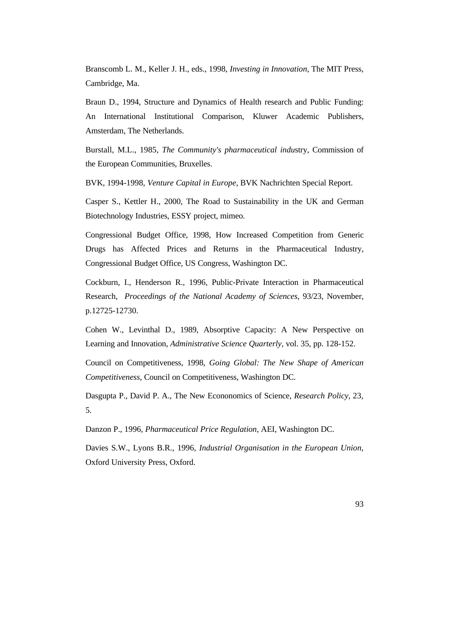Branscomb L. M., Keller J. H., eds., 1998, *Investing in Innovation*, The MIT Press, Cambridge, Ma.

Braun D., 1994, Structure and Dynamics of Health research and Public Funding: An International Institutional Comparison, Kluwer Academic Publishers, Amsterdam, The Netherlands.

Burstall, M.L., 1985, *The Community's pharmaceutical indu*stry, Commission of the European Communities, Bruxelles.

BVK, 1994-1998, *Venture Capital in Europe*, BVK Nachrichten Special Report.

Casper S., Kettler H., 2000, The Road to Sustainability in the UK and German Biotechnology Industries, ESSY project, mimeo.

Congressional Budget Office, 1998, How Increased Competition from Generic Drugs has Affected Prices and Returns in the Pharmaceutical Industry, Congressional Budget Office, US Congress, Washington DC.

Cockburn, I., Henderson R., 1996, Public-Private Interaction in Pharmaceutical Research, *Proceedings of the National Academy of Sciences*, 93/23, November, p.12725-12730.

Cohen W., Levinthal D., 1989, Absorptive Capacity: A New Perspective on Learning and Innovation, *Administrative Science Quarterly*, vol. 35, pp. 128-152.

Council on Competitiveness, 1998, *Going Global: The New Shape of American Competitiveness*, Council on Competitiveness, Washington DC.

Dasgupta P., David P. A., The New Econonomics of Science, *Research Policy*, 23, 5.

Danzon P., 1996, *Pharmaceutical Price Regulation*, AEI, Washington DC.

Davies S.W., Lyons B.R., 1996, *Industrial Organisation in the European Union*, Oxford University Press, Oxford.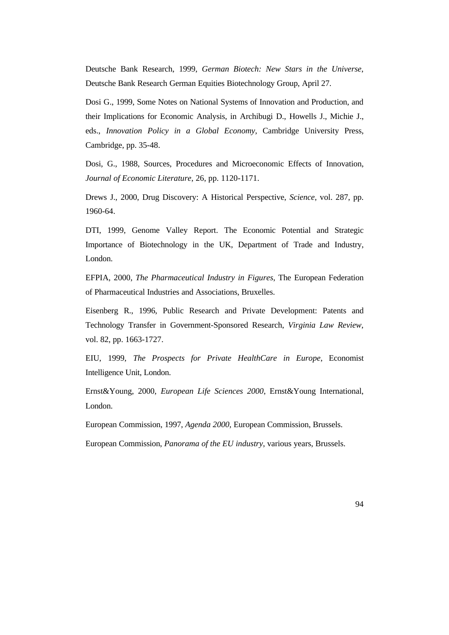Deutsche Bank Research, 1999, *German Biotech: New Stars in the Universe*, Deutsche Bank Research German Equities Biotechnology Group, April 27.

Dosi G., 1999, Some Notes on National Systems of Innovation and Production, and their Implications for Economic Analysis, in Archibugi D., Howells J., Michie J., eds., *Innovation Policy in a Global Economy*, Cambridge University Press, Cambridge, pp. 35-48.

Dosi, G., 1988, Sources, Procedures and Microeconomic Effects of Innovation, *Journal of Economic Literature*, 26, pp. 1120-1171.

Drews J., 2000, Drug Discovery: A Historical Perspective, *Science*, vol. 287, pp. 1960-64.

DTI, 1999, Genome Valley Report. The Economic Potential and Strategic Importance of Biotechnology in the UK, Department of Trade and Industry, London.

EFPIA, 2000, *The Pharmaceutical Industry in Figures*, The European Federation of Pharmaceutical Industries and Associations, Bruxelles.

Eisenberg R., 1996, Public Research and Private Development: Patents and Technology Transfer in Government-Sponsored Research, *Virginia Law Review*, vol. 82, pp. 1663-1727.

EIU, 1999, *The Prospects for Private HealthCare in Europe*, Economist Intelligence Unit, London.

Ernst&Young, 2000, *European Life Sciences 2000*, Ernst&Young International, London.

European Commission, 1997, *Agenda 2000*, European Commission, Brussels.

European Commission, *Panorama of the EU industry*, various years, Brussels.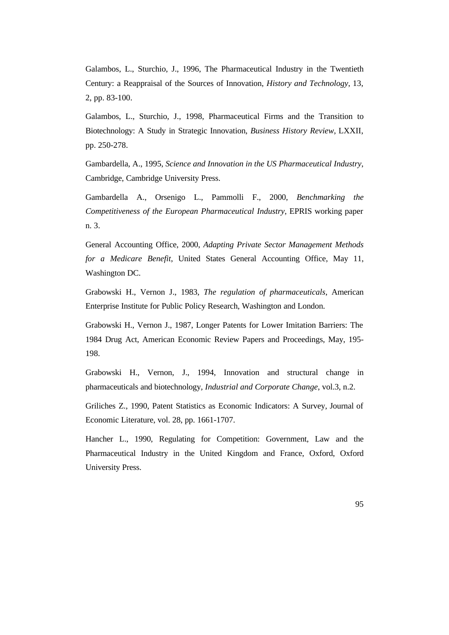Galambos, L., Sturchio, J., 1996, The Pharmaceutical Industry in the Twentieth Century: a Reappraisal of the Sources of Innovation, *History and Technology*, 13, 2, pp. 83-100.

Galambos, L., Sturchio, J., 1998, Pharmaceutical Firms and the Transition to Biotechnology: A Study in Strategic Innovation, *Business History Review*, LXXII, pp. 250-278.

Gambardella, A., 1995, *Science and Innovation in the US Pharmaceutical Industry*, Cambridge, Cambridge University Press.

Gambardella A., Orsenigo L., Pammolli F., 2000, *Benchmarking the Competitiveness of the European Pharmaceutical Industry*, EPRIS working paper n. 3.

General Accounting Office, 2000, *Adapting Private Sector Management Methods for a Medicare Benefit*, United States General Accounting Office, May 11, Washington DC.

Grabowski H., Vernon J., 1983, *The regulation of pharmaceuticals*, American Enterprise Institute for Public Policy Research, Washington and London.

Grabowski H., Vernon J., 1987, Longer Patents for Lower Imitation Barriers: The 1984 Drug Act, American Economic Review Papers and Proceedings, May, 195- 198.

Grabowski H., Vernon, J., 1994, Innovation and structural change in pharmaceuticals and biotechnology*, Industrial and Corporate Change*, vol.3, n.2.

Griliches Z., 1990, Patent Statistics as Economic Indicators: A Survey, Journal of Economic Literature, vol. 28, pp. 1661-1707.

Hancher L., 1990, Regulating for Competition: Government, Law and the Pharmaceutical Industry in the United Kingdom and France, Oxford, Oxford University Press.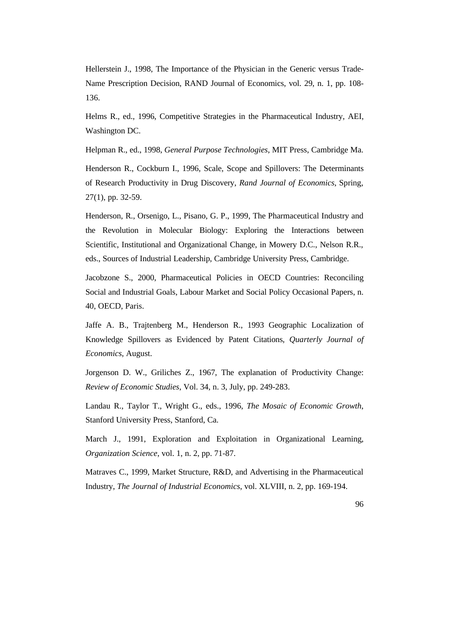Hellerstein J., 1998, The Importance of the Physician in the Generic versus Trade-Name Prescription Decision, RAND Journal of Economics, vol. 29, n. 1, pp. 108- 136.

Helms R., ed., 1996, Competitive Strategies in the Pharmaceutical Industry, AEI, Washington DC.

Helpman R., ed., 1998, *General Purpose Technologies*, MIT Press, Cambridge Ma.

Henderson R., Cockburn I., 1996, Scale, Scope and Spillovers: The Determinants of Research Productivity in Drug Discovery, *Rand Journal of Economics*, Spring, 27(1), pp. 32-59.

Henderson, R., Orsenigo, L., Pisano, G. P., 1999, The Pharmaceutical Industry and the Revolution in Molecular Biology: Exploring the Interactions between Scientific, Institutional and Organizational Change, in Mowery D.C., Nelson R.R., eds., Sources of Industrial Leadership, Cambridge University Press, Cambridge.

Jacobzone S., 2000, Pharmaceutical Policies in OECD Countries: Reconciling Social and Industrial Goals, Labour Market and Social Policy Occasional Papers, n. 40, OECD, Paris.

Jaffe A. B., Trajtenberg M., Henderson R., 1993 Geographic Localization of Knowledge Spillovers as Evidenced by Patent Citations, *Quarterly Journal of Economics*, August.

Jorgenson D. W., Griliches Z., 1967, The explanation of Productivity Change: *Review of Economic Studies*, Vol. 34, n. 3, July, pp. 249-283.

Landau R., Taylor T., Wright G., eds., 1996, *The Mosaic of Economic Growth*, Stanford University Press, Stanford, Ca.

March J., 1991, Exploration and Exploitation in Organizational Learning, *Organization Science*, vol. 1, n. 2, pp. 71-87.

Matraves C., 1999, Market Structure, R&D, and Advertising in the Pharmaceutical Industry, *The Journal of Industrial Economics*, vol. XLVIII, n. 2, pp. 169-194.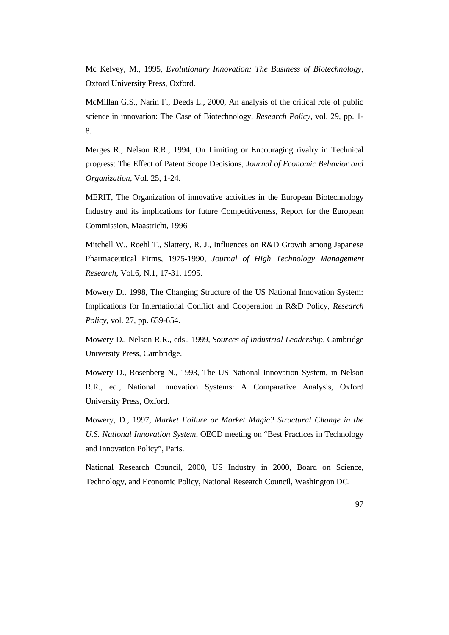Mc Kelvey, M., 1995, *Evolutionary Innovation: The Business of Biotechnology*, Oxford University Press, Oxford.

McMillan G.S., Narin F., Deeds L., 2000, An analysis of the critical role of public science in innovation: The Case of Biotechnology, *Research Policy*, vol. 29, pp. 1- 8.

Merges R., Nelson R.R., 1994, On Limiting or Encouraging rivalry in Technical progress: The Effect of Patent Scope Decisions, *Journal of Economic Behavior and Organization*, Vol. 25, 1-24.

MERIT, The Organization of innovative activities in the European Biotechnology Industry and its implications for future Competitiveness, Report for the European Commission, Maastricht, 1996

Mitchell W., Roehl T., Slattery, R. J., Influences on R&D Growth among Japanese Pharmaceutical Firms, 1975-1990, *Journal of High Technology Management Research*, Vol.6, N.1, 17-31, 1995.

Mowery D., 1998, The Changing Structure of the US National Innovation System: Implications for International Conflict and Cooperation in R&D Policy, *Research Policy*, vol. 27, pp. 639-654.

Mowery D., Nelson R.R., eds., 1999, *Sources of Industrial Leadership*, Cambridge University Press, Cambridge.

Mowery D., Rosenberg N., 1993, The US National Innovation System, in Nelson R.R., ed., National Innovation Systems: A Comparative Analysis, Oxford University Press, Oxford.

Mowery, D., 1997, *Market Failure or Market Magic? Structural Change in the U.S. National Innovation System*, OECD meeting on "Best Practices in Technology and Innovation Policy", Paris.

National Research Council, 2000, US Industry in 2000, Board on Science, Technology, and Economic Policy, National Research Council, Washington DC.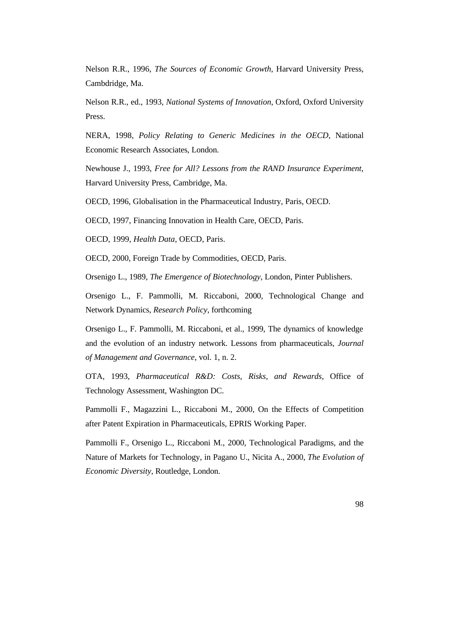Nelson R.R., 1996, *The Sources of Economic Growth*, Harvard University Press, Cambdridge, Ma.

Nelson R.R., ed., 1993, *National Systems of Innovation*, Oxford, Oxford University Press.

NERA, 1998, *Policy Relating to Generic Medicines in the OECD*, National Economic Research Associates, London.

Newhouse J., 1993, *Free for All? Lessons from the RAND Insurance Experiment*, Harvard University Press, Cambridge, Ma.

OECD, 1996, Globalisation in the Pharmaceutical Industry, Paris, OECD.

OECD, 1997, Financing Innovation in Health Care, OECD, Paris.

OECD, 1999, *Health Data*, OECD, Paris.

OECD, 2000, Foreign Trade by Commodities, OECD, Paris.

Orsenigo L., 1989, *The Emergence of Biotechnology*, London, Pinter Publishers.

Orsenigo L., F. Pammolli, M. Riccaboni, 2000, Technological Change and Network Dynamics, *Research Policy*, forthcoming

Orsenigo L., F. Pammolli, M. Riccaboni, et al., 1999, The dynamics of knowledge and the evolution of an industry network. Lessons from pharmaceuticals, *Journal of Management and Governance*, vol. 1, n. 2.

OTA, 1993, *Pharmaceutical R&D: Costs, Risks, and Rewards*, Office of Technology Assessment, Washington DC.

Pammolli F., Magazzini L., Riccaboni M., 2000, On the Effects of Competition after Patent Expiration in Pharmaceuticals, EPRIS Working Paper.

Pammolli F., Orsenigo L., Riccaboni M., 2000, Technological Paradigms, and the Nature of Markets for Technology, in Pagano U., Nicita A., 2000, *The Evolution of Economic Diversity*, Routledge, London.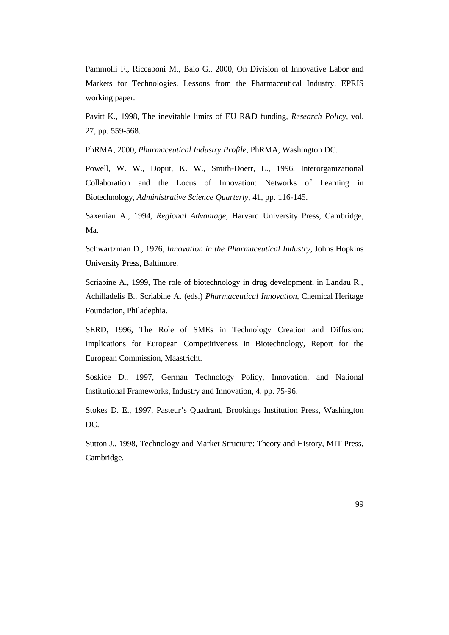Pammolli F., Riccaboni M., Baio G., 2000, On Division of Innovative Labor and Markets for Technologies. Lessons from the Pharmaceutical Industry, EPRIS working paper.

Pavitt K., 1998, The inevitable limits of EU R&D funding, *Research Policy*, vol. 27, pp. 559-568.

PhRMA, 2000, *Pharmaceutical Industry Profile*, PhRMA, Washington DC.

Powell, W. W., Doput, K. W., Smith-Doerr, L., 1996. Interorganizational Collaboration and the Locus of Innovation: Networks of Learning in Biotechnology, *Administrative Science Quarterly*, 41, pp. 116-145.

Saxenian A., 1994, *Regional Advantage*, Harvard University Press, Cambridge, Ma.

Schwartzman D., 1976, *Innovation in the Pharmaceutical Industry*, Johns Hopkins University Press, Baltimore.

Scriabine A., 1999, The role of biotechnology in drug development, in Landau R., Achilladelis B., Scriabine A. (eds.) *Pharmaceutical Innovation*, Chemical Heritage Foundation, Philadephia.

SERD, 1996, The Role of SMEs in Technology Creation and Diffusion: Implications for European Competitiveness in Biotechnology, Report for the European Commission, Maastricht.

Soskice D., 1997, German Technology Policy, Innovation, and National Institutional Frameworks, Industry and Innovation, 4, pp. 75-96.

Stokes D. E., 1997, Pasteur's Quadrant, Brookings Institution Press, Washington DC.

Sutton J., 1998, Technology and Market Structure: Theory and History, MIT Press, Cambridge.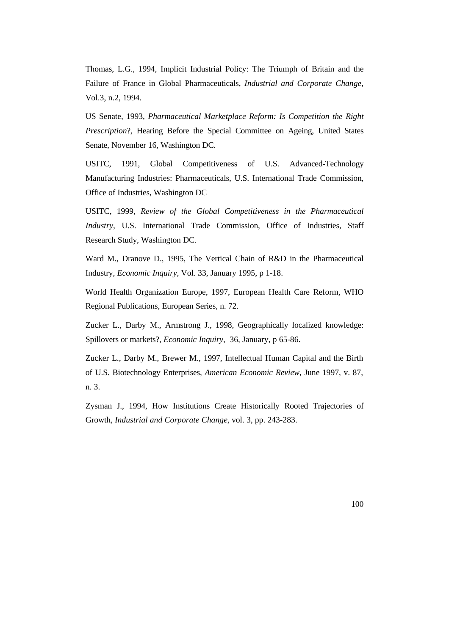Thomas, L.G., 1994, Implicit Industrial Policy: The Triumph of Britain and the Failure of France in Global Pharmaceuticals, *Industrial and Corporate Change*, Vol.3, n.2, 1994.

US Senate, 1993, *Pharmaceutical Marketplace Reform: Is Competition the Right Prescription*?, Hearing Before the Special Committee on Ageing, United States Senate, November 16, Washington DC.

USITC, 1991, Global Competitiveness of U.S. Advanced-Technology Manufacturing Industries: Pharmaceuticals, U.S. International Trade Commission, Office of Industries, Washington DC

USITC, 1999, *Review of the Global Competitiveness in the Pharmaceutical Industry*, U.S. International Trade Commission, Office of Industries, Staff Research Study, Washington DC.

Ward M., Dranove D., 1995, The Vertical Chain of R&D in the Pharmaceutical Industry, *Economic Inquiry*, Vol. 33, January 1995, p 1-18.

World Health Organization Europe, 1997, European Health Care Reform, WHO Regional Publications, European Series, n. 72.

Zucker L., Darby M., Armstrong J., 1998, Geographically localized knowledge: Spillovers or markets?, *Economic Inquiry*, 36, January, p 65-86.

Zucker L., Darby M., Brewer M., 1997, Intellectual Human Capital and the Birth of U.S. Biotechnology Enterprises, *American Economic Review*, June 1997, v. 87, n. 3.

Zysman J., 1994, How Institutions Create Historically Rooted Trajectories of Growth, *Industrial and Corporate Change*, vol. 3, pp. 243-283.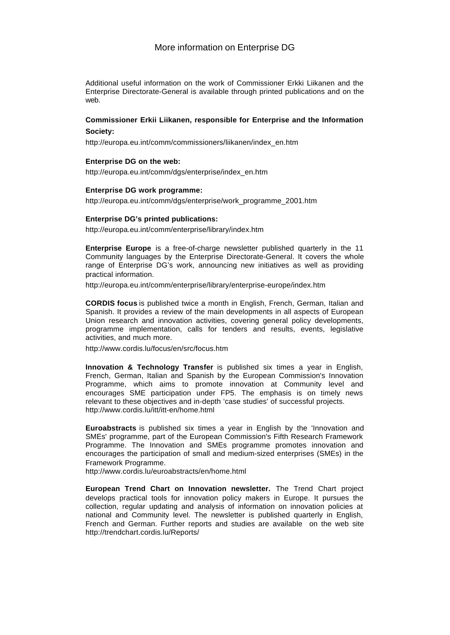# More information on Enterprise DG

Additional useful information on the work of Commissioner Erkki Liikanen and the Enterprise Directorate-General is available through printed publications and on the web.

# **Commissioner Erkii Liikanen, responsible for Enterprise and the Information Society:**

http://europa.eu.int/comm/commissioners/liikanen/index\_en.htm

### **Enterprise DG on the web:**

http://europa.eu.int/comm/dgs/enterprise/index\_en.htm

### **Enterprise DG work programme:**

http://europa.eu.int/comm/dgs/enterprise/work\_programme\_2001.htm

### **Enterprise DG's printed publications:**

http://europa.eu.int/comm/enterprise/library/index.htm

**Enterprise Europe** is a free-of-charge newsletter published quarterly in the 11 Community languages by the Enterprise Directorate-General. It covers the whole range of Enterprise DG's work, announcing new initiatives as well as providing practical information.

http://europa.eu.int/comm/enterprise/library/enterprise-europe/index.htm

**CORDIS focus** is published twice a month in English, French, German, Italian and Spanish. It provides a review of the main developments in all aspects of European Union research and innovation activities, covering general policy developments, programme implementation, calls for tenders and results, events, legislative activities, and much more.

http://www.cordis.lu/focus/en/src/focus.htm

**Innovation & Technology Transfer** is published six times a year in English, French, German, Italian and Spanish by the European Commission's Innovation Programme, which aims to promote innovation at Community level and encourages SME participation under FP5. The emphasis is on timely news relevant to these objectives and in-depth 'case studies' of successful projects. http://www.cordis.lu/itt/itt-en/home.html

**Euroabstracts** is published six times a year in English by the 'Innovation and SMEs' programme, part of the European Commission's Fifth Research Framework Programme. The Innovation and SMEs programme promotes innovation and encourages the participation of small and medium-sized enterprises (SMEs) in the Framework Programme.

http://www.cordis.lu/euroabstracts/en/home.html

**European Trend Chart on Innovation newsletter.** The Trend Chart project develops practical tools for innovation policy makers in Europe. It pursues the collection, regular updating and analysis of information on innovation policies at national and Community level. The newsletter is published quarterly in English, French and German. Further reports and studies are available on the web site http://trendchart.cordis.lu/Reports/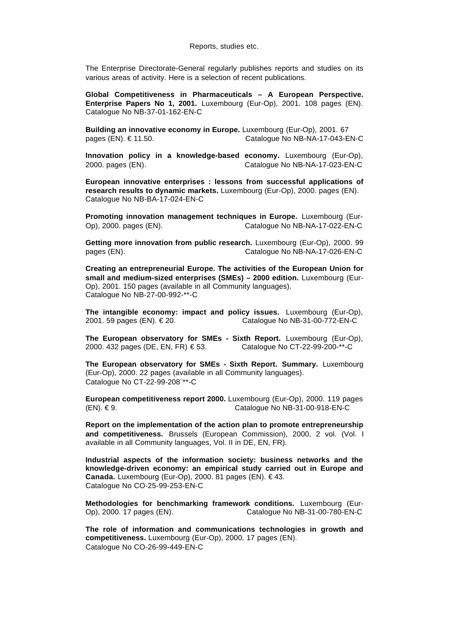Reports, studies etc.

The Enterprise Directorate-General regularly publishes reports and studies on its various areas of activity. Here is a selection of recent publications.

**Global Competitiveness in Pharmaceuticals – A European Perspective. Enterprise Papers No 1, 2001.** Luxembourg (Eur-Op), 2001. 108 pages (EN). Catalogue No NB-37-01-162-EN-C

**Building an innovative economy in Europe.** Luxembourg (Eur-Op), 2001. 67 pages (EN). € 11.50. Catalogue No NB-NA-17-043-EN-C

**Innovation policy in a knowledge-based economy.** Luxembourg (Eur-Op), 2000. pages (EN). Catalogue No NB-NA-17-023-EN-C

**European innovative enterprises : lessons from successful applications of research results to dynamic markets.** Luxembourg (Eur-Op), 2000. pages (EN). Catalogue No NB-BA-17-024-EN-C

**Promoting innovation management techniques in Europe.** Luxembourg (Eur-Op), 2000. pages (EN). Catalogue No NB-NA-17-022-EN-C

**Getting more innovation from public research.** Luxembourg (Eur-Op), 2000. 99 pages (EN). Catalogue No NB-NA-17-026-EN-C

**Creating an entrepreneurial Europe. The activities of the European Union for small and medium-sized enterprises (SMEs) – 2000 edition.** Luxembourg (Eur-Op), 2001. 150 pages (available in all Community languages). Catalogue No NB-27-00-992-\*\*-C

**The intangible economy: impact and policy issues.** Luxembourg (Eur-Op), 2001. 59 pages (EN). € 20. Catalogue No NB-31-00-772-EN-C

**The European observatory for SMEs - Sixth Report.** Luxembourg (Eur-Op), 2000. 432 pages (DE, EN, FR) € 53. Catalogue No CT-22-99-200-\*\*-C

**The European observatory for SMEs - Sixth Report. Summary.** Luxembourg (Eur-Op), 2000. 22 pages (available in all Community languages). Catalogue No CT-22-99-208¨\*\*-C

**European competitiveness report 2000.** Luxembourg (Eur-Op), 2000. 119 pages (EN). € 9. Catalogue No NB-31-00-918-EN-C

**Report on the implementation of the action plan to promote entrepreneurship and competitiveness.** Brussels (European Commission), 2000, 2 vol. (Vol. I available in all Community languages, Vol. II in DE, EN, FR).

**Industrial aspects of the information society: business networks and the knowledge-driven economy: an empirical study carried out in Europe and Canada.** Luxembourg (Eur-Op), 2000. 81 pages (EN). € 43. Catalogue No CO-25-99-253-EN-C

**Methodologies for benchmarking framework conditions.** Luxembourg (Eur-Op), 2000. 17 pages (EN). Catalogue No NB-31-00-780-EN-C

**The role of information and communications technologies in growth and competitiveness.** Luxembourg (Eur-Op), 2000. 17 pages (EN). Catalogue No CO-26-99-449-EN-C